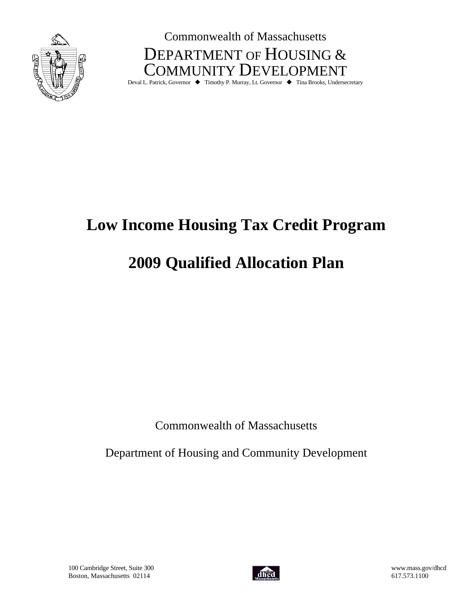

Commonwealth of Massachusetts DEPARTMENT OF HOUSING & COMMUNITY DEVELOPMENT

Deval L. Patrick, Governor ♦ Timothy P. Murray, Lt. Governor ♦ Tina Brooks, Undersecretary

# **Low Income Housing Tax Credit Program**

# **2009 Qualified Allocation Plan**

Commonwealth of Massachusetts

Department of Housing and Community Development

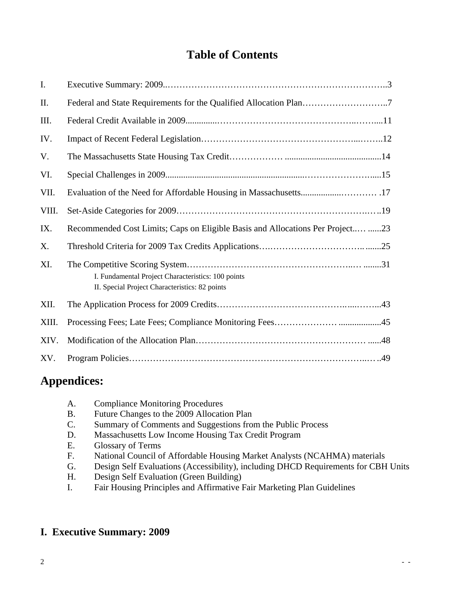## **Table of Contents**

| Ι.    |                                                                                                      |
|-------|------------------------------------------------------------------------------------------------------|
| II.   |                                                                                                      |
| III.  |                                                                                                      |
| IV.   |                                                                                                      |
| V.    |                                                                                                      |
| VI.   |                                                                                                      |
| VII.  |                                                                                                      |
| VIII. |                                                                                                      |
| IX.   | Recommended Cost Limits; Caps on Eligible Basis and Allocations Per Project 23                       |
| Χ.    |                                                                                                      |
| XI.   | I. Fundamental Project Characteristics: 100 points<br>II. Special Project Characteristics: 82 points |
| XII.  |                                                                                                      |
| XIII. |                                                                                                      |
| XIV.  |                                                                                                      |
| XV.   |                                                                                                      |

## **Appendices:**

- A. Compliance Monitoring Procedures
- B. Future Changes to the 2009 Allocation Plan
- C. Summary of Comments and Suggestions from the Public Process
- D. Massachusetts Low Income Housing Tax Credit Program
- E. Glossary of Terms
- F. National Council of Affordable Housing Market Analysts (NCAHMA) materials
- G. Design Self Evaluations (Accessibility), including DHCD Requirements for CBH Units
- H. Design Self Evaluation (Green Building)
- I. Fair Housing Principles and Affirmative Fair Marketing Plan Guidelines

## **I. Executive Summary: 2009**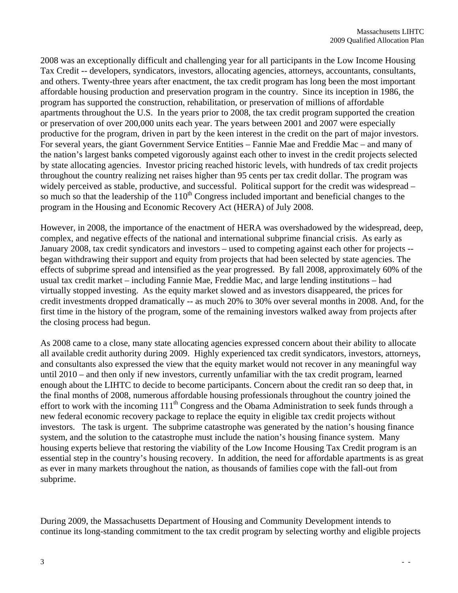2008 was an exceptionally difficult and challenging year for all participants in the Low Income Housing Tax Credit -- developers, syndicators, investors, allocating agencies, attorneys, accountants, consultants, and others. Twenty-three years after enactment, the tax credit program has long been the most important affordable housing production and preservation program in the country. Since its inception in 1986, the program has supported the construction, rehabilitation, or preservation of millions of affordable apartments throughout the U.S. In the years prior to 2008, the tax credit program supported the creation or preservation of over 200,000 units each year. The years between 2001 and 2007 were especially productive for the program, driven in part by the keen interest in the credit on the part of major investors. For several years, the giant Government Service Entities – Fannie Mae and Freddie Mac – and many of the nation's largest banks competed vigorously against each other to invest in the credit projects selected by state allocating agencies. Investor pricing reached historic levels, with hundreds of tax credit projects throughout the country realizing net raises higher than 95 cents per tax credit dollar. The program was widely perceived as stable, productive, and successful. Political support for the credit was widespread – so much so that the leadership of the  $110<sup>th</sup>$  Congress included important and beneficial changes to the program in the Housing and Economic Recovery Act (HERA) of July 2008.

However, in 2008, the importance of the enactment of HERA was overshadowed by the widespread, deep, complex, and negative effects of the national and international subprime financial crisis. As early as January 2008, tax credit syndicators and investors – used to competing against each other for projects - began withdrawing their support and equity from projects that had been selected by state agencies. The effects of subprime spread and intensified as the year progressed. By fall 2008, approximately 60% of the usual tax credit market – including Fannie Mae, Freddie Mac, and large lending institutions – had virtually stopped investing. As the equity market slowed and as investors disappeared, the prices for credit investments dropped dramatically -- as much 20% to 30% over several months in 2008. And, for the first time in the history of the program, some of the remaining investors walked away from projects after the closing process had begun.

As 2008 came to a close, many state allocating agencies expressed concern about their ability to allocate all available credit authority during 2009. Highly experienced tax credit syndicators, investors, attorneys, and consultants also expressed the view that the equity market would not recover in any meaningful way until 2010 – and then only if new investors, currently unfamiliar with the tax credit program, learned enough about the LIHTC to decide to become participants. Concern about the credit ran so deep that, in the final months of 2008, numerous affordable housing professionals throughout the country joined the effort to work with the incoming 111<sup>th</sup> Congress and the Obama Administration to seek funds through a new federal economic recovery package to replace the equity in eligible tax credit projects without investors. The task is urgent. The subprime catastrophe was generated by the nation's housing finance system, and the solution to the catastrophe must include the nation's housing finance system. Many housing experts believe that restoring the viability of the Low Income Housing Tax Credit program is an essential step in the country's housing recovery. In addition, the need for affordable apartments is as great as ever in many markets throughout the nation, as thousands of families cope with the fall-out from subprime.

During 2009, the Massachusetts Department of Housing and Community Development intends to continue its long-standing commitment to the tax credit program by selecting worthy and eligible projects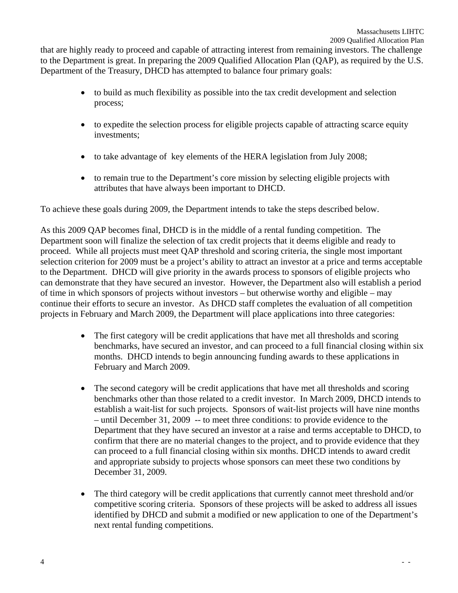that are highly ready to proceed and capable of attracting interest from remaining investors. The challenge to the Department is great. In preparing the 2009 Qualified Allocation Plan (QAP), as required by the U.S. Department of the Treasury, DHCD has attempted to balance four primary goals:

- to build as much flexibility as possible into the tax credit development and selection process;
- to expedite the selection process for eligible projects capable of attracting scarce equity investments;
- to take advantage of key elements of the HERA legislation from July 2008;
- to remain true to the Department's core mission by selecting eligible projects with attributes that have always been important to DHCD.

To achieve these goals during 2009, the Department intends to take the steps described below.

As this 2009 QAP becomes final, DHCD is in the middle of a rental funding competition. The Department soon will finalize the selection of tax credit projects that it deems eligible and ready to proceed. While all projects must meet QAP threshold and scoring criteria, the single most important selection criterion for 2009 must be a project's ability to attract an investor at a price and terms acceptable to the Department. DHCD will give priority in the awards process to sponsors of eligible projects who can demonstrate that they have secured an investor. However, the Department also will establish a period of time in which sponsors of projects without investors – but otherwise worthy and eligible – may continue their efforts to secure an investor. As DHCD staff completes the evaluation of all competition projects in February and March 2009, the Department will place applications into three categories:

- The first category will be credit applications that have met all thresholds and scoring benchmarks, have secured an investor, and can proceed to a full financial closing within six months. DHCD intends to begin announcing funding awards to these applications in February and March 2009.
- The second category will be credit applications that have met all thresholds and scoring benchmarks other than those related to a credit investor. In March 2009, DHCD intends to establish a wait-list for such projects. Sponsors of wait-list projects will have nine months – until December 31, 2009 -- to meet three conditions: to provide evidence to the Department that they have secured an investor at a raise and terms acceptable to DHCD, to confirm that there are no material changes to the project, and to provide evidence that they can proceed to a full financial closing within six months. DHCD intends to award credit and appropriate subsidy to projects whose sponsors can meet these two conditions by December 31, 2009.
- The third category will be credit applications that currently cannot meet threshold and/or competitive scoring criteria. Sponsors of these projects will be asked to address all issues identified by DHCD and submit a modified or new application to one of the Department's next rental funding competitions.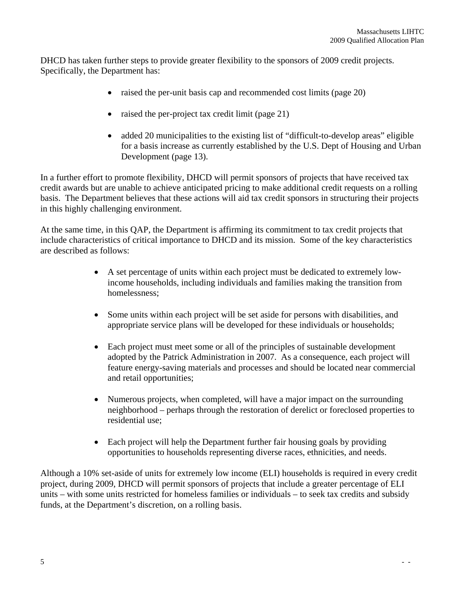DHCD has taken further steps to provide greater flexibility to the sponsors of 2009 credit projects. Specifically, the Department has:

- raised the per-unit basis cap and recommended cost limits (page 20)
- raised the per-project tax credit limit (page 21)
- added 20 municipalities to the existing list of "difficult-to-develop areas" eligible for a basis increase as currently established by the U.S. Dept of Housing and Urban Development (page 13).

In a further effort to promote flexibility, DHCD will permit sponsors of projects that have received tax credit awards but are unable to achieve anticipated pricing to make additional credit requests on a rolling basis. The Department believes that these actions will aid tax credit sponsors in structuring their projects in this highly challenging environment.

At the same time, in this QAP, the Department is affirming its commitment to tax credit projects that include characteristics of critical importance to DHCD and its mission. Some of the key characteristics are described as follows:

- A set percentage of units within each project must be dedicated to extremely lowincome households, including individuals and families making the transition from homelessness;
- Some units within each project will be set aside for persons with disabilities, and appropriate service plans will be developed for these individuals or households;
- Each project must meet some or all of the principles of sustainable development adopted by the Patrick Administration in 2007. As a consequence, each project will feature energy-saving materials and processes and should be located near commercial and retail opportunities;
- Numerous projects, when completed, will have a major impact on the surrounding neighborhood – perhaps through the restoration of derelict or foreclosed properties to residential use;
- Each project will help the Department further fair housing goals by providing opportunities to households representing diverse races, ethnicities, and needs.

Although a 10% set-aside of units for extremely low income (ELI) households is required in every credit project, during 2009, DHCD will permit sponsors of projects that include a greater percentage of ELI units – with some units restricted for homeless families or individuals – to seek tax credits and subsidy funds, at the Department's discretion, on a rolling basis.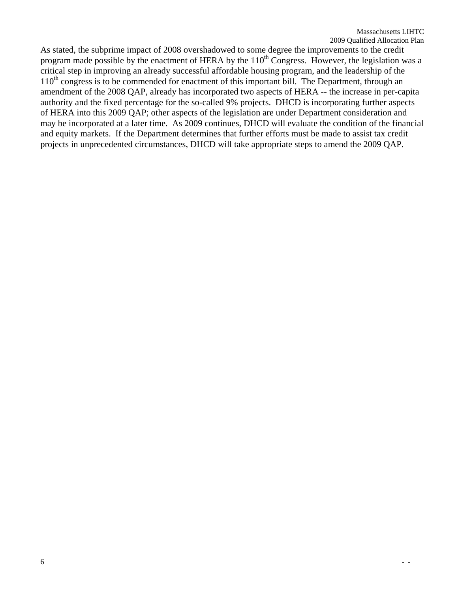As stated, the subprime impact of 2008 overshadowed to some degree the improvements to the credit program made possible by the enactment of HERA by the  $110<sup>th</sup>$  Congress. However, the legislation was a critical step in improving an already successful affordable housing program, and the leadership of the  $110<sup>th</sup>$  congress is to be commended for enactment of this important bill. The Department, through an amendment of the 2008 QAP, already has incorporated two aspects of HERA -- the increase in per-capita authority and the fixed percentage for the so-called 9% projects. DHCD is incorporating further aspects of HERA into this 2009 QAP; other aspects of the legislation are under Department consideration and may be incorporated at a later time. As 2009 continues, DHCD will evaluate the condition of the financial and equity markets. If the Department determines that further efforts must be made to assist tax credit projects in unprecedented circumstances, DHCD will take appropriate steps to amend the 2009 QAP.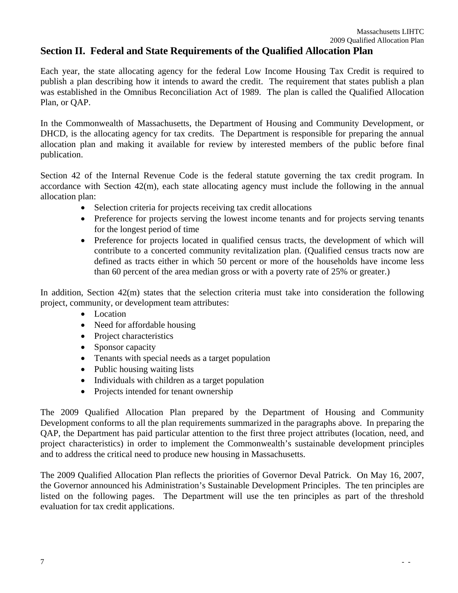## **Section II. Federal and State Requirements of the Qualified Allocation Plan**

Each year, the state allocating agency for the federal Low Income Housing Tax Credit is required to publish a plan describing how it intends to award the credit. The requirement that states publish a plan was established in the Omnibus Reconciliation Act of 1989. The plan is called the Qualified Allocation Plan, or QAP.

In the Commonwealth of Massachusetts, the Department of Housing and Community Development, or DHCD, is the allocating agency for tax credits. The Department is responsible for preparing the annual allocation plan and making it available for review by interested members of the public before final publication.

Section 42 of the Internal Revenue Code is the federal statute governing the tax credit program. In accordance with Section 42(m), each state allocating agency must include the following in the annual allocation plan:

- Selection criteria for projects receiving tax credit allocations
- Preference for projects serving the lowest income tenants and for projects serving tenants for the longest period of time
- Preference for projects located in qualified census tracts, the development of which will contribute to a concerted community revitalization plan. (Qualified census tracts now are defined as tracts either in which 50 percent or more of the households have income less than 60 percent of the area median gross or with a poverty rate of 25% or greater.)

In addition, Section 42(m) states that the selection criteria must take into consideration the following project, community, or development team attributes:

- Location
- Need for affordable housing
- Project characteristics
- Sponsor capacity
- Tenants with special needs as a target population
- Public housing waiting lists
- Individuals with children as a target population
- Projects intended for tenant ownership

The 2009 Qualified Allocation Plan prepared by the Department of Housing and Community Development conforms to all the plan requirements summarized in the paragraphs above. In preparing the QAP, the Department has paid particular attention to the first three project attributes (location, need, and project characteristics) in order to implement the Commonwealth's sustainable development principles and to address the critical need to produce new housing in Massachusetts.

The 2009 Qualified Allocation Plan reflects the priorities of Governor Deval Patrick. On May 16, 2007, the Governor announced his Administration's Sustainable Development Principles. The ten principles are listed on the following pages. The Department will use the ten principles as part of the threshold evaluation for tax credit applications.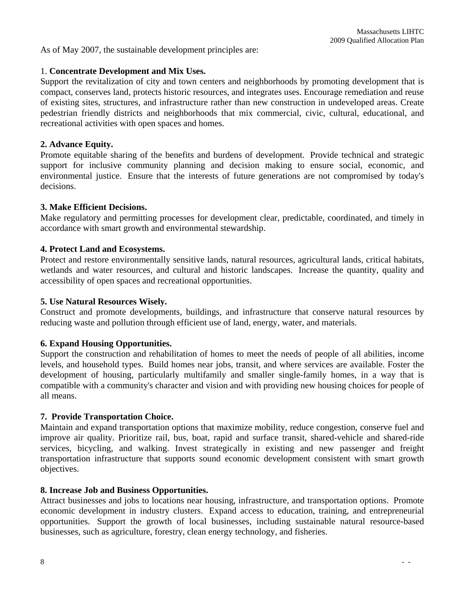As of May 2007, the sustainable development principles are:

## 1. **Concentrate Development and Mix Uses.**

Support the revitalization of city and town centers and neighborhoods by promoting development that is compact, conserves land, protects historic resources, and integrates uses. Encourage remediation and reuse of existing sites, structures, and infrastructure rather than new construction in undeveloped areas. Create pedestrian friendly districts and neighborhoods that mix commercial, civic, cultural, educational, and recreational activities with open spaces and homes.

#### **2. Advance Equity.**

Promote equitable sharing of the benefits and burdens of development. Provide technical and strategic support for inclusive community planning and decision making to ensure social, economic, and environmental justice. Ensure that the interests of future generations are not compromised by today's decisions.

#### **3. Make Efficient Decisions.**

Make regulatory and permitting processes for development clear, predictable, coordinated, and timely in accordance with smart growth and environmental stewardship.

#### **4. Protect Land and Ecosystems.**

Protect and restore environmentally sensitive lands, natural resources, agricultural lands, critical habitats, wetlands and water resources, and cultural and historic landscapes. Increase the quantity, quality and accessibility of open spaces and recreational opportunities.

#### **5. Use Natural Resources Wisely.**

Construct and promote developments, buildings, and infrastructure that conserve natural resources by reducing waste and pollution through efficient use of land, energy, water, and materials.

## **6. Expand Housing Opportunities.**

Support the construction and rehabilitation of homes to meet the needs of people of all abilities, income levels, and household types. Build homes near jobs, transit, and where services are available. Foster the development of housing, particularly multifamily and smaller single-family homes, in a way that is compatible with a community's character and vision and with providing new housing choices for people of all means.

## **7. Provide Transportation Choice.**

Maintain and expand transportation options that maximize mobility, reduce congestion, conserve fuel and improve air quality. Prioritize rail, bus, boat, rapid and surface transit, shared-vehicle and shared-ride services, bicycling, and walking. Invest strategically in existing and new passenger and freight transportation infrastructure that supports sound economic development consistent with smart growth objectives.

#### **8. Increase Job and Business Opportunities.**

Attract businesses and jobs to locations near housing, infrastructure, and transportation options. Promote economic development in industry clusters. Expand access to education, training, and entrepreneurial opportunities. Support the growth of local businesses, including sustainable natural resource-based businesses, such as agriculture, forestry, clean energy technology, and fisheries.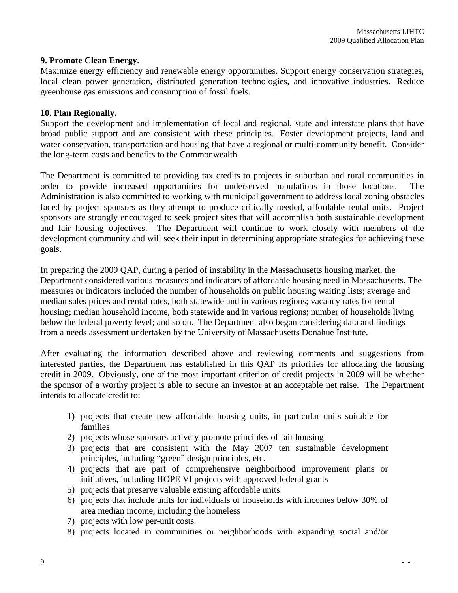## **9. Promote Clean Energy.**

Maximize energy efficiency and renewable energy opportunities. Support energy conservation strategies, local clean power generation, distributed generation technologies, and innovative industries. Reduce greenhouse gas emissions and consumption of fossil fuels.

## **10. Plan Regionally.**

Support the development and implementation of local and regional, state and interstate plans that have broad public support and are consistent with these principles. Foster development projects, land and water conservation, transportation and housing that have a regional or multi-community benefit. Consider the long-term costs and benefits to the Commonwealth.

The Department is committed to providing tax credits to projects in suburban and rural communities in order to provide increased opportunities for underserved populations in those locations. The Administration is also committed to working with municipal government to address local zoning obstacles faced by project sponsors as they attempt to produce critically needed, affordable rental units. Project sponsors are strongly encouraged to seek project sites that will accomplish both sustainable development and fair housing objectives. The Department will continue to work closely with members of the development community and will seek their input in determining appropriate strategies for achieving these goals.

In preparing the 2009 QAP, during a period of instability in the Massachusetts housing market, the Department considered various measures and indicators of affordable housing need in Massachusetts. The measures or indicators included the number of households on public housing waiting lists; average and median sales prices and rental rates, both statewide and in various regions; vacancy rates for rental housing; median household income, both statewide and in various regions; number of households living below the federal poverty level; and so on. The Department also began considering data and findings from a needs assessment undertaken by the University of Massachusetts Donahue Institute.

After evaluating the information described above and reviewing comments and suggestions from interested parties, the Department has established in this QAP its priorities for allocating the housing credit in 2009. Obviously, one of the most important criterion of credit projects in 2009 will be whether the sponsor of a worthy project is able to secure an investor at an acceptable net raise. The Department intends to allocate credit to:

- 1) projects that create new affordable housing units, in particular units suitable for families
- 2) projects whose sponsors actively promote principles of fair housing
- 3) projects that are consistent with the May 2007 ten sustainable development principles, including "green" design principles, etc.
- 4) projects that are part of comprehensive neighborhood improvement plans or initiatives, including HOPE VI projects with approved federal grants
- 5) projects that preserve valuable existing affordable units
- 6) projects that include units for individuals or households with incomes below 30% of area median income, including the homeless
- 7) projects with low per-unit costs
- 8) projects located in communities or neighborhoods with expanding social and/or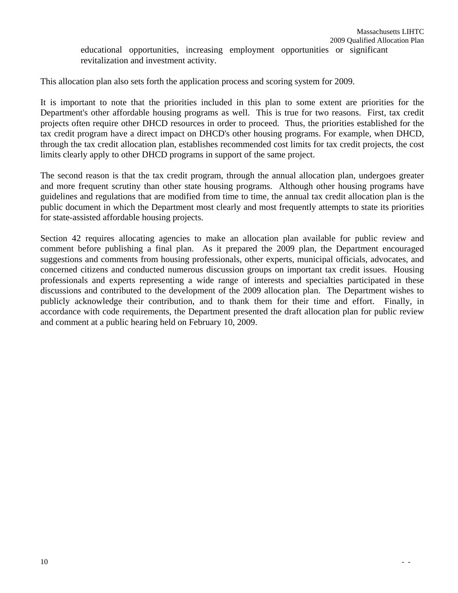This allocation plan also sets forth the application process and scoring system for 2009.

revitalization and investment activity.

It is important to note that the priorities included in this plan to some extent are priorities for the Department's other affordable housing programs as well. This is true for two reasons. First, tax credit projects often require other DHCD resources in order to proceed. Thus, the priorities established for the tax credit program have a direct impact on DHCD's other housing programs. For example, when DHCD, through the tax credit allocation plan, establishes recommended cost limits for tax credit projects, the cost limits clearly apply to other DHCD programs in support of the same project.

The second reason is that the tax credit program, through the annual allocation plan, undergoes greater and more frequent scrutiny than other state housing programs. Although other housing programs have guidelines and regulations that are modified from time to time, the annual tax credit allocation plan is the public document in which the Department most clearly and most frequently attempts to state its priorities for state-assisted affordable housing projects.

Section 42 requires allocating agencies to make an allocation plan available for public review and comment before publishing a final plan. As it prepared the 2009 plan, the Department encouraged suggestions and comments from housing professionals, other experts, municipal officials, advocates, and concerned citizens and conducted numerous discussion groups on important tax credit issues. Housing professionals and experts representing a wide range of interests and specialties participated in these discussions and contributed to the development of the 2009 allocation plan. The Department wishes to publicly acknowledge their contribution, and to thank them for their time and effort. Finally, in accordance with code requirements, the Department presented the draft allocation plan for public review and comment at a public hearing held on February 10, 2009.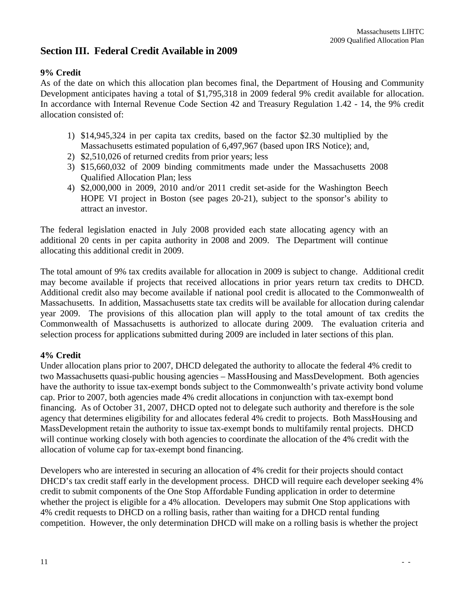## **Section III. Federal Credit Available in 2009**

## **9% Credit**

As of the date on which this allocation plan becomes final, the Department of Housing and Community Development anticipates having a total of \$1,795,318 in 2009 federal 9% credit available for allocation. In accordance with Internal Revenue Code Section 42 and Treasury Regulation 1.42 - 14, the 9% credit allocation consisted of:

- 1) \$14,945,324 in per capita tax credits, based on the factor \$2.30 multiplied by the Massachusetts estimated population of 6,497,967 (based upon IRS Notice); and,
- 2) \$2,510,026 of returned credits from prior years; less
- 3) \$15,660,032 of 2009 binding commitments made under the Massachusetts 2008 Qualified Allocation Plan; less
- 4) \$2,000,000 in 2009, 2010 and/or 2011 credit set-aside for the Washington Beech HOPE VI project in Boston (see pages 20-21), subject to the sponsor's ability to attract an investor.

The federal legislation enacted in July 2008 provided each state allocating agency with an additional 20 cents in per capita authority in 2008 and 2009. The Department will continue allocating this additional credit in 2009.

The total amount of 9% tax credits available for allocation in 2009 is subject to change. Additional credit may become available if projects that received allocations in prior years return tax credits to DHCD. Additional credit also may become available if national pool credit is allocated to the Commonwealth of Massachusetts. In addition, Massachusetts state tax credits will be available for allocation during calendar year 2009. The provisions of this allocation plan will apply to the total amount of tax credits the Commonwealth of Massachusetts is authorized to allocate during 2009. The evaluation criteria and selection process for applications submitted during 2009 are included in later sections of this plan.

## **4% Credit**

Under allocation plans prior to 2007, DHCD delegated the authority to allocate the federal 4% credit to two Massachusetts quasi-public housing agencies – MassHousing and MassDevelopment. Both agencies have the authority to issue tax-exempt bonds subject to the Commonwealth's private activity bond volume cap. Prior to 2007, both agencies made 4% credit allocations in conjunction with tax-exempt bond financing. As of October 31, 2007, DHCD opted not to delegate such authority and therefore is the sole agency that determines eligibility for and allocates federal 4% credit to projects. Both MassHousing and MassDevelopment retain the authority to issue tax-exempt bonds to multifamily rental projects. DHCD will continue working closely with both agencies to coordinate the allocation of the 4% credit with the allocation of volume cap for tax-exempt bond financing.

Developers who are interested in securing an allocation of 4% credit for their projects should contact DHCD's tax credit staff early in the development process. DHCD will require each developer seeking 4% credit to submit components of the One Stop Affordable Funding application in order to determine whether the project is eligible for a 4% allocation. Developers may submit One Stop applications with 4% credit requests to DHCD on a rolling basis, rather than waiting for a DHCD rental funding competition. However, the only determination DHCD will make on a rolling basis is whether the project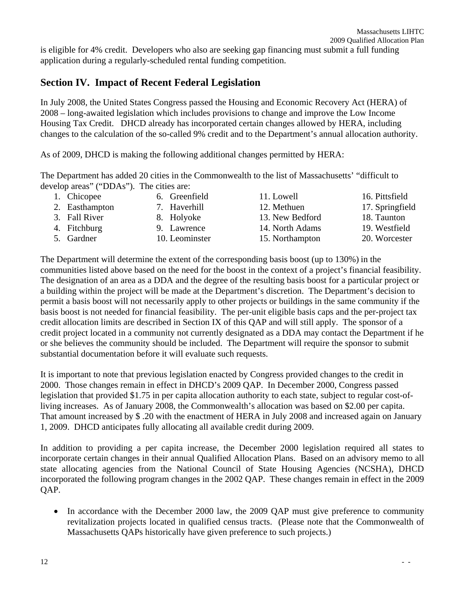is eligible for 4% credit. Developers who also are seeking gap financing must submit a full funding application during a regularly-scheduled rental funding competition.

## **Section IV. Impact of Recent Federal Legislation**

In July 2008, the United States Congress passed the Housing and Economic Recovery Act (HERA) of 2008 – long-awaited legislation which includes provisions to change and improve the Low Income Housing Tax Credit. DHCD already has incorporated certain changes allowed by HERA, including changes to the calculation of the so-called 9% credit and to the Department's annual allocation authority.

As of 2009, DHCD is making the following additional changes permitted by HERA:

The Department has added 20 cities in the Commonwealth to the list of Massachusetts' "difficult to develop areas" ("DDAs"). The cities are:

| 1. Chicopee    | 6. Greenfield  | 11. Lowell      | 16. Pittsfield  |
|----------------|----------------|-----------------|-----------------|
| 2. Easthampton | 7. Haverhill   | 12. Methuen     | 17. Springfield |
| 3. Fall River  | 8. Holyoke     | 13. New Bedford | 18. Taunton     |
| 4. Fitchburg   | 9. Lawrence    | 14. North Adams | 19. Westfield   |
| 5. Gardner     | 10. Leominster | 15. Northampton | 20. Worcester   |

The Department will determine the extent of the corresponding basis boost (up to 130%) in the communities listed above based on the need for the boost in the context of a project's financial feasibility. The designation of an area as a DDA and the degree of the resulting basis boost for a particular project or a building within the project will be made at the Department's discretion. The Department's decision to permit a basis boost will not necessarily apply to other projects or buildings in the same community if the basis boost is not needed for financial feasibility. The per-unit eligible basis caps and the per-project tax credit allocation limits are described in Section IX of this QAP and will still apply. The sponsor of a credit project located in a community not currently designated as a DDA may contact the Department if he or she believes the community should be included. The Department will require the sponsor to submit substantial documentation before it will evaluate such requests.

It is important to note that previous legislation enacted by Congress provided changes to the credit in 2000. Those changes remain in effect in DHCD's 2009 QAP. In December 2000, Congress passed legislation that provided \$1.75 in per capita allocation authority to each state, subject to regular cost-ofliving increases. As of January 2008, the Commonwealth's allocation was based on \$2.00 per capita. That amount increased by \$ .20 with the enactment of HERA in July 2008 and increased again on January 1, 2009. DHCD anticipates fully allocating all available credit during 2009.

In addition to providing a per capita increase, the December 2000 legislation required all states to incorporate certain changes in their annual Qualified Allocation Plans. Based on an advisory memo to all state allocating agencies from the National Council of State Housing Agencies (NCSHA), DHCD incorporated the following program changes in the 2002 QAP. These changes remain in effect in the 2009 OAP.

• In accordance with the December 2000 law, the 2009 QAP must give preference to community revitalization projects located in qualified census tracts. (Please note that the Commonwealth of Massachusetts QAPs historically have given preference to such projects.)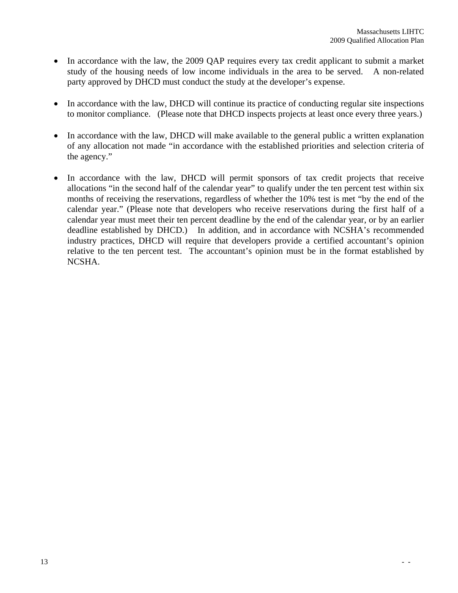- In accordance with the law, the 2009 QAP requires every tax credit applicant to submit a market study of the housing needs of low income individuals in the area to be served. A non-related party approved by DHCD must conduct the study at the developer's expense.
- In accordance with the law, DHCD will continue its practice of conducting regular site inspections to monitor compliance. (Please note that DHCD inspects projects at least once every three years.)
- In accordance with the law, DHCD will make available to the general public a written explanation of any allocation not made "in accordance with the established priorities and selection criteria of the agency."
- In accordance with the law, DHCD will permit sponsors of tax credit projects that receive allocations "in the second half of the calendar year" to qualify under the ten percent test within six months of receiving the reservations, regardless of whether the 10% test is met "by the end of the calendar year." (Please note that developers who receive reservations during the first half of a calendar year must meet their ten percent deadline by the end of the calendar year, or by an earlier deadline established by DHCD.) In addition, and in accordance with NCSHA's recommended industry practices, DHCD will require that developers provide a certified accountant's opinion relative to the ten percent test. The accountant's opinion must be in the format established by NCSHA.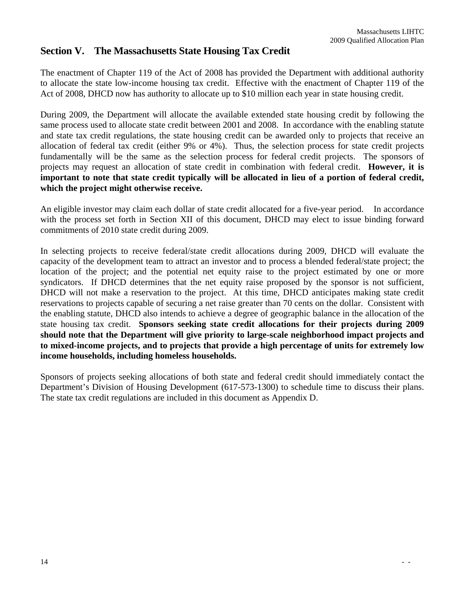## **Section V. The Massachusetts State Housing Tax Credit**

The enactment of Chapter 119 of the Act of 2008 has provided the Department with additional authority to allocate the state low-income housing tax credit. Effective with the enactment of Chapter 119 of the Act of 2008, DHCD now has authority to allocate up to \$10 million each year in state housing credit.

During 2009, the Department will allocate the available extended state housing credit by following the same process used to allocate state credit between 2001 and 2008. In accordance with the enabling statute and state tax credit regulations, the state housing credit can be awarded only to projects that receive an allocation of federal tax credit (either 9% or 4%). Thus, the selection process for state credit projects fundamentally will be the same as the selection process for federal credit projects. The sponsors of projects may request an allocation of state credit in combination with federal credit. **However, it is important to note that state credit typically will be allocated in lieu of a portion of federal credit, which the project might otherwise receive.** 

An eligible investor may claim each dollar of state credit allocated for a five-year period. In accordance with the process set forth in Section XII of this document, DHCD may elect to issue binding forward commitments of 2010 state credit during 2009.

In selecting projects to receive federal/state credit allocations during 2009, DHCD will evaluate the capacity of the development team to attract an investor and to process a blended federal/state project; the location of the project; and the potential net equity raise to the project estimated by one or more syndicators. If DHCD determines that the net equity raise proposed by the sponsor is not sufficient, DHCD will not make a reservation to the project. At this time, DHCD anticipates making state credit reservations to projects capable of securing a net raise greater than 70 cents on the dollar. Consistent with the enabling statute, DHCD also intends to achieve a degree of geographic balance in the allocation of the state housing tax credit. **Sponsors seeking state credit allocations for their projects during 2009 should note that the Department will give priority to large-scale neighborhood impact projects and to mixed-income projects, and to projects that provide a high percentage of units for extremely low income households, including homeless households.**

Sponsors of projects seeking allocations of both state and federal credit should immediately contact the Department's Division of Housing Development (617-573-1300) to schedule time to discuss their plans. The state tax credit regulations are included in this document as Appendix D.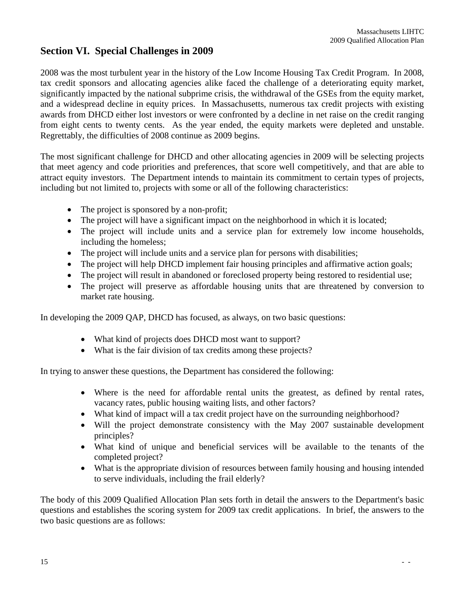## **Section VI. Special Challenges in 2009**

2008 was the most turbulent year in the history of the Low Income Housing Tax Credit Program. In 2008, tax credit sponsors and allocating agencies alike faced the challenge of a deteriorating equity market, significantly impacted by the national subprime crisis, the withdrawal of the GSEs from the equity market, and a widespread decline in equity prices. In Massachusetts, numerous tax credit projects with existing awards from DHCD either lost investors or were confronted by a decline in net raise on the credit ranging from eight cents to twenty cents. As the year ended, the equity markets were depleted and unstable. Regrettably, the difficulties of 2008 continue as 2009 begins.

The most significant challenge for DHCD and other allocating agencies in 2009 will be selecting projects that meet agency and code priorities and preferences, that score well competitively, and that are able to attract equity investors. The Department intends to maintain its commitment to certain types of projects, including but not limited to, projects with some or all of the following characteristics:

- The project is sponsored by a non-profit;
- The project will have a significant impact on the neighborhood in which it is located;
- The project will include units and a service plan for extremely low income households, including the homeless;
- The project will include units and a service plan for persons with disabilities;
- The project will help DHCD implement fair housing principles and affirmative action goals;
- The project will result in abandoned or foreclosed property being restored to residential use;
- The project will preserve as affordable housing units that are threatened by conversion to market rate housing.

In developing the 2009 QAP, DHCD has focused, as always, on two basic questions:

- What kind of projects does DHCD most want to support?
- What is the fair division of tax credits among these projects?

In trying to answer these questions, the Department has considered the following:

- Where is the need for affordable rental units the greatest, as defined by rental rates, vacancy rates, public housing waiting lists, and other factors?
- What kind of impact will a tax credit project have on the surrounding neighborhood?
- Will the project demonstrate consistency with the May 2007 sustainable development principles?
- What kind of unique and beneficial services will be available to the tenants of the completed project?
- What is the appropriate division of resources between family housing and housing intended to serve individuals, including the frail elderly?

The body of this 2009 Qualified Allocation Plan sets forth in detail the answers to the Department's basic questions and establishes the scoring system for 2009 tax credit applications. In brief, the answers to the two basic questions are as follows: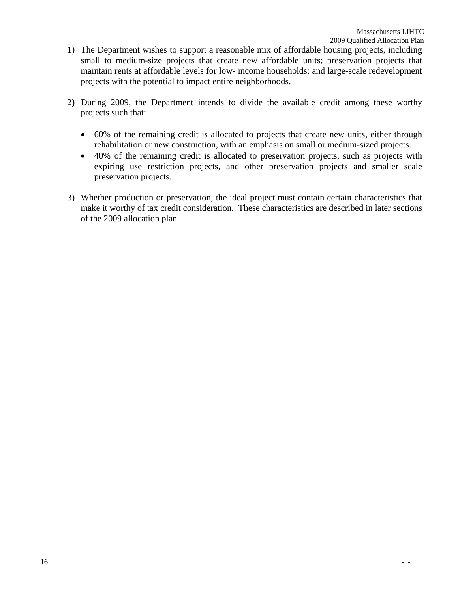- 1) The Department wishes to support a reasonable mix of affordable housing projects, including small to medium-size projects that create new affordable units; preservation projects that maintain rents at affordable levels for low- income households; and large-scale redevelopment projects with the potential to impact entire neighborhoods.
- 2) During 2009, the Department intends to divide the available credit among these worthy projects such that:
	- 60% of the remaining credit is allocated to projects that create new units, either through rehabilitation or new construction, with an emphasis on small or medium-sized projects.
	- 40% of the remaining credit is allocated to preservation projects, such as projects with expiring use restriction projects, and other preservation projects and smaller scale preservation projects.
- 3) Whether production or preservation, the ideal project must contain certain characteristics that make it worthy of tax credit consideration. These characteristics are described in later sections of the 2009 allocation plan.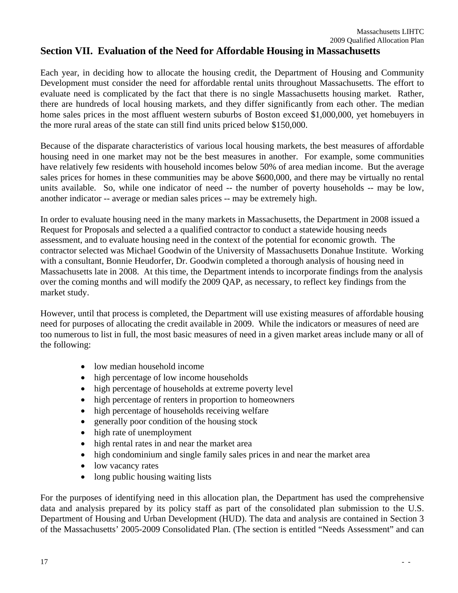Massachusetts LIHTC 2009 Qualified Allocation Plan

## **Section VII. Evaluation of the Need for Affordable Housing in Massachusetts**

Each year, in deciding how to allocate the housing credit, the Department of Housing and Community Development must consider the need for affordable rental units throughout Massachusetts. The effort to evaluate need is complicated by the fact that there is no single Massachusetts housing market. Rather, there are hundreds of local housing markets, and they differ significantly from each other. The median home sales prices in the most affluent western suburbs of Boston exceed \$1,000,000, yet homebuyers in the more rural areas of the state can still find units priced below \$150,000.

Because of the disparate characteristics of various local housing markets, the best measures of affordable housing need in one market may not be the best measures in another. For example, some communities have relatively few residents with household incomes below 50% of area median income. But the average sales prices for homes in these communities may be above \$600,000, and there may be virtually no rental units available. So, while one indicator of need -- the number of poverty households -- may be low, another indicator -- average or median sales prices -- may be extremely high.

In order to evaluate housing need in the many markets in Massachusetts, the Department in 2008 issued a Request for Proposals and selected a a qualified contractor to conduct a statewide housing needs assessment, and to evaluate housing need in the context of the potential for economic growth. The contractor selected was Michael Goodwin of the University of Massachusetts Donahue Institute. Working with a consultant, Bonnie Heudorfer, Dr. Goodwin completed a thorough analysis of housing need in Massachusetts late in 2008. At this time, the Department intends to incorporate findings from the analysis over the coming months and will modify the 2009 QAP, as necessary, to reflect key findings from the market study.

However, until that process is completed, the Department will use existing measures of affordable housing need for purposes of allocating the credit available in 2009. While the indicators or measures of need are too numerous to list in full, the most basic measures of need in a given market areas include many or all of the following:

- low median household income
- high percentage of low income households
- high percentage of households at extreme poverty level
- high percentage of renters in proportion to homeowners
- high percentage of households receiving welfare
- generally poor condition of the housing stock
- high rate of unemployment
- high rental rates in and near the market area
- high condominium and single family sales prices in and near the market area
- low vacancy rates
- long public housing waiting lists

For the purposes of identifying need in this allocation plan, the Department has used the comprehensive data and analysis prepared by its policy staff as part of the consolidated plan submission to the U.S. Department of Housing and Urban Development (HUD). The data and analysis are contained in Section 3 of the Massachusetts' 2005-2009 Consolidated Plan. (The section is entitled "Needs Assessment" and can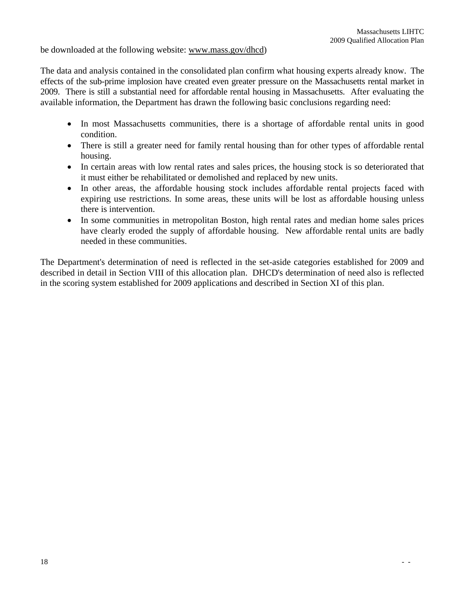be downloaded at the following website: www.mass.gov/dhcd)

The data and analysis contained in the consolidated plan confirm what housing experts already know. The effects of the sub-prime implosion have created even greater pressure on the Massachusetts rental market in 2009. There is still a substantial need for affordable rental housing in Massachusetts. After evaluating the available information, the Department has drawn the following basic conclusions regarding need:

- In most Massachusetts communities, there is a shortage of affordable rental units in good condition.
- There is still a greater need for family rental housing than for other types of affordable rental housing.
- In certain areas with low rental rates and sales prices, the housing stock is so deteriorated that it must either be rehabilitated or demolished and replaced by new units.
- In other areas, the affordable housing stock includes affordable rental projects faced with expiring use restrictions. In some areas, these units will be lost as affordable housing unless there is intervention.
- In some communities in metropolitan Boston, high rental rates and median home sales prices have clearly eroded the supply of affordable housing. New affordable rental units are badly needed in these communities.

The Department's determination of need is reflected in the set-aside categories established for 2009 and described in detail in Section VIII of this allocation plan. DHCD's determination of need also is reflected in the scoring system established for 2009 applications and described in Section XI of this plan.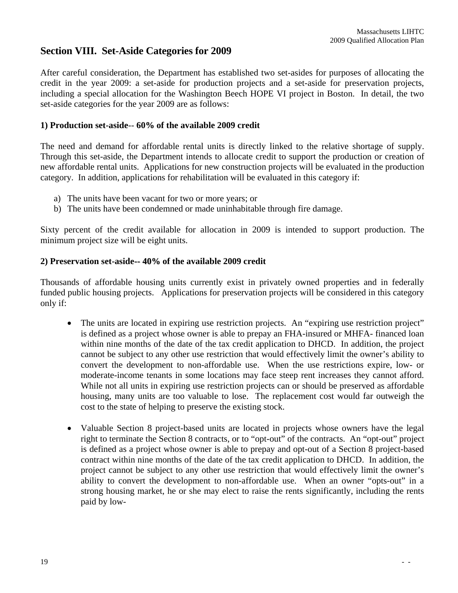## **Section VIII. Set-Aside Categories for 2009**

After careful consideration, the Department has established two set-asides for purposes of allocating the credit in the year 2009: a set-aside for production projects and a set-aside for preservation projects, including a special allocation for the Washington Beech HOPE VI project in Boston. In detail, the two set-aside categories for the year 2009 are as follows:

## **1) Production set-aside**-- **60% of the available 2009 credit**

The need and demand for affordable rental units is directly linked to the relative shortage of supply. Through this set-aside, the Department intends to allocate credit to support the production or creation of new affordable rental units. Applications for new construction projects will be evaluated in the production category. In addition, applications for rehabilitation will be evaluated in this category if:

- a) The units have been vacant for two or more years; or
- b) The units have been condemned or made uninhabitable through fire damage.

Sixty percent of the credit available for allocation in 2009 is intended to support production. The minimum project size will be eight units.

## **2) Preservation set-aside-- 40% of the available 2009 credit**

Thousands of affordable housing units currently exist in privately owned properties and in federally funded public housing projects. Applications for preservation projects will be considered in this category only if:

- The units are located in expiring use restriction projects. An "expiring use restriction project" is defined as a project whose owner is able to prepay an FHA-insured or MHFA- financed loan within nine months of the date of the tax credit application to DHCD. In addition, the project cannot be subject to any other use restriction that would effectively limit the owner's ability to convert the development to non-affordable use. When the use restrictions expire, low- or moderate-income tenants in some locations may face steep rent increases they cannot afford. While not all units in expiring use restriction projects can or should be preserved as affordable housing, many units are too valuable to lose. The replacement cost would far outweigh the cost to the state of helping to preserve the existing stock.
- Valuable Section 8 project-based units are located in projects whose owners have the legal right to terminate the Section 8 contracts, or to "opt-out" of the contracts. An "opt-out" project is defined as a project whose owner is able to prepay and opt-out of a Section 8 project-based contract within nine months of the date of the tax credit application to DHCD. In addition, the project cannot be subject to any other use restriction that would effectively limit the owner's ability to convert the development to non-affordable use. When an owner "opts-out" in a strong housing market, he or she may elect to raise the rents significantly, including the rents paid by low-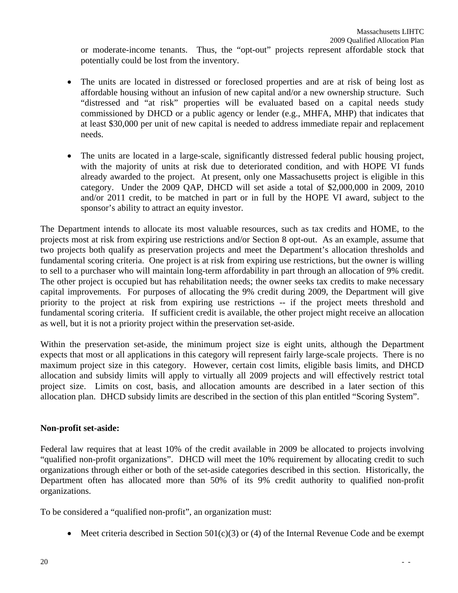or moderate-income tenants. Thus, the "opt-out" projects represent affordable stock that potentially could be lost from the inventory.

- The units are located in distressed or foreclosed properties and are at risk of being lost as affordable housing without an infusion of new capital and/or a new ownership structure. Such "distressed and "at risk" properties will be evaluated based on a capital needs study commissioned by DHCD or a public agency or lender (e.g., MHFA, MHP) that indicates that at least \$30,000 per unit of new capital is needed to address immediate repair and replacement needs.
- The units are located in a large-scale, significantly distressed federal public housing project, with the majority of units at risk due to deteriorated condition, and with HOPE VI funds already awarded to the project. At present, only one Massachusetts project is eligible in this category. Under the 2009 QAP, DHCD will set aside a total of \$2,000,000 in 2009, 2010 and/or 2011 credit, to be matched in part or in full by the HOPE VI award, subject to the sponsor's ability to attract an equity investor.

The Department intends to allocate its most valuable resources, such as tax credits and HOME, to the projects most at risk from expiring use restrictions and/or Section 8 opt-out. As an example, assume that two projects both qualify as preservation projects and meet the Department's allocation thresholds and fundamental scoring criteria. One project is at risk from expiring use restrictions, but the owner is willing to sell to a purchaser who will maintain long-term affordability in part through an allocation of 9% credit. The other project is occupied but has rehabilitation needs; the owner seeks tax credits to make necessary capital improvements. For purposes of allocating the 9% credit during 2009, the Department will give priority to the project at risk from expiring use restrictions -- if the project meets threshold and fundamental scoring criteria. If sufficient credit is available, the other project might receive an allocation as well, but it is not a priority project within the preservation set-aside.

Within the preservation set-aside, the minimum project size is eight units, although the Department expects that most or all applications in this category will represent fairly large-scale projects. There is no maximum project size in this category. However, certain cost limits, eligible basis limits, and DHCD allocation and subsidy limits will apply to virtually all 2009 projects and will effectively restrict total project size. Limits on cost, basis, and allocation amounts are described in a later section of this allocation plan. DHCD subsidy limits are described in the section of this plan entitled "Scoring System".

## **Non-profit set-aside:**

Federal law requires that at least 10% of the credit available in 2009 be allocated to projects involving "qualified non-profit organizations". DHCD will meet the 10% requirement by allocating credit to such organizations through either or both of the set-aside categories described in this section. Historically, the Department often has allocated more than 50% of its 9% credit authority to qualified non-profit organizations.

To be considered a "qualified non-profit", an organization must:

• Meet criteria described in Section  $501(c)(3)$  or (4) of the Internal Revenue Code and be exempt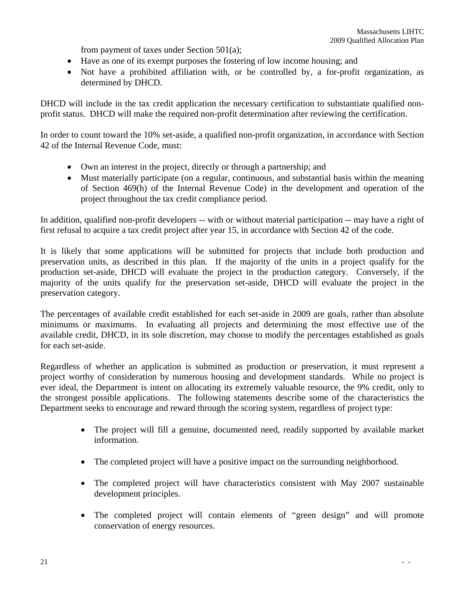from payment of taxes under Section 501(a);

- Have as one of its exempt purposes the fostering of low income housing; and
- Not have a prohibited affiliation with, or be controlled by, a for-profit organization, as determined by DHCD.

DHCD will include in the tax credit application the necessary certification to substantiate qualified nonprofit status. DHCD will make the required non-profit determination after reviewing the certification.

In order to count toward the 10% set-aside, a qualified non-profit organization, in accordance with Section 42 of the Internal Revenue Code, must:

- Own an interest in the project, directly or through a partnership; and
- Must materially participate (on a regular, continuous, and substantial basis within the meaning of Section 469(h) of the Internal Revenue Code) in the development and operation of the project throughout the tax credit compliance period.

In addition, qualified non-profit developers -- with or without material participation -- may have a right of first refusal to acquire a tax credit project after year 15, in accordance with Section 42 of the code.

It is likely that some applications will be submitted for projects that include both production and preservation units, as described in this plan. If the majority of the units in a project qualify for the production set-aside, DHCD will evaluate the project in the production category. Conversely, if the majority of the units qualify for the preservation set-aside, DHCD will evaluate the project in the preservation category.

The percentages of available credit established for each set-aside in 2009 are goals, rather than absolute minimums or maximums. In evaluating all projects and determining the most effective use of the available credit, DHCD, in its sole discretion, may choose to modify the percentages established as goals for each set-aside.

Regardless of whether an application is submitted as production or preservation, it must represent a project worthy of consideration by numerous housing and development standards. While no project is ever ideal, the Department is intent on allocating its extremely valuable resource, the 9% credit, only to the strongest possible applications. The following statements describe some of the characteristics the Department seeks to encourage and reward through the scoring system, regardless of project type:

- The project will fill a genuine, documented need, readily supported by available market information.
- The completed project will have a positive impact on the surrounding neighborhood.
- The completed project will have characteristics consistent with May 2007 sustainable development principles.
- The completed project will contain elements of "green design" and will promote conservation of energy resources.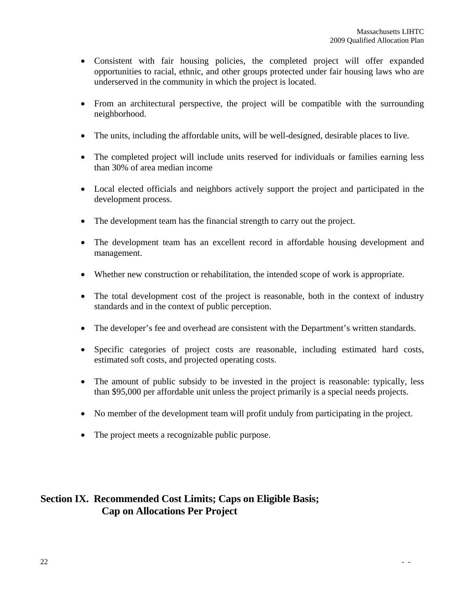- Consistent with fair housing policies, the completed project will offer expanded opportunities to racial, ethnic, and other groups protected under fair housing laws who are underserved in the community in which the project is located.
- From an architectural perspective, the project will be compatible with the surrounding neighborhood.
- The units, including the affordable units, will be well-designed, desirable places to live.
- The completed project will include units reserved for individuals or families earning less than 30% of area median income
- Local elected officials and neighbors actively support the project and participated in the development process.
- The development team has the financial strength to carry out the project.
- The development team has an excellent record in affordable housing development and management.
- Whether new construction or rehabilitation, the intended scope of work is appropriate.
- The total development cost of the project is reasonable, both in the context of industry standards and in the context of public perception.
- The developer's fee and overhead are consistent with the Department's written standards.
- Specific categories of project costs are reasonable, including estimated hard costs, estimated soft costs, and projected operating costs.
- The amount of public subsidy to be invested in the project is reasonable: typically, less than \$95,000 per affordable unit unless the project primarily is a special needs projects.
- No member of the development team will profit unduly from participating in the project.
- The project meets a recognizable public purpose.

## **Section IX. Recommended Cost Limits; Caps on Eligible Basis; Cap on Allocations Per Project**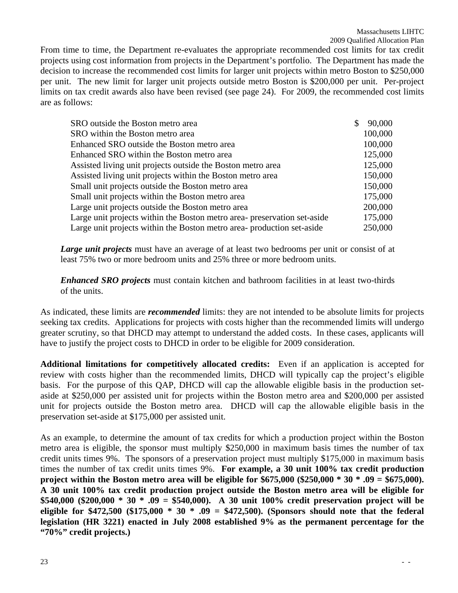From time to time, the Department re-evaluates the appropriate recommended cost limits for tax credit projects using cost information from projects in the Department's portfolio. The Department has made the decision to increase the recommended cost limits for larger unit projects within metro Boston to \$250,000 per unit. The new limit for larger unit projects outside metro Boston is \$200,000 per unit. Per-project limits on tax credit awards also have been revised (see page 24). For 2009, the recommended cost limits are as follows:

| SRO outside the Boston metro area                                        | S | 90,000  |
|--------------------------------------------------------------------------|---|---------|
| SRO within the Boston metro area                                         |   | 100,000 |
| Enhanced SRO outside the Boston metro area                               |   | 100,000 |
| Enhanced SRO within the Boston metro area                                |   | 125,000 |
| Assisted living unit projects outside the Boston metro area              |   | 125,000 |
| Assisted living unit projects within the Boston metro area               |   | 150,000 |
| Small unit projects outside the Boston metro area                        |   | 150,000 |
| Small unit projects within the Boston metro area                         |   | 175,000 |
| Large unit projects outside the Boston metro area                        |   | 200,000 |
| Large unit projects within the Boston metro area- preservation set-aside |   | 175,000 |
| Large unit projects within the Boston metro area- production set-aside   |   | 250,000 |

*Large unit projects* must have an average of at least two bedrooms per unit or consist of at least 75% two or more bedroom units and 25% three or more bedroom units.

*Enhanced SRO projects* must contain kitchen and bathroom facilities in at least two-thirds of the units.

As indicated, these limits are *recommended* limits: they are not intended to be absolute limits for projects seeking tax credits. Applications for projects with costs higher than the recommended limits will undergo greater scrutiny, so that DHCD may attempt to understand the added costs. In these cases, applicants will have to justify the project costs to DHCD in order to be eligible for 2009 consideration.

**Additional limitations for competitively allocated credits:** Even if an application is accepted for review with costs higher than the recommended limits, DHCD will typically cap the project's eligible basis. For the purpose of this QAP, DHCD will cap the allowable eligible basis in the production setaside at \$250,000 per assisted unit for projects within the Boston metro area and \$200,000 per assisted unit for projects outside the Boston metro area. DHCD will cap the allowable eligible basis in the preservation set-aside at \$175,000 per assisted unit.

As an example, to determine the amount of tax credits for which a production project within the Boston metro area is eligible, the sponsor must multiply \$250,000 in maximum basis times the number of tax credit units times 9%. The sponsors of a preservation project must multiply \$175,000 in maximum basis times the number of tax credit units times 9%. **For example, a 30 unit 100% tax credit production project within the Boston metro area will be eligible for \$675,000 (\$250,000 \* 30 \* .09 = \$675,000). A 30 unit 100% tax credit production project outside the Boston metro area will be eligible for \$540,000 (\$200,000 \* 30 \* .09 = \$540,000). A 30 unit 100% credit preservation project will be eligible for \$472,500 (\$175,000 \* 30 \* .09 = \$472,500). (Sponsors should note that the federal legislation (HR 3221) enacted in July 2008 established 9% as the permanent percentage for the "70%" credit projects.)**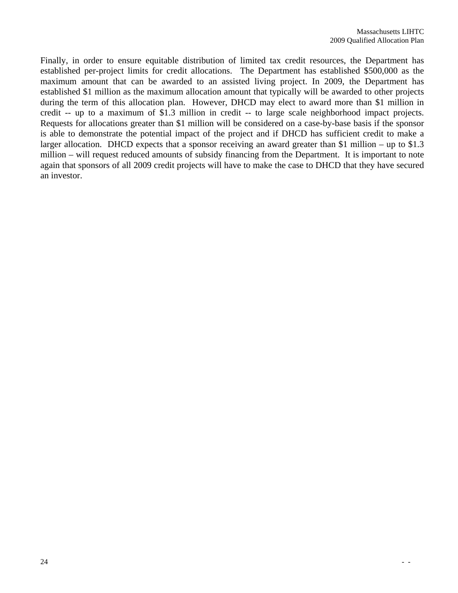Finally, in order to ensure equitable distribution of limited tax credit resources, the Department has established per-project limits for credit allocations. The Department has established \$500,000 as the maximum amount that can be awarded to an assisted living project. In 2009, the Department has established \$1 million as the maximum allocation amount that typically will be awarded to other projects during the term of this allocation plan. However, DHCD may elect to award more than \$1 million in credit -- up to a maximum of \$1.3 million in credit -- to large scale neighborhood impact projects. Requests for allocations greater than \$1 million will be considered on a case-by-base basis if the sponsor is able to demonstrate the potential impact of the project and if DHCD has sufficient credit to make a larger allocation. DHCD expects that a sponsor receiving an award greater than \$1 million – up to \$1.3 million – will request reduced amounts of subsidy financing from the Department. It is important to note again that sponsors of all 2009 credit projects will have to make the case to DHCD that they have secured an investor.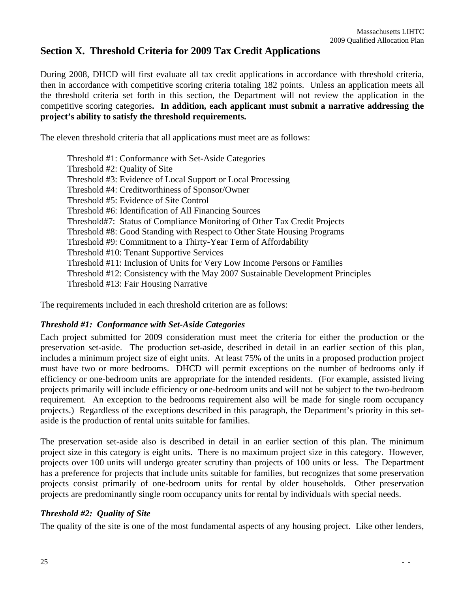## **Section X. Threshold Criteria for 2009 Tax Credit Applications**

During 2008, DHCD will first evaluate all tax credit applications in accordance with threshold criteria, then in accordance with competitive scoring criteria totaling 182 points. Unless an application meets all the threshold criteria set forth in this section, the Department will not review the application in the competitive scoring categories**. In addition, each applicant must submit a narrative addressing the project's ability to satisfy the threshold requirements.** 

The eleven threshold criteria that all applications must meet are as follows:

Threshold #1: Conformance with Set-Aside Categories Threshold #2: Quality of Site Threshold #3: Evidence of Local Support or Local Processing Threshold #4: Creditworthiness of Sponsor/Owner Threshold #5: Evidence of Site Control Threshold #6: Identification of All Financing Sources Threshold#7: Status of Compliance Monitoring of Other Tax Credit Projects Threshold #8: Good Standing with Respect to Other State Housing Programs Threshold #9: Commitment to a Thirty-Year Term of Affordability Threshold #10: Tenant Supportive Services Threshold #11: Inclusion of Units for Very Low Income Persons or Families Threshold #12: Consistency with the May 2007 Sustainable Development Principles Threshold #13: Fair Housing Narrative

The requirements included in each threshold criterion are as follows:

## *Threshold #1: Conformance with Set-Aside Categories*

Each project submitted for 2009 consideration must meet the criteria for either the production or the preservation set-aside. The production set-aside, described in detail in an earlier section of this plan, includes a minimum project size of eight units. At least 75% of the units in a proposed production project must have two or more bedrooms. DHCD will permit exceptions on the number of bedrooms only if efficiency or one-bedroom units are appropriate for the intended residents. (For example, assisted living projects primarily will include efficiency or one-bedroom units and will not be subject to the two-bedroom requirement. An exception to the bedrooms requirement also will be made for single room occupancy projects.) Regardless of the exceptions described in this paragraph, the Department's priority in this setaside is the production of rental units suitable for families.

The preservation set-aside also is described in detail in an earlier section of this plan. The minimum project size in this category is eight units. There is no maximum project size in this category. However, projects over 100 units will undergo greater scrutiny than projects of 100 units or less. The Department has a preference for projects that include units suitable for families, but recognizes that some preservation projects consist primarily of one-bedroom units for rental by older households. Other preservation projects are predominantly single room occupancy units for rental by individuals with special needs.

## *Threshold #2: Quality of Site*

The quality of the site is one of the most fundamental aspects of any housing project. Like other lenders,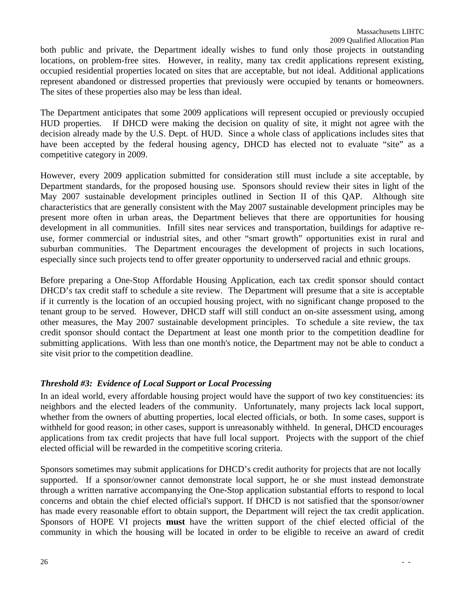both public and private, the Department ideally wishes to fund only those projects in outstanding locations, on problem-free sites. However, in reality, many tax credit applications represent existing, occupied residential properties located on sites that are acceptable, but not ideal. Additional applications represent abandoned or distressed properties that previously were occupied by tenants or homeowners. The sites of these properties also may be less than ideal.

The Department anticipates that some 2009 applications will represent occupied or previously occupied HUD properties. If DHCD were making the decision on quality of site, it might not agree with the decision already made by the U.S. Dept. of HUD. Since a whole class of applications includes sites that have been accepted by the federal housing agency, DHCD has elected not to evaluate "site" as a competitive category in 2009.

However, every 2009 application submitted for consideration still must include a site acceptable, by Department standards, for the proposed housing use. Sponsors should review their sites in light of the May 2007 sustainable development principles outlined in Section II of this QAP. Although site characteristics that are generally consistent with the May 2007 sustainable development principles may be present more often in urban areas, the Department believes that there are opportunities for housing development in all communities. Infill sites near services and transportation, buildings for adaptive reuse, former commercial or industrial sites, and other "smart growth" opportunities exist in rural and suburban communities. The Department encourages the development of projects in such locations, especially since such projects tend to offer greater opportunity to underserved racial and ethnic groups.

Before preparing a One-Stop Affordable Housing Application, each tax credit sponsor should contact DHCD's tax credit staff to schedule a site review. The Department will presume that a site is acceptable if it currently is the location of an occupied housing project, with no significant change proposed to the tenant group to be served. However, DHCD staff will still conduct an on-site assessment using, among other measures, the May 2007 sustainable development principles. To schedule a site review, the tax credit sponsor should contact the Department at least one month prior to the competition deadline for submitting applications. With less than one month's notice, the Department may not be able to conduct a site visit prior to the competition deadline.

## *Threshold #3: Evidence of Local Support or Local Processing*

In an ideal world, every affordable housing project would have the support of two key constituencies: its neighbors and the elected leaders of the community. Unfortunately, many projects lack local support, whether from the owners of abutting properties, local elected officials, or both. In some cases, support is withheld for good reason; in other cases, support is unreasonably withheld. In general, DHCD encourages applications from tax credit projects that have full local support. Projects with the support of the chief elected official will be rewarded in the competitive scoring criteria.

Sponsors sometimes may submit applications for DHCD's credit authority for projects that are not locally supported. If a sponsor/owner cannot demonstrate local support, he or she must instead demonstrate through a written narrative accompanying the One-Stop application substantial efforts to respond to local concerns and obtain the chief elected official's support. If DHCD is not satisfied that the sponsor/owner has made every reasonable effort to obtain support, the Department will reject the tax credit application. Sponsors of HOPE VI projects **must** have the written support of the chief elected official of the community in which the housing will be located in order to be eligible to receive an award of credit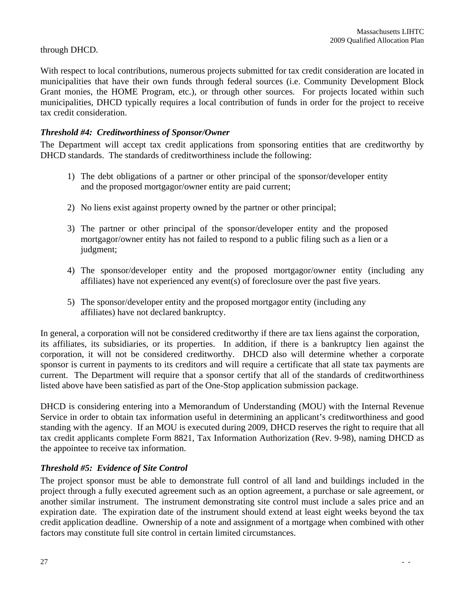## through DHCD.

With respect to local contributions, numerous projects submitted for tax credit consideration are located in municipalities that have their own funds through federal sources (i.e. Community Development Block Grant monies, the HOME Program, etc.), or through other sources. For projects located within such municipalities, DHCD typically requires a local contribution of funds in order for the project to receive tax credit consideration.

## *Threshold #4: Creditworthiness of Sponsor/Owner*

The Department will accept tax credit applications from sponsoring entities that are creditworthy by DHCD standards. The standards of creditworthiness include the following:

- 1) The debt obligations of a partner or other principal of the sponsor/developer entity and the proposed mortgagor/owner entity are paid current;
- 2) No liens exist against property owned by the partner or other principal;
- 3) The partner or other principal of the sponsor/developer entity and the proposed mortgagor/owner entity has not failed to respond to a public filing such as a lien or a judgment;
- 4) The sponsor/developer entity and the proposed mortgagor/owner entity (including any affiliates) have not experienced any event(s) of foreclosure over the past five years.
- 5) The sponsor/developer entity and the proposed mortgagor entity (including any affiliates) have not declared bankruptcy.

In general, a corporation will not be considered creditworthy if there are tax liens against the corporation, its affiliates, its subsidiaries, or its properties. In addition, if there is a bankruptcy lien against the corporation, it will not be considered creditworthy. DHCD also will determine whether a corporate sponsor is current in payments to its creditors and will require a certificate that all state tax payments are current. The Department will require that a sponsor certify that all of the standards of creditworthiness listed above have been satisfied as part of the One-Stop application submission package.

DHCD is considering entering into a Memorandum of Understanding (MOU) with the Internal Revenue Service in order to obtain tax information useful in determining an applicant's creditworthiness and good standing with the agency. If an MOU is executed during 2009, DHCD reserves the right to require that all tax credit applicants complete Form 8821, Tax Information Authorization (Rev. 9-98), naming DHCD as the appointee to receive tax information.

## *Threshold #5: Evidence of Site Control*

The project sponsor must be able to demonstrate full control of all land and buildings included in the project through a fully executed agreement such as an option agreement, a purchase or sale agreement, or another similar instrument. The instrument demonstrating site control must include a sales price and an expiration date. The expiration date of the instrument should extend at least eight weeks beyond the tax credit application deadline. Ownership of a note and assignment of a mortgage when combined with other factors may constitute full site control in certain limited circumstances.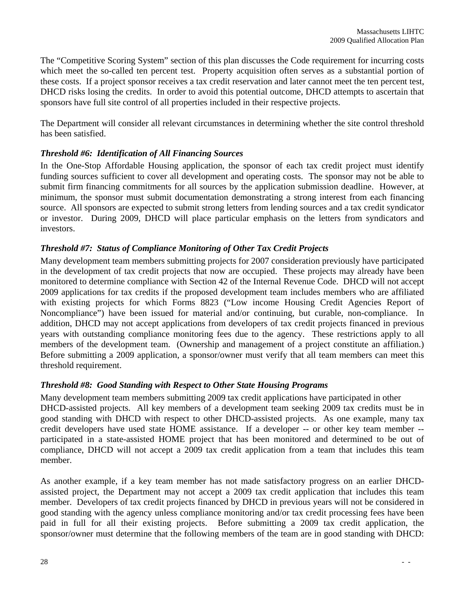The "Competitive Scoring System" section of this plan discusses the Code requirement for incurring costs which meet the so-called ten percent test. Property acquisition often serves as a substantial portion of these costs. If a project sponsor receives a tax credit reservation and later cannot meet the ten percent test, DHCD risks losing the credits. In order to avoid this potential outcome, DHCD attempts to ascertain that sponsors have full site control of all properties included in their respective projects.

The Department will consider all relevant circumstances in determining whether the site control threshold has been satisfied.

## *Threshold #6: Identification of All Financing Sources*

In the One-Stop Affordable Housing application, the sponsor of each tax credit project must identify funding sources sufficient to cover all development and operating costs. The sponsor may not be able to submit firm financing commitments for all sources by the application submission deadline. However, at minimum, the sponsor must submit documentation demonstrating a strong interest from each financing source. All sponsors are expected to submit strong letters from lending sources and a tax credit syndicator or investor. During 2009, DHCD will place particular emphasis on the letters from syndicators and investors.

## *Threshold #7: Status of Compliance Monitoring of Other Tax Credit Projects*

Many development team members submitting projects for 2007 consideration previously have participated in the development of tax credit projects that now are occupied. These projects may already have been monitored to determine compliance with Section 42 of the Internal Revenue Code. DHCD will not accept 2009 applications for tax credits if the proposed development team includes members who are affiliated with existing projects for which Forms 8823 ("Low income Housing Credit Agencies Report of Noncompliance") have been issued for material and/or continuing, but curable, non-compliance. In addition, DHCD may not accept applications from developers of tax credit projects financed in previous years with outstanding compliance monitoring fees due to the agency. These restrictions apply to all members of the development team. (Ownership and management of a project constitute an affiliation.) Before submitting a 2009 application, a sponsor/owner must verify that all team members can meet this threshold requirement.

## *Threshold #8: Good Standing with Respect to Other State Housing Programs*

Many development team members submitting 2009 tax credit applications have participated in other DHCD-assisted projects. All key members of a development team seeking 2009 tax credits must be in good standing with DHCD with respect to other DHCD-assisted projects. As one example, many tax credit developers have used state HOME assistance. If a developer -- or other key team member - participated in a state-assisted HOME project that has been monitored and determined to be out of compliance, DHCD will not accept a 2009 tax credit application from a team that includes this team member.

As another example, if a key team member has not made satisfactory progress on an earlier DHCDassisted project, the Department may not accept a 2009 tax credit application that includes this team member. Developers of tax credit projects financed by DHCD in previous years will not be considered in good standing with the agency unless compliance monitoring and/or tax credit processing fees have been paid in full for all their existing projects. Before submitting a 2009 tax credit application, the sponsor/owner must determine that the following members of the team are in good standing with DHCD: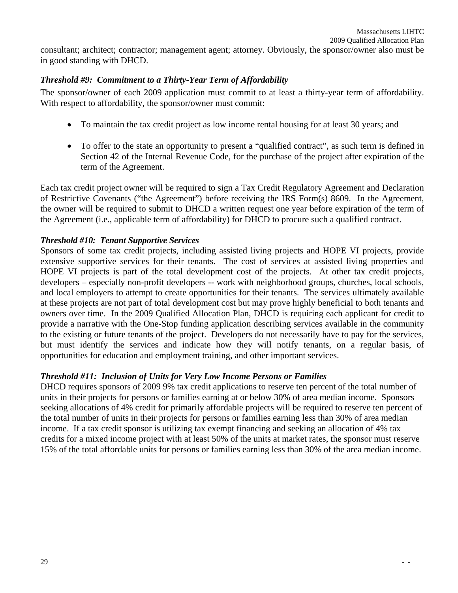consultant; architect; contractor; management agent; attorney. Obviously, the sponsor/owner also must be in good standing with DHCD.

## *Threshold #9: Commitment to a Thirty-Year Term of Affordability*

The sponsor/owner of each 2009 application must commit to at least a thirty-year term of affordability. With respect to affordability, the sponsor/owner must commit:

- To maintain the tax credit project as low income rental housing for at least 30 years; and
- To offer to the state an opportunity to present a "qualified contract", as such term is defined in Section 42 of the Internal Revenue Code, for the purchase of the project after expiration of the term of the Agreement.

Each tax credit project owner will be required to sign a Tax Credit Regulatory Agreement and Declaration of Restrictive Covenants ("the Agreement") before receiving the IRS Form(s) 8609. In the Agreement, the owner will be required to submit to DHCD a written request one year before expiration of the term of the Agreement (i.e., applicable term of affordability) for DHCD to procure such a qualified contract.

## *Threshold #10: Tenant Supportive Services*

Sponsors of some tax credit projects, including assisted living projects and HOPE VI projects, provide extensive supportive services for their tenants. The cost of services at assisted living properties and HOPE VI projects is part of the total development cost of the projects. At other tax credit projects, developers – especially non-profit developers -- work with neighborhood groups, churches, local schools, and local employers to attempt to create opportunities for their tenants. The services ultimately available at these projects are not part of total development cost but may prove highly beneficial to both tenants and owners over time. In the 2009 Qualified Allocation Plan, DHCD is requiring each applicant for credit to provide a narrative with the One-Stop funding application describing services available in the community to the existing or future tenants of the project. Developers do not necessarily have to pay for the services, but must identify the services and indicate how they will notify tenants, on a regular basis, of opportunities for education and employment training, and other important services.

## *Threshold #11: Inclusion of Units for Very Low Income Persons or Families*

DHCD requires sponsors of 2009 9% tax credit applications to reserve ten percent of the total number of units in their projects for persons or families earning at or below 30% of area median income. Sponsors seeking allocations of 4% credit for primarily affordable projects will be required to reserve ten percent of the total number of units in their projects for persons or families earning less than 30% of area median income. If a tax credit sponsor is utilizing tax exempt financing and seeking an allocation of 4% tax credits for a mixed income project with at least 50% of the units at market rates, the sponsor must reserve 15% of the total affordable units for persons or families earning less than 30% of the area median income.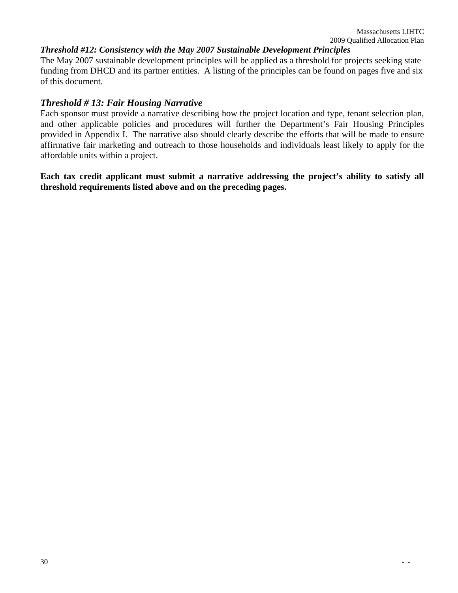## *Threshold #12: Consistency with the May 2007 Sustainable Development Principles*

The May 2007 sustainable development principles will be applied as a threshold for projects seeking state funding from DHCD and its partner entities. A listing of the principles can be found on pages five and six of this document.

## *Threshold # 13: Fair Housing Narrative*

Each sponsor must provide a narrative describing how the project location and type, tenant selection plan, and other applicable policies and procedures will further the Department's Fair Housing Principles provided in Appendix I. The narrative also should clearly describe the efforts that will be made to ensure affirmative fair marketing and outreach to those households and individuals least likely to apply for the affordable units within a project.

**Each tax credit applicant must submit a narrative addressing the project's ability to satisfy all threshold requirements listed above and on the preceding pages.**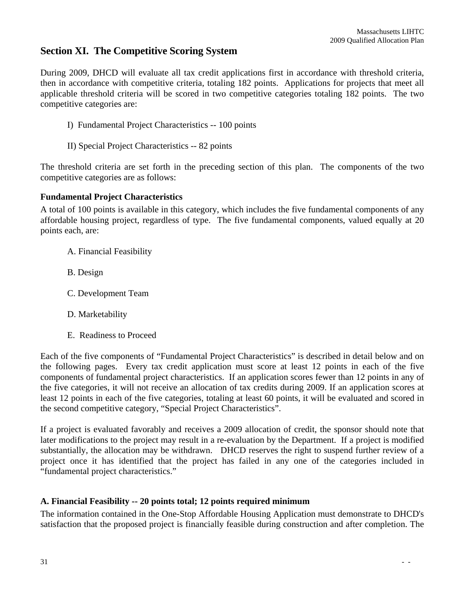## **Section XI. The Competitive Scoring System**

During 2009, DHCD will evaluate all tax credit applications first in accordance with threshold criteria, then in accordance with competitive criteria, totaling 182 points. Applications for projects that meet all applicable threshold criteria will be scored in two competitive categories totaling 182 points. The two competitive categories are:

- I) Fundamental Project Characteristics -- 100 points
- II) Special Project Characteristics -- 82 points

The threshold criteria are set forth in the preceding section of this plan. The components of the two competitive categories are as follows:

## **Fundamental Project Characteristics**

A total of 100 points is available in this category, which includes the five fundamental components of any affordable housing project, regardless of type. The five fundamental components, valued equally at 20 points each, are:

- A. Financial Feasibility
- B. Design
- C. Development Team
- D. Marketability
- E. Readiness to Proceed

Each of the five components of "Fundamental Project Characteristics" is described in detail below and on the following pages. Every tax credit application must score at least 12 points in each of the five components of fundamental project characteristics. If an application scores fewer than 12 points in any of the five categories, it will not receive an allocation of tax credits during 2009. If an application scores at least 12 points in each of the five categories, totaling at least 60 points, it will be evaluated and scored in the second competitive category, "Special Project Characteristics".

If a project is evaluated favorably and receives a 2009 allocation of credit, the sponsor should note that later modifications to the project may result in a re-evaluation by the Department. If a project is modified substantially, the allocation may be withdrawn. DHCD reserves the right to suspend further review of a project once it has identified that the project has failed in any one of the categories included in "fundamental project characteristics."

## **A. Financial Feasibility -- 20 points total; 12 points required minimum**

The information contained in the One-Stop Affordable Housing Application must demonstrate to DHCD's satisfaction that the proposed project is financially feasible during construction and after completion. The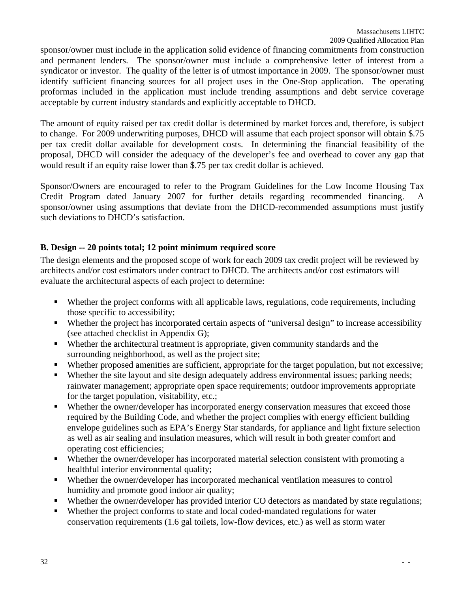sponsor/owner must include in the application solid evidence of financing commitments from construction and permanent lenders. The sponsor/owner must include a comprehensive letter of interest from a syndicator or investor. The quality of the letter is of utmost importance in 2009. The sponsor/owner must identify sufficient financing sources for all project uses in the One-Stop application. The operating proformas included in the application must include trending assumptions and debt service coverage acceptable by current industry standards and explicitly acceptable to DHCD.

The amount of equity raised per tax credit dollar is determined by market forces and, therefore, is subject to change. For 2009 underwriting purposes, DHCD will assume that each project sponsor will obtain \$.75 per tax credit dollar available for development costs. In determining the financial feasibility of the proposal, DHCD will consider the adequacy of the developer's fee and overhead to cover any gap that would result if an equity raise lower than \$.75 per tax credit dollar is achieved.

Sponsor/Owners are encouraged to refer to the Program Guidelines for the Low Income Housing Tax Credit Program dated January 2007 for further details regarding recommended financing. A sponsor/owner using assumptions that deviate from the DHCD-recommended assumptions must justify such deviations to DHCD's satisfaction.

## **B. Design -- 20 points total; 12 point minimum required score**

The design elements and the proposed scope of work for each 2009 tax credit project will be reviewed by architects and/or cost estimators under contract to DHCD. The architects and/or cost estimators will evaluate the architectural aspects of each project to determine:

- Whether the project conforms with all applicable laws, regulations, code requirements, including those specific to accessibility;
- Whether the project has incorporated certain aspects of "universal design" to increase accessibility (see attached checklist in Appendix G);
- Whether the architectural treatment is appropriate, given community standards and the surrounding neighborhood, as well as the project site;
- Whether proposed amenities are sufficient, appropriate for the target population, but not excessive;
- Whether the site layout and site design adequately address environmental issues; parking needs; rainwater management; appropriate open space requirements; outdoor improvements appropriate for the target population, visitability, etc.;
- Whether the owner/developer has incorporated energy conservation measures that exceed those required by the Building Code, and whether the project complies with energy efficient building envelope guidelines such as EPA's Energy Star standards, for appliance and light fixture selection as well as air sealing and insulation measures, which will result in both greater comfort and operating cost efficiencies;
- Whether the owner/developer has incorporated material selection consistent with promoting a healthful interior environmental quality;
- Whether the owner/developer has incorporated mechanical ventilation measures to control humidity and promote good indoor air quality;
- Whether the owner/developer has provided interior CO detectors as mandated by state regulations;
- Whether the project conforms to state and local coded-mandated regulations for water conservation requirements (1.6 gal toilets, low-flow devices, etc.) as well as storm water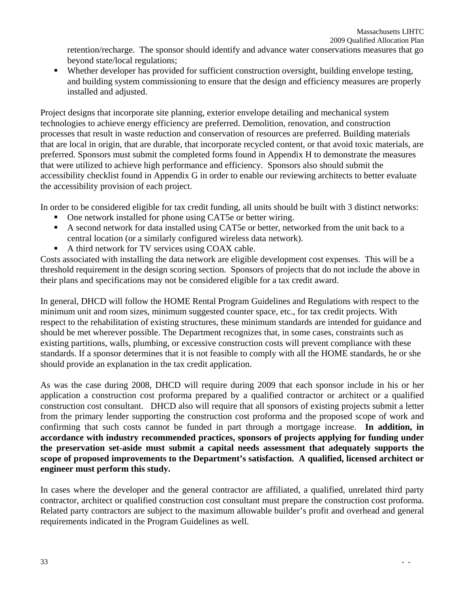retention/recharge. The sponsor should identify and advance water conservations measures that go beyond state/local regulations;

 Whether developer has provided for sufficient construction oversight, building envelope testing, and building system commissioning to ensure that the design and efficiency measures are properly installed and adjusted.

Project designs that incorporate site planning, exterior envelope detailing and mechanical system technologies to achieve energy efficiency are preferred. Demolition, renovation, and construction processes that result in waste reduction and conservation of resources are preferred. Building materials that are local in origin, that are durable, that incorporate recycled content, or that avoid toxic materials, are preferred. Sponsors must submit the completed forms found in Appendix H to demonstrate the measures that were utilized to achieve high performance and efficiency. Sponsors also should submit the accessibility checklist found in Appendix G in order to enable our reviewing architects to better evaluate the accessibility provision of each project.

In order to be considered eligible for tax credit funding, all units should be built with 3 distinct networks:

- One network installed for phone using CAT5e or better wiring.
- A second network for data installed using CAT5e or better, networked from the unit back to a central location (or a similarly configured wireless data network).
- A third network for TV services using COAX cable.

Costs associated with installing the data network are eligible development cost expenses. This will be a threshold requirement in the design scoring section. Sponsors of projects that do not include the above in their plans and specifications may not be considered eligible for a tax credit award.

In general, DHCD will follow the HOME Rental Program Guidelines and Regulations with respect to the minimum unit and room sizes, minimum suggested counter space, etc., for tax credit projects. With respect to the rehabilitation of existing structures, these minimum standards are intended for guidance and should be met wherever possible. The Department recognizes that, in some cases, constraints such as existing partitions, walls, plumbing, or excessive construction costs will prevent compliance with these standards. If a sponsor determines that it is not feasible to comply with all the HOME standards, he or she should provide an explanation in the tax credit application.

As was the case during 2008, DHCD will require during 2009 that each sponsor include in his or her application a construction cost proforma prepared by a qualified contractor or architect or a qualified construction cost consultant. DHCD also will require that all sponsors of existing projects submit a letter from the primary lender supporting the construction cost proforma and the proposed scope of work and confirming that such costs cannot be funded in part through a mortgage increase. **In addition, in accordance with industry recommended practices, sponsors of projects applying for funding under the preservation set-aside must submit a capital needs assessment that adequately supports the scope of proposed improvements to the Department's satisfaction. A qualified, licensed architect or engineer must perform this study.** 

In cases where the developer and the general contractor are affiliated, a qualified, unrelated third party contractor, architect or qualified construction cost consultant must prepare the construction cost proforma. Related party contractors are subject to the maximum allowable builder's profit and overhead and general requirements indicated in the Program Guidelines as well.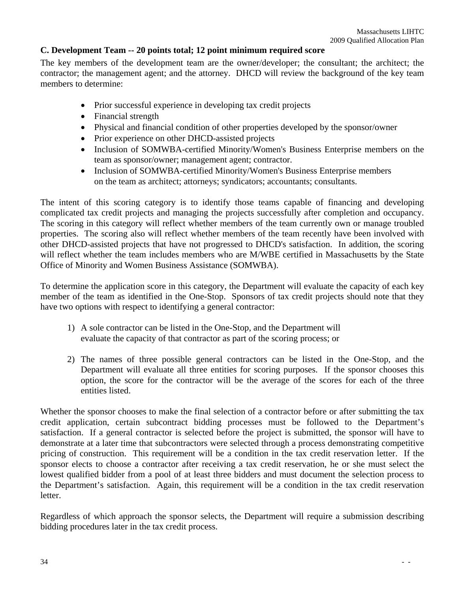## **C. Development Team -- 20 points total; 12 point minimum required score**

The key members of the development team are the owner/developer; the consultant; the architect; the contractor; the management agent; and the attorney. DHCD will review the background of the key team members to determine:

- Prior successful experience in developing tax credit projects
- Financial strength
- Physical and financial condition of other properties developed by the sponsor/owner
- Prior experience on other DHCD-assisted projects
- Inclusion of SOMWBA-certified Minority/Women's Business Enterprise members on the team as sponsor/owner; management agent; contractor.
- Inclusion of SOMWBA-certified Minority/Women's Business Enterprise members on the team as architect; attorneys; syndicators; accountants; consultants.

The intent of this scoring category is to identify those teams capable of financing and developing complicated tax credit projects and managing the projects successfully after completion and occupancy. The scoring in this category will reflect whether members of the team currently own or manage troubled properties. The scoring also will reflect whether members of the team recently have been involved with other DHCD-assisted projects that have not progressed to DHCD's satisfaction. In addition, the scoring will reflect whether the team includes members who are M/WBE certified in Massachusetts by the State Office of Minority and Women Business Assistance (SOMWBA).

To determine the application score in this category, the Department will evaluate the capacity of each key member of the team as identified in the One-Stop. Sponsors of tax credit projects should note that they have two options with respect to identifying a general contractor:

- 1) A sole contractor can be listed in the One-Stop, and the Department will evaluate the capacity of that contractor as part of the scoring process; or
- 2) The names of three possible general contractors can be listed in the One-Stop, and the Department will evaluate all three entities for scoring purposes. If the sponsor chooses this option, the score for the contractor will be the average of the scores for each of the three entities listed.

Whether the sponsor chooses to make the final selection of a contractor before or after submitting the tax credit application, certain subcontract bidding processes must be followed to the Department's satisfaction. If a general contractor is selected before the project is submitted, the sponsor will have to demonstrate at a later time that subcontractors were selected through a process demonstrating competitive pricing of construction. This requirement will be a condition in the tax credit reservation letter. If the sponsor elects to choose a contractor after receiving a tax credit reservation, he or she must select the lowest qualified bidder from a pool of at least three bidders and must document the selection process to the Department's satisfaction. Again, this requirement will be a condition in the tax credit reservation letter.

Regardless of which approach the sponsor selects, the Department will require a submission describing bidding procedures later in the tax credit process.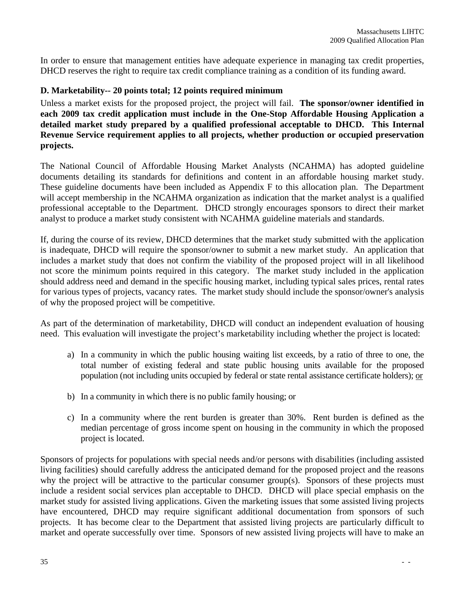In order to ensure that management entities have adequate experience in managing tax credit properties, DHCD reserves the right to require tax credit compliance training as a condition of its funding award.

## **D. Marketability-- 20 points total; 12 points required minimum**

Unless a market exists for the proposed project, the project will fail. **The sponsor/owner identified in each 2009 tax credit application must include in the One-Stop Affordable Housing Application a detailed market study prepared by a qualified professional acceptable to DHCD. This Internal Revenue Service requirement applies to all projects, whether production or occupied preservation projects.** 

The National Council of Affordable Housing Market Analysts (NCAHMA) has adopted guideline documents detailing its standards for definitions and content in an affordable housing market study. These guideline documents have been included as Appendix F to this allocation plan. The Department will accept membership in the NCAHMA organization as indication that the market analyst is a qualified professional acceptable to the Department. DHCD strongly encourages sponsors to direct their market analyst to produce a market study consistent with NCAHMA guideline materials and standards.

If, during the course of its review, DHCD determines that the market study submitted with the application is inadequate, DHCD will require the sponsor/owner to submit a new market study. An application that includes a market study that does not confirm the viability of the proposed project will in all likelihood not score the minimum points required in this category. The market study included in the application should address need and demand in the specific housing market, including typical sales prices, rental rates for various types of projects, vacancy rates. The market study should include the sponsor/owner's analysis of why the proposed project will be competitive.

As part of the determination of marketability, DHCD will conduct an independent evaluation of housing need. This evaluation will investigate the project's marketability including whether the project is located:

- a) In a community in which the public housing waiting list exceeds, by a ratio of three to one, the total number of existing federal and state public housing units available for the proposed population (not including units occupied by federal or state rental assistance certificate holders); or
- b) In a community in which there is no public family housing; or
- c) In a community where the rent burden is greater than 30%. Rent burden is defined as the median percentage of gross income spent on housing in the community in which the proposed project is located.

Sponsors of projects for populations with special needs and/or persons with disabilities (including assisted living facilities) should carefully address the anticipated demand for the proposed project and the reasons why the project will be attractive to the particular consumer group(s). Sponsors of these projects must include a resident social services plan acceptable to DHCD. DHCD will place special emphasis on the market study for assisted living applications. Given the marketing issues that some assisted living projects have encountered, DHCD may require significant additional documentation from sponsors of such projects. It has become clear to the Department that assisted living projects are particularly difficult to market and operate successfully over time. Sponsors of new assisted living projects will have to make an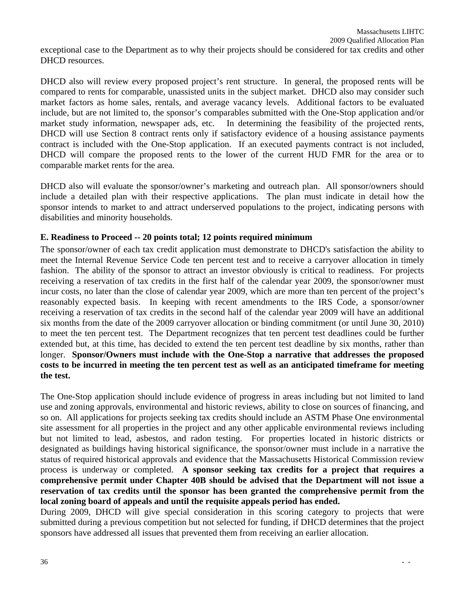exceptional case to the Department as to why their projects should be considered for tax credits and other DHCD resources.

DHCD also will review every proposed project's rent structure. In general, the proposed rents will be compared to rents for comparable, unassisted units in the subject market. DHCD also may consider such market factors as home sales, rentals, and average vacancy levels. Additional factors to be evaluated include, but are not limited to, the sponsor's comparables submitted with the One-Stop application and/or market study information, newspaper ads, etc. In determining the feasibility of the projected rents, DHCD will use Section 8 contract rents only if satisfactory evidence of a housing assistance payments contract is included with the One-Stop application. If an executed payments contract is not included, DHCD will compare the proposed rents to the lower of the current HUD FMR for the area or to comparable market rents for the area.

DHCD also will evaluate the sponsor/owner's marketing and outreach plan. All sponsor/owners should include a detailed plan with their respective applications. The plan must indicate in detail how the sponsor intends to market to and attract underserved populations to the project, indicating persons with disabilities and minority households.

## **E. Readiness to Proceed -- 20 points total; 12 points required minimum**

The sponsor/owner of each tax credit application must demonstrate to DHCD's satisfaction the ability to meet the Internal Revenue Service Code ten percent test and to receive a carryover allocation in timely fashion. The ability of the sponsor to attract an investor obviously is critical to readiness. For projects receiving a reservation of tax credits in the first half of the calendar year 2009, the sponsor/owner must incur costs, no later than the close of calendar year 2009, which are more than ten percent of the project's reasonably expected basis. In keeping with recent amendments to the IRS Code, a sponsor/owner receiving a reservation of tax credits in the second half of the calendar year 2009 will have an additional six months from the date of the 2009 carryover allocation or binding commitment (or until June 30, 2010) to meet the ten percent test. The Department recognizes that ten percent test deadlines could be further extended but, at this time, has decided to extend the ten percent test deadline by six months, rather than longer. **Sponsor/Owners must include with the One-Stop a narrative that addresses the proposed costs to be incurred in meeting the ten percent test as well as an anticipated timeframe for meeting the test.**

The One-Stop application should include evidence of progress in areas including but not limited to land use and zoning approvals, environmental and historic reviews, ability to close on sources of financing, and so on. All applications for projects seeking tax credits should include an ASTM Phase One environmental site assessment for all properties in the project and any other applicable environmental reviews including but not limited to lead, asbestos, and radon testing. For properties located in historic districts or designated as buildings having historical significance, the sponsor/owner must include in a narrative the status of required historical approvals and evidence that the Massachusetts Historical Commission review process is underway or completed. **A sponsor seeking tax credits for a project that requires a comprehensive permit under Chapter 40B should be advised that the Department will not issue a reservation of tax credits until the sponsor has been granted the comprehensive permit from the local zoning board of appeals and until the requisite appeals period has ended.** 

During 2009, DHCD will give special consideration in this scoring category to projects that were submitted during a previous competition but not selected for funding, if DHCD determines that the project sponsors have addressed all issues that prevented them from receiving an earlier allocation.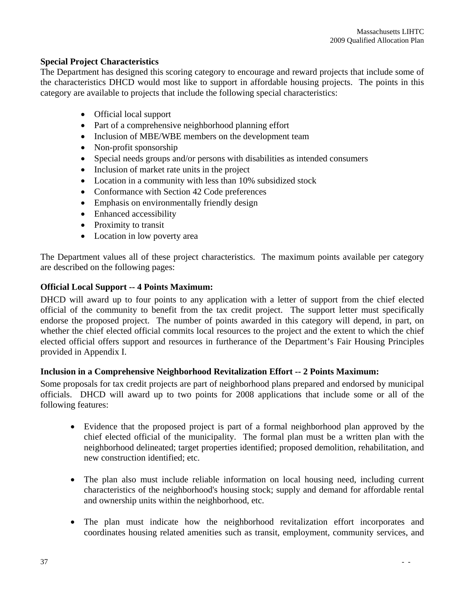## **Special Project Characteristics**

The Department has designed this scoring category to encourage and reward projects that include some of the characteristics DHCD would most like to support in affordable housing projects. The points in this category are available to projects that include the following special characteristics:

- Official local support
- Part of a comprehensive neighborhood planning effort
- Inclusion of MBE/WBE members on the development team
- Non-profit sponsorship
- Special needs groups and/or persons with disabilities as intended consumers
- Inclusion of market rate units in the project
- Location in a community with less than 10% subsidized stock
- Conformance with Section 42 Code preferences
- Emphasis on environmentally friendly design
- Enhanced accessibility
- Proximity to transit
- Location in low poverty area

The Department values all of these project characteristics. The maximum points available per category are described on the following pages:

## **Official Local Support -- 4 Points Maximum:**

DHCD will award up to four points to any application with a letter of support from the chief elected official of the community to benefit from the tax credit project. The support letter must specifically endorse the proposed project. The number of points awarded in this category will depend, in part, on whether the chief elected official commits local resources to the project and the extent to which the chief elected official offers support and resources in furtherance of the Department's Fair Housing Principles provided in Appendix I.

## **Inclusion in a Comprehensive Neighborhood Revitalization Effort -- 2 Points Maximum:**

Some proposals for tax credit projects are part of neighborhood plans prepared and endorsed by municipal officials. DHCD will award up to two points for 2008 applications that include some or all of the following features:

- Evidence that the proposed project is part of a formal neighborhood plan approved by the chief elected official of the municipality. The formal plan must be a written plan with the neighborhood delineated; target properties identified; proposed demolition, rehabilitation, and new construction identified; etc.
- The plan also must include reliable information on local housing need, including current characteristics of the neighborhood's housing stock; supply and demand for affordable rental and ownership units within the neighborhood, etc.
- The plan must indicate how the neighborhood revitalization effort incorporates and coordinates housing related amenities such as transit, employment, community services, and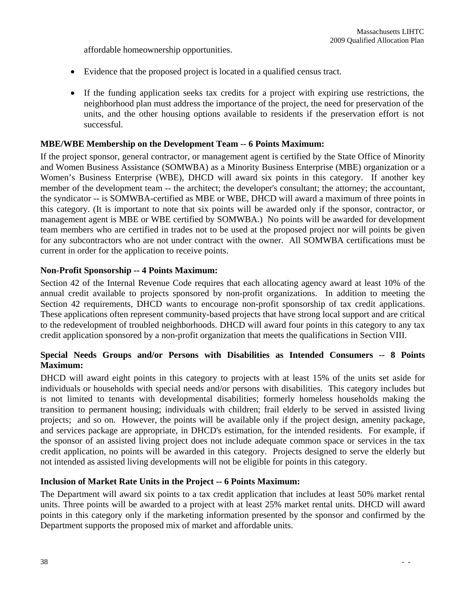affordable homeownership opportunities.

- Evidence that the proposed project is located in a qualified census tract.
- If the funding application seeks tax credits for a project with expiring use restrictions, the neighborhood plan must address the importance of the project, the need for preservation of the units, and the other housing options available to residents if the preservation effort is not successful.

## **MBE/WBE Membership on the Development Team -- 6 Points Maximum:**

If the project sponsor, general contractor, or management agent is certified by the State Office of Minority and Women Business Assistance (SOMWBA) as a Minority Business Enterprise (MBE) organization or a Women's Business Enterprise (WBE), DHCD will award six points in this category. If another key member of the development team -- the architect; the developer's consultant; the attorney; the accountant, the syndicator -- is SOMWBA-certified as MBE or WBE, DHCD will award a maximum of three points in this category. (It is important to note that six points will be awarded only if the sponsor, contractor, or management agent is MBE or WBE certified by SOMWBA.) No points will be awarded for development team members who are certified in trades not to be used at the proposed project nor will points be given for any subcontractors who are not under contract with the owner. All SOMWBA certifications must be current in order for the application to receive points.

## **Non-Profit Sponsorship -- 4 Points Maximum:**

Section 42 of the Internal Revenue Code requires that each allocating agency award at least 10% of the annual credit available to projects sponsored by non-profit organizations. In addition to meeting the Section 42 requirements, DHCD wants to encourage non-profit sponsorship of tax credit applications. These applications often represent community-based projects that have strong local support and are critical to the redevelopment of troubled neighborhoods. DHCD will award four points in this category to any tax credit application sponsored by a non-profit organization that meets the qualifications in Section VIII.

## **Special Needs Groups and/or Persons with Disabilities as Intended Consumers -- 8 Points Maximum:**

DHCD will award eight points in this category to projects with at least 15% of the units set aside for individuals or households with special needs and/or persons with disabilities. This category includes but is not limited to tenants with developmental disabilities; formerly homeless households making the transition to permanent housing; individuals with children; frail elderly to be served in assisted living projects; and so on. However, the points will be available only if the project design, amenity package, and services package are appropriate, in DHCD's estimation, for the intended residents. For example, if the sponsor of an assisted living project does not include adequate common space or services in the tax credit application, no points will be awarded in this category. Projects designed to serve the elderly but not intended as assisted living developments will not be eligible for points in this category.

## **Inclusion of Market Rate Units in the Project -- 6 Points Maximum:**

The Department will award six points to a tax credit application that includes at least 50% market rental units. Three points will be awarded to a project with at least 25% market rental units. DHCD will award points in this category only if the marketing information presented by the sponsor and confirmed by the Department supports the proposed mix of market and affordable units.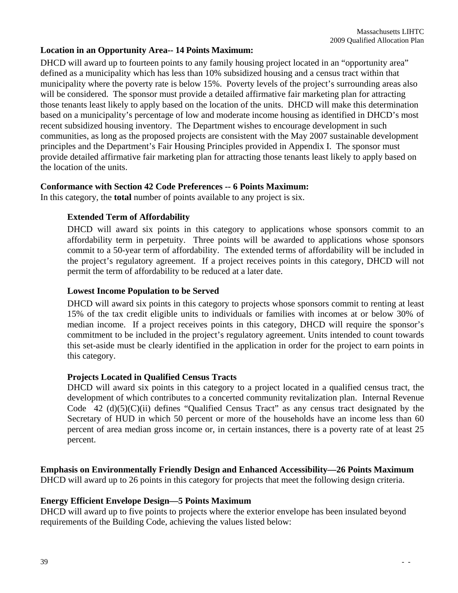## **Location in an Opportunity Area-- 14 Points Maximum:**

DHCD will award up to fourteen points to any family housing project located in an "opportunity area" defined as a municipality which has less than 10% subsidized housing and a census tract within that municipality where the poverty rate is below 15%. Poverty levels of the project's surrounding areas also will be considered. The sponsor must provide a detailed affirmative fair marketing plan for attracting those tenants least likely to apply based on the location of the units. DHCD will make this determination based on a municipality's percentage of low and moderate income housing as identified in DHCD's most recent subsidized housing inventory. The Department wishes to encourage development in such communities, as long as the proposed projects are consistent with the May 2007 sustainable development principles and the Department's Fair Housing Principles provided in Appendix I. The sponsor must provide detailed affirmative fair marketing plan for attracting those tenants least likely to apply based on the location of the units.

## **Conformance with Section 42 Code Preferences -- 6 Points Maximum:**

In this category, the **total** number of points available to any project is six.

## **Extended Term of Affordability**

DHCD will award six points in this category to applications whose sponsors commit to an affordability term in perpetuity. Three points will be awarded to applications whose sponsors commit to a 50-year term of affordability. The extended terms of affordability will be included in the project's regulatory agreement. If a project receives points in this category, DHCD will not permit the term of affordability to be reduced at a later date.

## **Lowest Income Population to be Served**

DHCD will award six points in this category to projects whose sponsors commit to renting at least 15% of the tax credit eligible units to individuals or families with incomes at or below 30% of median income. If a project receives points in this category, DHCD will require the sponsor's commitment to be included in the project's regulatory agreement. Units intended to count towards this set-aside must be clearly identified in the application in order for the project to earn points in this category.

## **Projects Located in Qualified Census Tracts**

DHCD will award six points in this category to a project located in a qualified census tract, the development of which contributes to a concerted community revitalization plan. Internal Revenue Code  $42$  (d)(5)(C)(ii) defines "Qualified Census Tract" as any census tract designated by the Secretary of HUD in which 50 percent or more of the households have an income less than 60 percent of area median gross income or, in certain instances, there is a poverty rate of at least 25 percent.

**Emphasis on Environmentally Friendly Design and Enhanced Accessibility—26 Points Maximum**  DHCD will award up to 26 points in this category for projects that meet the following design criteria.

## **Energy Efficient Envelope Design—5 Points Maximum**

DHCD will award up to five points to projects where the exterior envelope has been insulated beyond requirements of the Building Code, achieving the values listed below: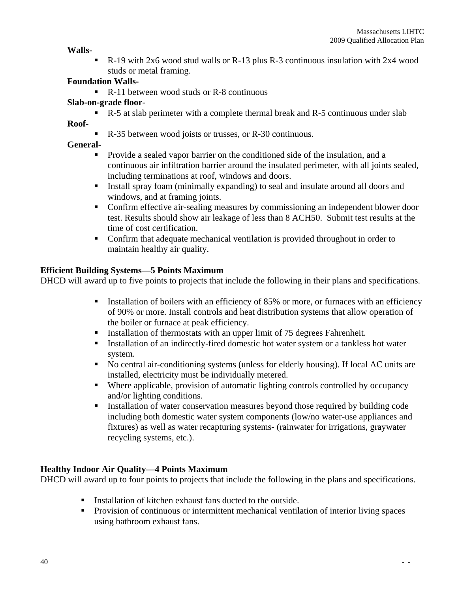## **Walls-**

R-19 with 2x6 wood stud walls or R-13 plus R-3 continuous insulation with 2x4 wood studs or metal framing.

## **Foundation Walls-**

 $\blacksquare$  R-11 between wood studs or R-8 continuous

## **Slab-on-grade floor**-

R-5 at slab perimeter with a complete thermal break and R-5 continuous under slab

## **Roof-**

R-35 between wood joists or trusses, or R-30 continuous.

## **General-**

- Provide a sealed vapor barrier on the conditioned side of the insulation, and a continuous air infiltration barrier around the insulated perimeter, with all joints sealed, including terminations at roof, windows and doors.
- Install spray foam (minimally expanding) to seal and insulate around all doors and windows, and at framing joints.
- Confirm effective air-sealing measures by commissioning an independent blower door test. Results should show air leakage of less than 8 ACH50. Submit test results at the time of cost certification.
- Confirm that adequate mechanical ventilation is provided throughout in order to maintain healthy air quality.

## **Efficient Building Systems—5 Points Maximum**

DHCD will award up to five points to projects that include the following in their plans and specifications.

- Installation of boilers with an efficiency of 85% or more, or furnaces with an efficiency of 90% or more. Install controls and heat distribution systems that allow operation of the boiler or furnace at peak efficiency.
- Installation of thermostats with an upper limit of 75 degrees Fahrenheit.
- Installation of an indirectly-fired domestic hot water system or a tankless hot water system.
- No central air-conditioning systems (unless for elderly housing). If local AC units are installed, electricity must be individually metered.
- Where applicable, provision of automatic lighting controls controlled by occupancy and/or lighting conditions.
- Installation of water conservation measures beyond those required by building code including both domestic water system components (low/no water-use appliances and fixtures) as well as water recapturing systems- (rainwater for irrigations, graywater recycling systems, etc.).

## **Healthy Indoor Air Quality—4 Points Maximum**

DHCD will award up to four points to projects that include the following in the plans and specifications.

- **Installation of kitchen exhaust fans ducted to the outside.**
- **Provision of continuous or intermittent mechanical ventilation of interior living spaces** using bathroom exhaust fans.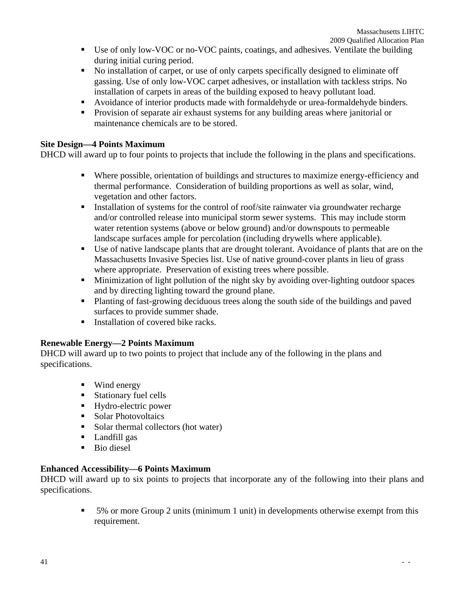- Use of only low-VOC or no-VOC paints, coatings, and adhesives. Ventilate the building during initial curing period.
- No installation of carpet, or use of only carpets specifically designed to eliminate off gassing. Use of only low-VOC carpet adhesives, or installation with tackless strips. No installation of carpets in areas of the building exposed to heavy pollutant load.
- Avoidance of interior products made with formaldehyde or urea-formaldehyde binders.
- **Provision of separate air exhaust systems for any building areas where janitorial or** maintenance chemicals are to be stored.

## **Site Design—4 Points Maximum**

DHCD will award up to four points to projects that include the following in the plans and specifications.

- Where possible, orientation of buildings and structures to maximize energy-efficiency and thermal performance. Consideration of building proportions as well as solar, wind, vegetation and other factors.
- Installation of systems for the control of roof/site rainwater via groundwater recharge and/or controlled release into municipal storm sewer systems. This may include storm water retention systems (above or below ground) and/or downspouts to permeable landscape surfaces ample for percolation (including drywells where applicable).
- Use of native landscape plants that are drought tolerant. Avoidance of plants that are on the Massachusetts Invasive Species list. Use of native ground-cover plants in lieu of grass where appropriate. Preservation of existing trees where possible.
- **Minimization of light pollution of the night sky by avoiding over-lighting outdoor spaces** and by directing lighting toward the ground plane.
- Planting of fast-growing deciduous trees along the south side of the buildings and paved surfaces to provide summer shade.
- Installation of covered bike racks.

## **Renewable Energy—2 Points Maximum**

DHCD will award up to two points to project that include any of the following in the plans and specifications.

- Wind energy
- **Stationary fuel cells**
- Hydro-electric power
- **Solar Photovoltaics**
- Solar thermal collectors (hot water)
- **Landfill gas**
- Bio diesel

## **Enhanced Accessibility—6 Points Maximum**

DHCD will award up to six points to projects that incorporate any of the following into their plans and specifications.

> 5% or more Group 2 units (minimum 1 unit) in developments otherwise exempt from this requirement.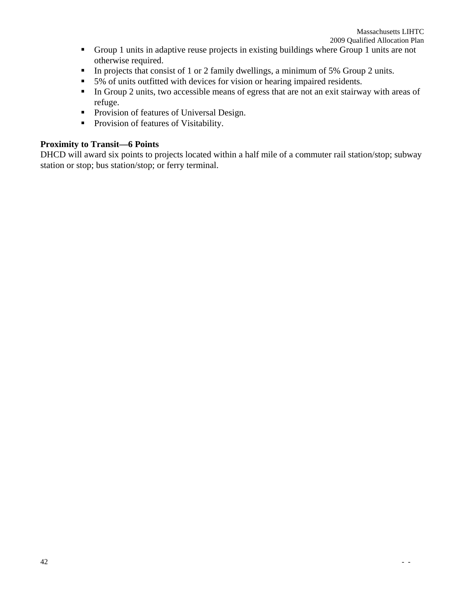- Group 1 units in adaptive reuse projects in existing buildings where Group 1 units are not otherwise required.
- In projects that consist of 1 or 2 family dwellings, a minimum of 5% Group 2 units.
- 5% of units outfitted with devices for vision or hearing impaired residents.
- In Group 2 units, two accessible means of egress that are not an exit stairway with areas of refuge.
- **Provision of features of Universal Design.**
- **Provision of features of Visitability.**

## **Proximity to Transit—6 Points**

DHCD will award six points to projects located within a half mile of a commuter rail station/stop; subway station or stop; bus station/stop; or ferry terminal.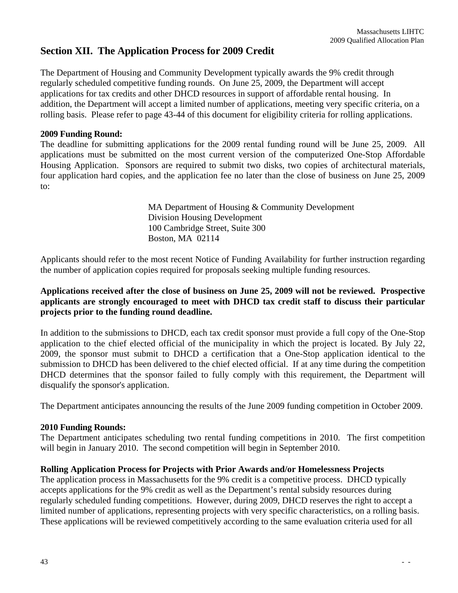# **Section XII. The Application Process for 2009 Credit**

The Department of Housing and Community Development typically awards the 9% credit through regularly scheduled competitive funding rounds. On June 25, 2009, the Department will accept applications for tax credits and other DHCD resources in support of affordable rental housing. In addition, the Department will accept a limited number of applications, meeting very specific criteria, on a rolling basis. Please refer to page 43-44 of this document for eligibility criteria for rolling applications.

## **2009 Funding Round:**

The deadline for submitting applications for the 2009 rental funding round will be June 25, 2009. All applications must be submitted on the most current version of the computerized One-Stop Affordable Housing Application. Sponsors are required to submit two disks, two copies of architectural materials, four application hard copies, and the application fee no later than the close of business on June 25, 2009 to:

> MA Department of Housing & Community Development Division Housing Development 100 Cambridge Street, Suite 300 Boston, MA 02114

Applicants should refer to the most recent Notice of Funding Availability for further instruction regarding the number of application copies required for proposals seeking multiple funding resources.

## **Applications received after the close of business on June 25, 2009 will not be reviewed. Prospective applicants are strongly encouraged to meet with DHCD tax credit staff to discuss their particular projects prior to the funding round deadline.**

In addition to the submissions to DHCD, each tax credit sponsor must provide a full copy of the One-Stop application to the chief elected official of the municipality in which the project is located. By July 22, 2009, the sponsor must submit to DHCD a certification that a One-Stop application identical to the submission to DHCD has been delivered to the chief elected official. If at any time during the competition DHCD determines that the sponsor failed to fully comply with this requirement, the Department will disqualify the sponsor's application.

The Department anticipates announcing the results of the June 2009 funding competition in October 2009.

## **2010 Funding Rounds:**

The Department anticipates scheduling two rental funding competitions in 2010. The first competition will begin in January 2010. The second competition will begin in September 2010.

## **Rolling Application Process for Projects with Prior Awards and/or Homelessness Projects**

The application process in Massachusetts for the 9% credit is a competitive process. DHCD typically accepts applications for the 9% credit as well as the Department's rental subsidy resources during regularly scheduled funding competitions. However, during 2009, DHCD reserves the right to accept a limited number of applications, representing projects with very specific characteristics, on a rolling basis. These applications will be reviewed competitively according to the same evaluation criteria used for all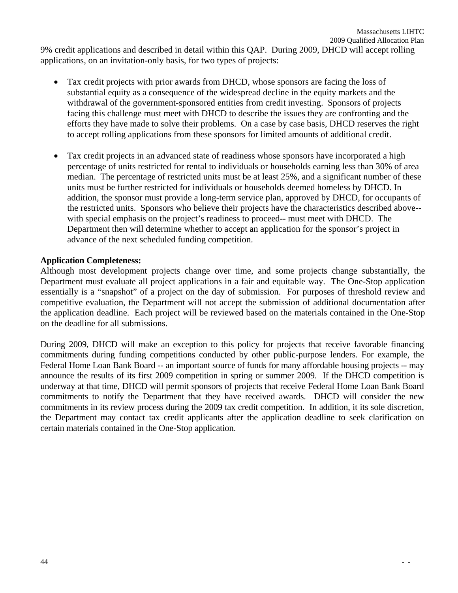- Tax credit projects with prior awards from DHCD, whose sponsors are facing the loss of substantial equity as a consequence of the widespread decline in the equity markets and the withdrawal of the government-sponsored entities from credit investing. Sponsors of projects facing this challenge must meet with DHCD to describe the issues they are confronting and the efforts they have made to solve their problems. On a case by case basis, DHCD reserves the right to accept rolling applications from these sponsors for limited amounts of additional credit.
- Tax credit projects in an advanced state of readiness whose sponsors have incorporated a high percentage of units restricted for rental to individuals or households earning less than 30% of area median. The percentage of restricted units must be at least 25%, and a significant number of these units must be further restricted for individuals or households deemed homeless by DHCD. In addition, the sponsor must provide a long-term service plan, approved by DHCD, for occupants of the restricted units. Sponsors who believe their projects have the characteristics described above- with special emphasis on the project's readiness to proceed-- must meet with DHCD. The Department then will determine whether to accept an application for the sponsor's project in advance of the next scheduled funding competition.

## **Application Completeness:**

Although most development projects change over time, and some projects change substantially, the Department must evaluate all project applications in a fair and equitable way. The One-Stop application essentially is a "snapshot" of a project on the day of submission. For purposes of threshold review and competitive evaluation, the Department will not accept the submission of additional documentation after the application deadline. Each project will be reviewed based on the materials contained in the One-Stop on the deadline for all submissions.

During 2009, DHCD will make an exception to this policy for projects that receive favorable financing commitments during funding competitions conducted by other public-purpose lenders. For example, the Federal Home Loan Bank Board -- an important source of funds for many affordable housing projects -- may announce the results of its first 2009 competition in spring or summer 2009. If the DHCD competition is underway at that time, DHCD will permit sponsors of projects that receive Federal Home Loan Bank Board commitments to notify the Department that they have received awards. DHCD will consider the new commitments in its review process during the 2009 tax credit competition. In addition, it its sole discretion, the Department may contact tax credit applicants after the application deadline to seek clarification on certain materials contained in the One-Stop application.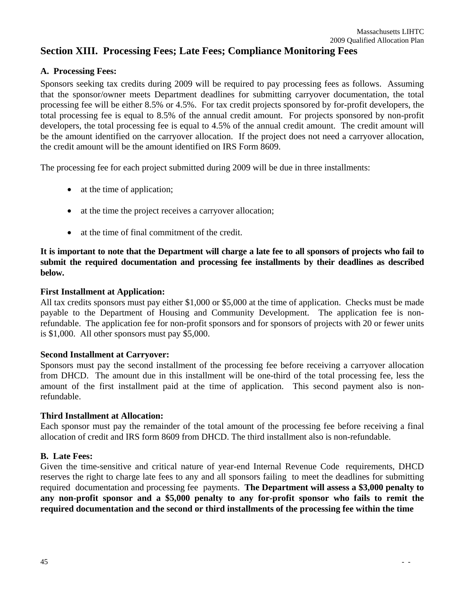Massachusetts LIHTC 2009 Qualified Allocation Plan

# **Section XIII. Processing Fees; Late Fees; Compliance Monitoring Fees**

### **A. Processing Fees:**

Sponsors seeking tax credits during 2009 will be required to pay processing fees as follows. Assuming that the sponsor/owner meets Department deadlines for submitting carryover documentation, the total processing fee will be either 8.5% or 4.5%. For tax credit projects sponsored by for-profit developers, the total processing fee is equal to 8.5% of the annual credit amount. For projects sponsored by non-profit developers, the total processing fee is equal to 4.5% of the annual credit amount. The credit amount will be the amount identified on the carryover allocation. If the project does not need a carryover allocation, the credit amount will be the amount identified on IRS Form 8609.

The processing fee for each project submitted during 2009 will be due in three installments:

- at the time of application;
- at the time the project receives a carryover allocation;
- at the time of final commitment of the credit.

**It is important to note that the Department will charge a late fee to all sponsors of projects who fail to submit the required documentation and processing fee installments by their deadlines as described below.** 

#### **First Installment at Application:**

All tax credits sponsors must pay either \$1,000 or \$5,000 at the time of application. Checks must be made payable to the Department of Housing and Community Development. The application fee is nonrefundable. The application fee for non-profit sponsors and for sponsors of projects with 20 or fewer units is \$1,000. All other sponsors must pay \$5,000.

#### **Second Installment at Carryover:**

Sponsors must pay the second installment of the processing fee before receiving a carryover allocation from DHCD. The amount due in this installment will be one-third of the total processing fee, less the amount of the first installment paid at the time of application. This second payment also is nonrefundable.

#### **Third Installment at Allocation:**

Each sponsor must pay the remainder of the total amount of the processing fee before receiving a final allocation of credit and IRS form 8609 from DHCD. The third installment also is non-refundable.

#### **B. Late Fees:**

Given the time-sensitive and critical nature of year-end Internal Revenue Code requirements, DHCD reserves the right to charge late fees to any and all sponsors failing to meet the deadlines for submitting required documentation and processing fee payments. **The Department will assess a \$3,000 penalty to any non-profit sponsor and a \$5,000 penalty to any for-profit sponsor who fails to remit the required documentation and the second or third installments of the processing fee within the time**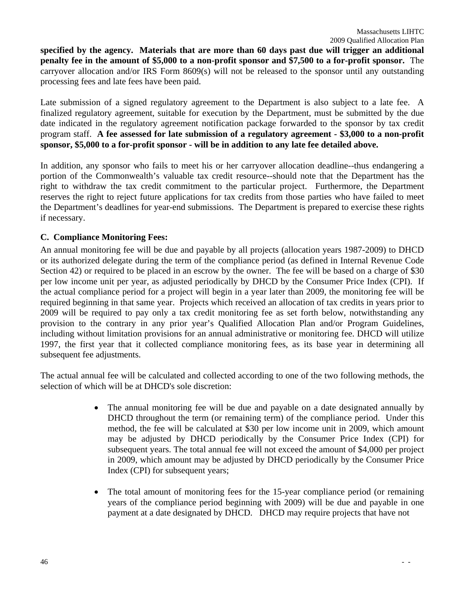**specified by the agency. Materials that are more than 60 days past due will trigger an additional penalty fee in the amount of \$5,000 to a non-profit sponsor and \$7,500 to a for-profit sponsor.** The carryover allocation and/or IRS Form 8609(s) will not be released to the sponsor until any outstanding processing fees and late fees have been paid.

Late submission of a signed regulatory agreement to the Department is also subject to a late fee. A finalized regulatory agreement, suitable for execution by the Department, must be submitted by the due date indicated in the regulatory agreement notification package forwarded to the sponsor by tax credit program staff. **A fee assessed for late submission of a regulatory agreement - \$3,000 to a non-profit sponsor, \$5,000 to a for-profit sponsor - will be in addition to any late fee detailed above.**

In addition, any sponsor who fails to meet his or her carryover allocation deadline--thus endangering a portion of the Commonwealth's valuable tax credit resource--should note that the Department has the right to withdraw the tax credit commitment to the particular project. Furthermore, the Department reserves the right to reject future applications for tax credits from those parties who have failed to meet the Department's deadlines for year-end submissions. The Department is prepared to exercise these rights if necessary.

## **C. Compliance Monitoring Fees:**

An annual monitoring fee will be due and payable by all projects (allocation years 1987-2009) to DHCD or its authorized delegate during the term of the compliance period (as defined in Internal Revenue Code Section 42) or required to be placed in an escrow by the owner. The fee will be based on a charge of \$30 per low income unit per year, as adjusted periodically by DHCD by the Consumer Price Index (CPI). If the actual compliance period for a project will begin in a year later than 2009, the monitoring fee will be required beginning in that same year. Projects which received an allocation of tax credits in years prior to 2009 will be required to pay only a tax credit monitoring fee as set forth below, notwithstanding any provision to the contrary in any prior year's Qualified Allocation Plan and/or Program Guidelines, including without limitation provisions for an annual administrative or monitoring fee. DHCD will utilize 1997, the first year that it collected compliance monitoring fees, as its base year in determining all subsequent fee adjustments.

The actual annual fee will be calculated and collected according to one of the two following methods, the selection of which will be at DHCD's sole discretion:

- The annual monitoring fee will be due and payable on a date designated annually by DHCD throughout the term (or remaining term) of the compliance period. Under this method, the fee will be calculated at \$30 per low income unit in 2009, which amount may be adjusted by DHCD periodically by the Consumer Price Index (CPI) for subsequent years. The total annual fee will not exceed the amount of \$4,000 per project in 2009, which amount may be adjusted by DHCD periodically by the Consumer Price Index (CPI) for subsequent years;
- The total amount of monitoring fees for the 15-year compliance period (or remaining years of the compliance period beginning with 2009) will be due and payable in one payment at a date designated by DHCD. DHCD may require projects that have not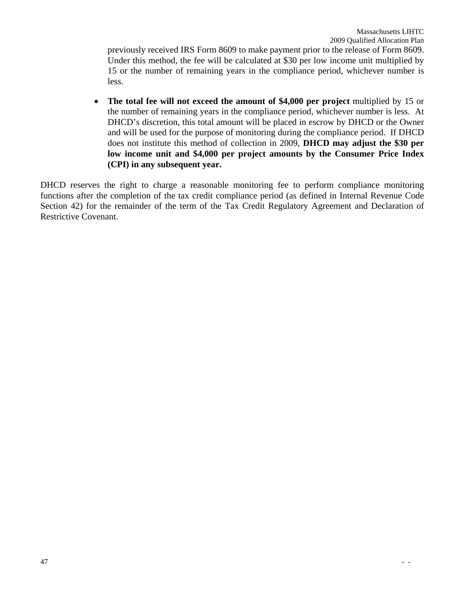Under this method, the fee will be calculated at \$30 per low income unit multiplied by 15 or the number of remaining years in the compliance period, whichever number is less.

• **The total fee will not exceed the amount of \$4,000 per project** multiplied by 15 or the number of remaining years in the compliance period, whichever number is less. At DHCD's discretion, this total amount will be placed in escrow by DHCD or the Owner and will be used for the purpose of monitoring during the compliance period. If DHCD does not institute this method of collection in 2009, **DHCD may adjust the \$30 per low income unit and \$4,000 per project amounts by the Consumer Price Index (CPI) in any subsequent year.** 

DHCD reserves the right to charge a reasonable monitoring fee to perform compliance monitoring functions after the completion of the tax credit compliance period (as defined in Internal Revenue Code Section 42) for the remainder of the term of the Tax Credit Regulatory Agreement and Declaration of Restrictive Covenant.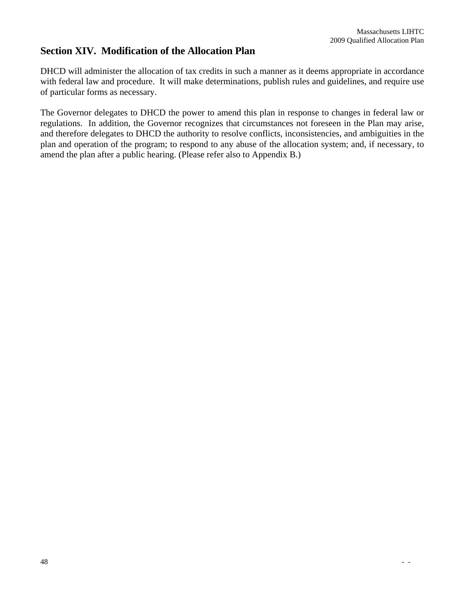# **Section XIV. Modification of the Allocation Plan**

DHCD will administer the allocation of tax credits in such a manner as it deems appropriate in accordance with federal law and procedure. It will make determinations, publish rules and guidelines, and require use of particular forms as necessary.

The Governor delegates to DHCD the power to amend this plan in response to changes in federal law or regulations. In addition, the Governor recognizes that circumstances not foreseen in the Plan may arise, and therefore delegates to DHCD the authority to resolve conflicts, inconsistencies, and ambiguities in the plan and operation of the program; to respond to any abuse of the allocation system; and, if necessary, to amend the plan after a public hearing. (Please refer also to Appendix B.)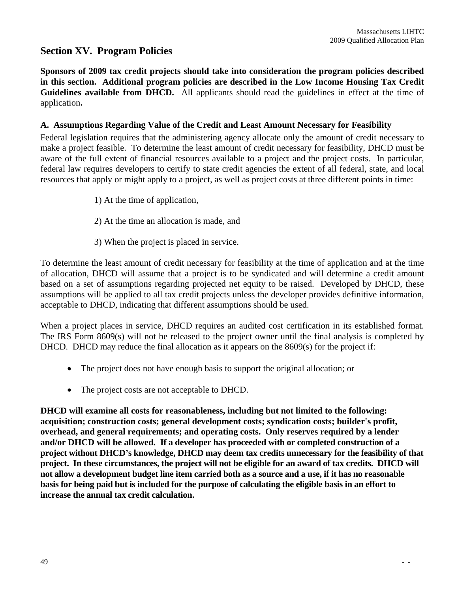# **Section XV. Program Policies**

**Sponsors of 2009 tax credit projects should take into consideration the program policies described in this section. Additional program policies are described in the Low Income Housing Tax Credit Guidelines available from DHCD.** All applicants should read the guidelines in effect at the time of application**.** 

## **A. Assumptions Regarding Value of the Credit and Least Amount Necessary for Feasibility**

Federal legislation requires that the administering agency allocate only the amount of credit necessary to make a project feasible. To determine the least amount of credit necessary for feasibility, DHCD must be aware of the full extent of financial resources available to a project and the project costs. In particular, federal law requires developers to certify to state credit agencies the extent of all federal, state, and local resources that apply or might apply to a project, as well as project costs at three different points in time:

- 1) At the time of application,
- 2) At the time an allocation is made, and
- 3) When the project is placed in service.

To determine the least amount of credit necessary for feasibility at the time of application and at the time of allocation, DHCD will assume that a project is to be syndicated and will determine a credit amount based on a set of assumptions regarding projected net equity to be raised. Developed by DHCD, these assumptions will be applied to all tax credit projects unless the developer provides definitive information, acceptable to DHCD, indicating that different assumptions should be used.

When a project places in service, DHCD requires an audited cost certification in its established format. The IRS Form 8609(s) will not be released to the project owner until the final analysis is completed by DHCD. DHCD may reduce the final allocation as it appears on the 8609(s) for the project if:

- The project does not have enough basis to support the original allocation; or
- The project costs are not acceptable to DHCD.

**DHCD will examine all costs for reasonableness, including but not limited to the following: acquisition; construction costs; general development costs; syndication costs; builder's profit, overhead, and general requirements; and operating costs. Only reserves required by a lender and/or DHCD will be allowed. If a developer has proceeded with or completed construction of a project without DHCD's knowledge, DHCD may deem tax credits unnecessary for the feasibility of that project. In these circumstances, the project will not be eligible for an award of tax credits. DHCD will not allow a development budget line item carried both as a source and a use, if it has no reasonable basis for being paid but is included for the purpose of calculating the eligible basis in an effort to increase the annual tax credit calculation.**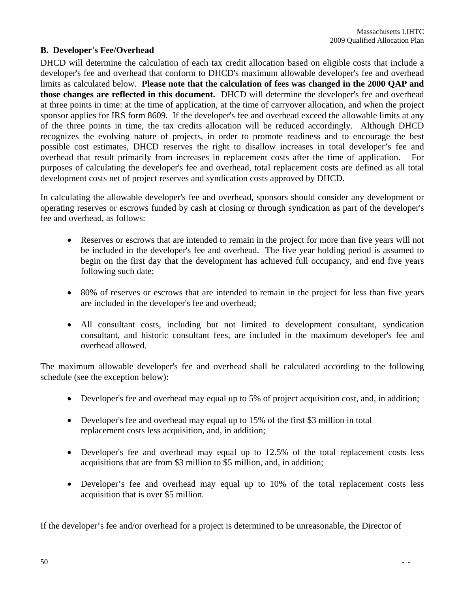## **B. Developer's Fee/Overhead**

DHCD will determine the calculation of each tax credit allocation based on eligible costs that include a developer's fee and overhead that conform to DHCD's maximum allowable developer's fee and overhead limits as calculated below. **Please note that the calculation of fees was changed in the 2000 QAP and those changes are reflected in this document.** DHCD will determine the developer's fee and overhead at three points in time: at the time of application, at the time of carryover allocation, and when the project sponsor applies for IRS form 8609. If the developer's fee and overhead exceed the allowable limits at any of the three points in time, the tax credits allocation will be reduced accordingly. Although DHCD recognizes the evolving nature of projects, in order to promote readiness and to encourage the best possible cost estimates, DHCD reserves the right to disallow increases in total developer's fee and overhead that result primarily from increases in replacement costs after the time of application. For purposes of calculating the developer's fee and overhead, total replacement costs are defined as all total development costs net of project reserves and syndication costs approved by DHCD.

In calculating the allowable developer's fee and overhead, sponsors should consider any development or operating reserves or escrows funded by cash at closing or through syndication as part of the developer's fee and overhead, as follows:

- Reserves or escrows that are intended to remain in the project for more than five years will not be included in the developer's fee and overhead. The five year holding period is assumed to begin on the first day that the development has achieved full occupancy, and end five years following such date;
- 80% of reserves or escrows that are intended to remain in the project for less than five years are included in the developer's fee and overhead;
- All consultant costs, including but not limited to development consultant, syndication consultant, and historic consultant fees, are included in the maximum developer's fee and overhead allowed.

The maximum allowable developer's fee and overhead shall be calculated according to the following schedule (see the exception below):

- Developer's fee and overhead may equal up to 5% of project acquisition cost, and, in addition;
- Developer's fee and overhead may equal up to 15% of the first \$3 million in total replacement costs less acquisition, and, in addition;
- Developer's fee and overhead may equal up to 12.5% of the total replacement costs less acquisitions that are from \$3 million to \$5 million, and, in addition;
- Developer's fee and overhead may equal up to 10% of the total replacement costs less acquisition that is over \$5 million.

If the developer's fee and/or overhead for a project is determined to be unreasonable, the Director of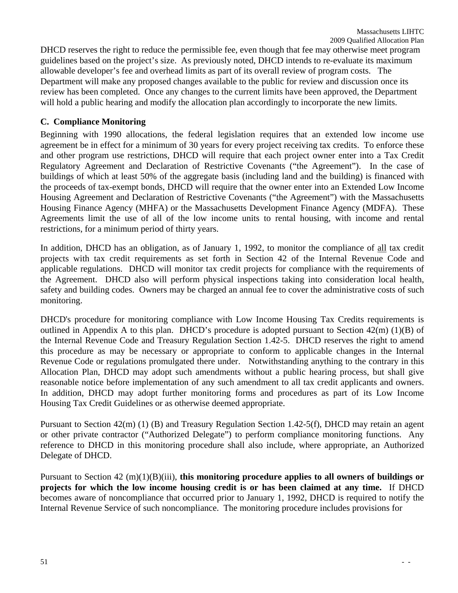DHCD reserves the right to reduce the permissible fee, even though that fee may otherwise meet program guidelines based on the project's size. As previously noted, DHCD intends to re-evaluate its maximum allowable developer's fee and overhead limits as part of its overall review of program costs. The Department will make any proposed changes available to the public for review and discussion once its review has been completed. Once any changes to the current limits have been approved, the Department will hold a public hearing and modify the allocation plan accordingly to incorporate the new limits.

## **C. Compliance Monitoring**

Beginning with 1990 allocations, the federal legislation requires that an extended low income use agreement be in effect for a minimum of 30 years for every project receiving tax credits. To enforce these and other program use restrictions, DHCD will require that each project owner enter into a Tax Credit Regulatory Agreement and Declaration of Restrictive Covenants ("the Agreement"). In the case of buildings of which at least 50% of the aggregate basis (including land and the building) is financed with the proceeds of tax-exempt bonds, DHCD will require that the owner enter into an Extended Low Income Housing Agreement and Declaration of Restrictive Covenants ("the Agreement") with the Massachusetts Housing Finance Agency (MHFA) or the Massachusetts Development Finance Agency (MDFA). These Agreements limit the use of all of the low income units to rental housing, with income and rental restrictions, for a minimum period of thirty years.

In addition, DHCD has an obligation, as of January 1, 1992, to monitor the compliance of all tax credit projects with tax credit requirements as set forth in Section 42 of the Internal Revenue Code and applicable regulations. DHCD will monitor tax credit projects for compliance with the requirements of the Agreement. DHCD also will perform physical inspections taking into consideration local health, safety and building codes. Owners may be charged an annual fee to cover the administrative costs of such monitoring.

DHCD's procedure for monitoring compliance with Low Income Housing Tax Credits requirements is outlined in Appendix A to this plan. DHCD's procedure is adopted pursuant to Section 42(m) (1)(B) of the Internal Revenue Code and Treasury Regulation Section 1.42-5. DHCD reserves the right to amend this procedure as may be necessary or appropriate to conform to applicable changes in the Internal Revenue Code or regulations promulgated there under. Notwithstanding anything to the contrary in this Allocation Plan, DHCD may adopt such amendments without a public hearing process, but shall give reasonable notice before implementation of any such amendment to all tax credit applicants and owners. In addition, DHCD may adopt further monitoring forms and procedures as part of its Low Income Housing Tax Credit Guidelines or as otherwise deemed appropriate.

Pursuant to Section 42(m) (1) (B) and Treasury Regulation Section 1.42-5(f), DHCD may retain an agent or other private contractor ("Authorized Delegate") to perform compliance monitoring functions. Any reference to DHCD in this monitoring procedure shall also include, where appropriate, an Authorized Delegate of DHCD.

Pursuant to Section 42 (m)(1)(B)(iii), **this monitoring procedure applies to all owners of buildings or projects for which the low income housing credit is or has been claimed at any time.** If DHCD becomes aware of noncompliance that occurred prior to January 1, 1992, DHCD is required to notify the Internal Revenue Service of such noncompliance. The monitoring procedure includes provisions for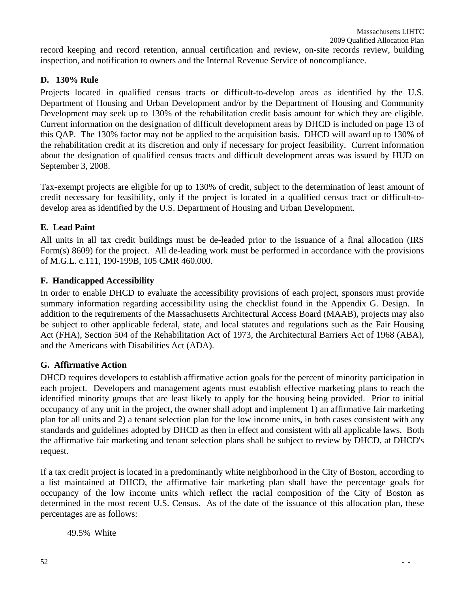record keeping and record retention, annual certification and review, on-site records review, building inspection, and notification to owners and the Internal Revenue Service of noncompliance.

## **D. 130% Rule**

Projects located in qualified census tracts or difficult-to-develop areas as identified by the U.S. Department of Housing and Urban Development and/or by the Department of Housing and Community Development may seek up to 130% of the rehabilitation credit basis amount for which they are eligible. Current information on the designation of difficult development areas by DHCD is included on page 13 of this QAP. The 130% factor may not be applied to the acquisition basis. DHCD will award up to 130% of the rehabilitation credit at its discretion and only if necessary for project feasibility. Current information about the designation of qualified census tracts and difficult development areas was issued by HUD on September 3, 2008.

Tax-exempt projects are eligible for up to 130% of credit, subject to the determination of least amount of credit necessary for feasibility, only if the project is located in a qualified census tract or difficult-todevelop area as identified by the U.S. Department of Housing and Urban Development.

## **E. Lead Paint**

All units in all tax credit buildings must be de-leaded prior to the issuance of a final allocation (IRS Form(s) 8609) for the project. All de-leading work must be performed in accordance with the provisions of M.G.L. c.111, 190-199B, 105 CMR 460.000.

## **F. Handicapped Accessibility**

In order to enable DHCD to evaluate the accessibility provisions of each project, sponsors must provide summary information regarding accessibility using the checklist found in the Appendix G. Design. In addition to the requirements of the Massachusetts Architectural Access Board (MAAB), projects may also be subject to other applicable federal, state, and local statutes and regulations such as the Fair Housing Act (FHA), Section 504 of the Rehabilitation Act of 1973, the Architectural Barriers Act of 1968 (ABA), and the Americans with Disabilities Act (ADA).

## **G. Affirmative Action**

DHCD requires developers to establish affirmative action goals for the percent of minority participation in each project. Developers and management agents must establish effective marketing plans to reach the identified minority groups that are least likely to apply for the housing being provided. Prior to initial occupancy of any unit in the project, the owner shall adopt and implement 1) an affirmative fair marketing plan for all units and 2) a tenant selection plan for the low income units, in both cases consistent with any standards and guidelines adopted by DHCD as then in effect and consistent with all applicable laws. Both the affirmative fair marketing and tenant selection plans shall be subject to review by DHCD, at DHCD's request.

If a tax credit project is located in a predominantly white neighborhood in the City of Boston, according to a list maintained at DHCD, the affirmative fair marketing plan shall have the percentage goals for occupancy of the low income units which reflect the racial composition of the City of Boston as determined in the most recent U.S. Census. As of the date of the issuance of this allocation plan, these percentages are as follows:

49.5% White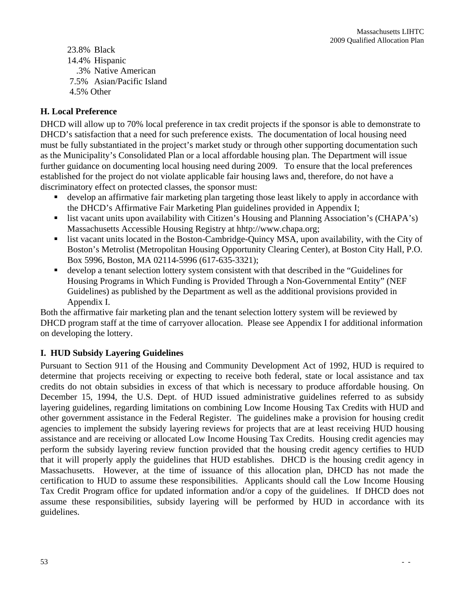23.8% Black 14.4% Hispanic .3% Native American 7.5% Asian/Pacific Island 4.5% Other

## **H. Local Preference**

DHCD will allow up to 70% local preference in tax credit projects if the sponsor is able to demonstrate to DHCD's satisfaction that a need for such preference exists. The documentation of local housing need must be fully substantiated in the project's market study or through other supporting documentation such as the Municipality's Consolidated Plan or a local affordable housing plan. The Department will issue further guidance on documenting local housing need during 2009. To ensure that the local preferences established for the project do not violate applicable fair housing laws and, therefore, do not have a discriminatory effect on protected classes, the sponsor must:

- develop an affirmative fair marketing plan targeting those least likely to apply in accordance with the DHCD's Affirmative Fair Marketing Plan guidelines provided in Appendix I;
- list vacant units upon availability with Citizen's Housing and Planning Association's (CHAPA's) Massachusetts Accessible Housing Registry at hhtp://www.chapa.org;
- **Example 1** list vacant units located in the Boston-Cambridge-Quincy MSA, upon availability, with the City of Boston's Metrolist (Metropolitan Housing Opportunity Clearing Center), at Boston City Hall, P.O. Box 5996, Boston, MA 02114-5996 (617-635-3321);
- develop a tenant selection lottery system consistent with that described in the "Guidelines for Housing Programs in Which Funding is Provided Through a Non-Governmental Entity" (NEF Guidelines) as published by the Department as well as the additional provisions provided in Appendix I.

Both the affirmative fair marketing plan and the tenant selection lottery system will be reviewed by DHCD program staff at the time of carryover allocation. Please see Appendix I for additional information on developing the lottery.

# **I. HUD Subsidy Layering Guidelines**

Pursuant to Section 911 of the Housing and Community Development Act of 1992, HUD is required to determine that projects receiving or expecting to receive both federal, state or local assistance and tax credits do not obtain subsidies in excess of that which is necessary to produce affordable housing. On December 15, 1994, the U.S. Dept. of HUD issued administrative guidelines referred to as subsidy layering guidelines, regarding limitations on combining Low Income Housing Tax Credits with HUD and other government assistance in the Federal Register. The guidelines make a provision for housing credit agencies to implement the subsidy layering reviews for projects that are at least receiving HUD housing assistance and are receiving or allocated Low Income Housing Tax Credits. Housing credit agencies may perform the subsidy layering review function provided that the housing credit agency certifies to HUD that it will properly apply the guidelines that HUD establishes. DHCD is the housing credit agency in Massachusetts. However, at the time of issuance of this allocation plan, DHCD has not made the certification to HUD to assume these responsibilities. Applicants should call the Low Income Housing Tax Credit Program office for updated information and/or a copy of the guidelines. If DHCD does not assume these responsibilities, subsidy layering will be performed by HUD in accordance with its guidelines.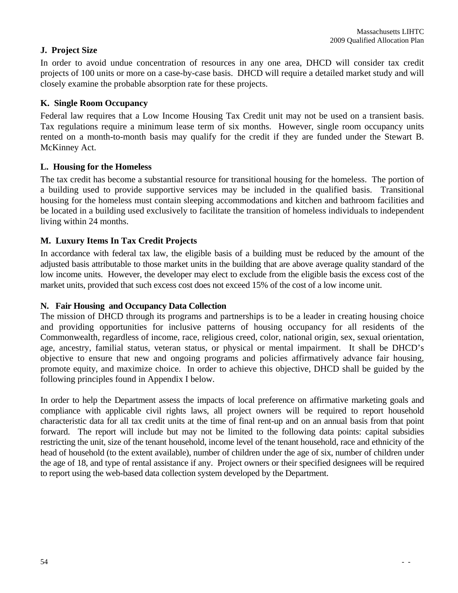## **J. Project Size**

In order to avoid undue concentration of resources in any one area, DHCD will consider tax credit projects of 100 units or more on a case-by-case basis. DHCD will require a detailed market study and will closely examine the probable absorption rate for these projects.

## **K. Single Room Occupancy**

Federal law requires that a Low Income Housing Tax Credit unit may not be used on a transient basis. Tax regulations require a minimum lease term of six months. However, single room occupancy units rented on a month-to-month basis may qualify for the credit if they are funded under the Stewart B. McKinney Act.

## **L. Housing for the Homeless**

The tax credit has become a substantial resource for transitional housing for the homeless. The portion of a building used to provide supportive services may be included in the qualified basis. Transitional housing for the homeless must contain sleeping accommodations and kitchen and bathroom facilities and be located in a building used exclusively to facilitate the transition of homeless individuals to independent living within 24 months.

## **M. Luxury Items In Tax Credit Projects**

In accordance with federal tax law, the eligible basis of a building must be reduced by the amount of the adjusted basis attributable to those market units in the building that are above average quality standard of the low income units. However, the developer may elect to exclude from the eligible basis the excess cost of the market units, provided that such excess cost does not exceed 15% of the cost of a low income unit.

## **N. Fair Housing and Occupancy Data Collection**

The mission of DHCD through its programs and partnerships is to be a leader in creating housing choice and providing opportunities for inclusive patterns of housing occupancy for all residents of the Commonwealth, regardless of income, race, religious creed, color, national origin, sex, sexual orientation, age, ancestry, familial status, veteran status, or physical or mental impairment. It shall be DHCD's objective to ensure that new and ongoing programs and policies affirmatively advance fair housing, promote equity, and maximize choice. In order to achieve this objective, DHCD shall be guided by the following principles found in Appendix I below.

In order to help the Department assess the impacts of local preference on affirmative marketing goals and compliance with applicable civil rights laws, all project owners will be required to report household characteristic data for all tax credit units at the time of final rent-up and on an annual basis from that point forward. The report will include but may not be limited to the following data points: capital subsidies restricting the unit, size of the tenant household, income level of the tenant household, race and ethnicity of the head of household (to the extent available), number of children under the age of six, number of children under the age of 18, and type of rental assistance if any. Project owners or their specified designees will be required to report using the web-based data collection system developed by the Department.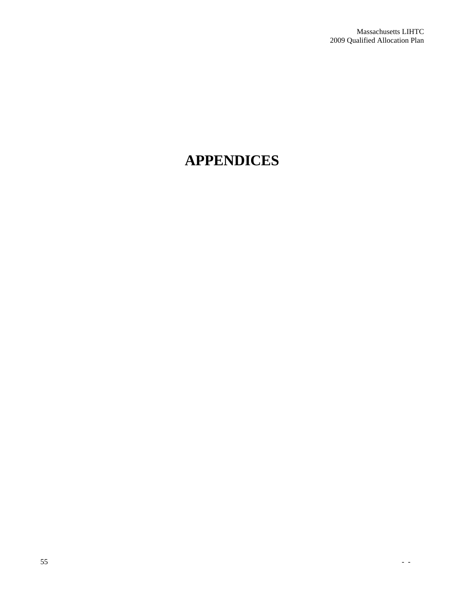# **APPENDICES**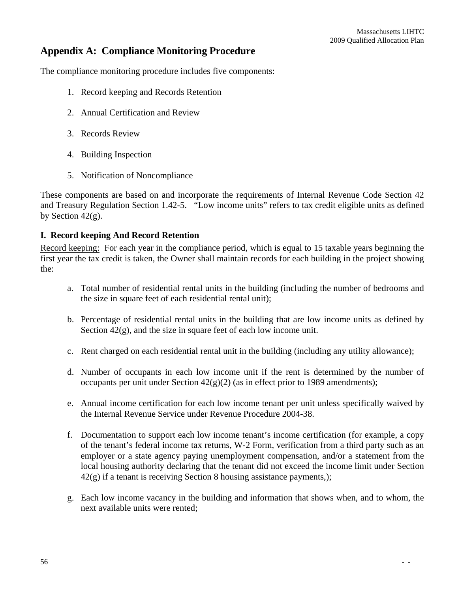# **Appendix A: Compliance Monitoring Procedure**

The compliance monitoring procedure includes five components:

- 1. Record keeping and Records Retention
- 2. Annual Certification and Review
- 3. Records Review
- 4. Building Inspection
- 5. Notification of Noncompliance

These components are based on and incorporate the requirements of Internal Revenue Code Section 42 and Treasury Regulation Section 1.42-5. "Low income units" refers to tax credit eligible units as defined by Section  $42(g)$ .

## **I. Record keeping And Record Retention**

Record keeping: For each year in the compliance period, which is equal to 15 taxable years beginning the first year the tax credit is taken, the Owner shall maintain records for each building in the project showing the:

- a. Total number of residential rental units in the building (including the number of bedrooms and the size in square feet of each residential rental unit);
- b. Percentage of residential rental units in the building that are low income units as defined by Section  $42(g)$ , and the size in square feet of each low income unit.
- c. Rent charged on each residential rental unit in the building (including any utility allowance);
- d. Number of occupants in each low income unit if the rent is determined by the number of occupants per unit under Section  $42(g)(2)$  (as in effect prior to 1989 amendments);
- e. Annual income certification for each low income tenant per unit unless specifically waived by the Internal Revenue Service under Revenue Procedure 2004-38.
- f. Documentation to support each low income tenant's income certification (for example, a copy of the tenant's federal income tax returns, W-2 Form, verification from a third party such as an employer or a state agency paying unemployment compensation, and/or a statement from the local housing authority declaring that the tenant did not exceed the income limit under Section  $42(g)$  if a tenant is receiving Section 8 housing assistance payments,);
- g. Each low income vacancy in the building and information that shows when, and to whom, the next available units were rented;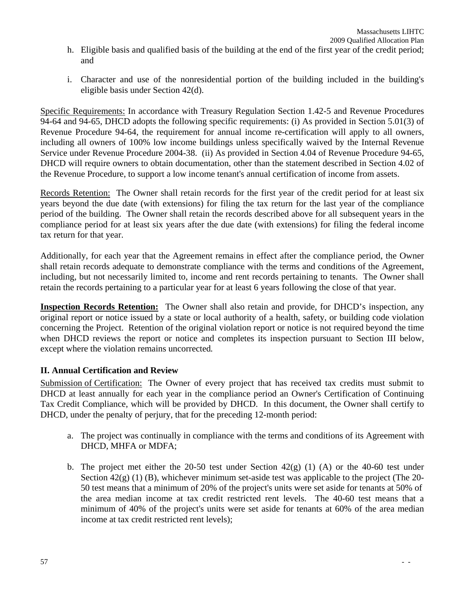- h. Eligible basis and qualified basis of the building at the end of the first year of the credit period; and
- i. Character and use of the nonresidential portion of the building included in the building's eligible basis under Section 42(d).

Specific Requirements: In accordance with Treasury Regulation Section 1.42-5 and Revenue Procedures 94-64 and 94-65, DHCD adopts the following specific requirements: (i) As provided in Section 5.01(3) of Revenue Procedure 94-64, the requirement for annual income re-certification will apply to all owners, including all owners of 100% low income buildings unless specifically waived by the Internal Revenue Service under Revenue Procedure 2004-38. (ii) As provided in Section 4.04 of Revenue Procedure 94-65, DHCD will require owners to obtain documentation, other than the statement described in Section 4.02 of the Revenue Procedure, to support a low income tenant's annual certification of income from assets.

Records Retention: The Owner shall retain records for the first year of the credit period for at least six years beyond the due date (with extensions) for filing the tax return for the last year of the compliance period of the building. The Owner shall retain the records described above for all subsequent years in the compliance period for at least six years after the due date (with extensions) for filing the federal income tax return for that year.

Additionally, for each year that the Agreement remains in effect after the compliance period, the Owner shall retain records adequate to demonstrate compliance with the terms and conditions of the Agreement, including, but not necessarily limited to, income and rent records pertaining to tenants. The Owner shall retain the records pertaining to a particular year for at least 6 years following the close of that year.

**Inspection Records Retention:** The Owner shall also retain and provide, for DHCD's inspection, any original report or notice issued by a state or local authority of a health, safety, or building code violation concerning the Project. Retention of the original violation report or notice is not required beyond the time when DHCD reviews the report or notice and completes its inspection pursuant to Section III below, except where the violation remains uncorrected*.* 

## **II. Annual Certification and Review**

Submission of Certification: The Owner of every project that has received tax credits must submit to DHCD at least annually for each year in the compliance period an Owner's Certification of Continuing Tax Credit Compliance, which will be provided by DHCD. In this document, the Owner shall certify to DHCD, under the penalty of perjury, that for the preceding 12-month period:

- a. The project was continually in compliance with the terms and conditions of its Agreement with DHCD, MHFA or MDFA;
- b. The project met either the 20-50 test under Section  $42(g)$  (1) (A) or the 40-60 test under Section 42(g) (1) (B), whichever minimum set-aside test was applicable to the project (The 20-50 test means that a minimum of 20% of the project's units were set aside for tenants at 50% of the area median income at tax credit restricted rent levels. The 40-60 test means that a minimum of 40% of the project's units were set aside for tenants at 60% of the area median income at tax credit restricted rent levels);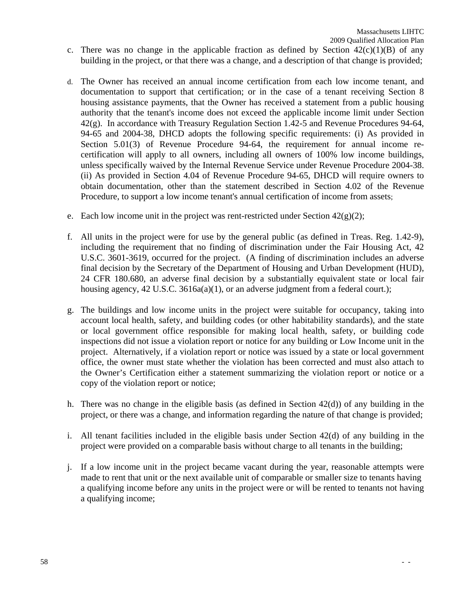Massachusetts LIHTC

2009 Qualified Allocation Plan

- c. There was no change in the applicable fraction as defined by Section  $42(c)(1)(B)$  of any building in the project, or that there was a change, and a description of that change is provided;
- d. The Owner has received an annual income certification from each low income tenant, and documentation to support that certification; or in the case of a tenant receiving Section 8 housing assistance payments, that the Owner has received a statement from a public housing authority that the tenant's income does not exceed the applicable income limit under Section 42(g). In accordance with Treasury Regulation Section 1.42-5 and Revenue Procedures 94-64, 94-65 and 2004-38, DHCD adopts the following specific requirements: (i) As provided in Section 5.01(3) of Revenue Procedure 94-64, the requirement for annual income recertification will apply to all owners, including all owners of 100% low income buildings, unless specifically waived by the Internal Revenue Service under Revenue Procedure 2004-38. (ii) As provided in Section 4.04 of Revenue Procedure 94-65, DHCD will require owners to obtain documentation, other than the statement described in Section 4.02 of the Revenue Procedure, to support a low income tenant's annual certification of income from assets;
- e. Each low income unit in the project was rent-restricted under Section  $42(g)(2)$ ;
- f. All units in the project were for use by the general public (as defined in Treas. Reg. 1.42-9), including the requirement that no finding of discrimination under the Fair Housing Act, 42 U.S.C. 3601-3619, occurred for the project. (A finding of discrimination includes an adverse final decision by the Secretary of the Department of Housing and Urban Development (HUD), 24 CFR 180.680, an adverse final decision by a substantially equivalent state or local fair housing agency, 42 U.S.C. 3616a(a)(1), or an adverse judgment from a federal court.);
- g. The buildings and low income units in the project were suitable for occupancy, taking into account local health, safety, and building codes (or other habitability standards), and the state or local government office responsible for making local health, safety, or building code inspections did not issue a violation report or notice for any building or Low Income unit in the project. Alternatively, if a violation report or notice was issued by a state or local government office, the owner must state whether the violation has been corrected and must also attach to the Owner's Certification either a statement summarizing the violation report or notice or a copy of the violation report or notice;
- h. There was no change in the eligible basis (as defined in Section 42(d)) of any building in the project, or there was a change, and information regarding the nature of that change is provided;
- i. All tenant facilities included in the eligible basis under Section 42(d) of any building in the project were provided on a comparable basis without charge to all tenants in the building;
- j. If a low income unit in the project became vacant during the year, reasonable attempts were made to rent that unit or the next available unit of comparable or smaller size to tenants having a qualifying income before any units in the project were or will be rented to tenants not having a qualifying income;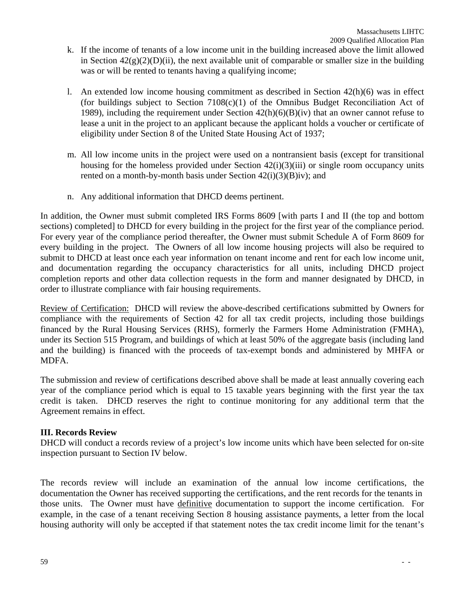- k. If the income of tenants of a low income unit in the building increased above the limit allowed in Section  $42(g)(2)(D)(ii)$ , the next available unit of comparable or smaller size in the building was or will be rented to tenants having a qualifying income;
- l. An extended low income housing commitment as described in Section 42(h)(6) was in effect (for buildings subject to Section  $7108(c)(1)$  of the Omnibus Budget Reconciliation Act of 1989), including the requirement under Section  $42(h)(6)(B)(iv)$  that an owner cannot refuse to lease a unit in the project to an applicant because the applicant holds a voucher or certificate of eligibility under Section 8 of the United State Housing Act of 1937;
- m. All low income units in the project were used on a nontransient basis (except for transitional housing for the homeless provided under Section 42(i)(3)(iii) or single room occupancy units rented on a month-by-month basis under Section  $42(i)(3)(B)iv$ ; and
- n. Any additional information that DHCD deems pertinent.

In addition, the Owner must submit completed IRS Forms 8609 [with parts I and II (the top and bottom sections) completed] to DHCD for every building in the project for the first year of the compliance period. For every year of the compliance period thereafter, the Owner must submit Schedule A of Form 8609 for every building in the project. The Owners of all low income housing projects will also be required to submit to DHCD at least once each year information on tenant income and rent for each low income unit, and documentation regarding the occupancy characteristics for all units, including DHCD project completion reports and other data collection requests in the form and manner designated by DHCD, in order to illustrate compliance with fair housing requirements.

Review of Certification: DHCD will review the above-described certifications submitted by Owners for compliance with the requirements of Section 42 for all tax credit projects, including those buildings financed by the Rural Housing Services (RHS), formerly the Farmers Home Administration (FMHA), under its Section 515 Program, and buildings of which at least 50% of the aggregate basis (including land and the building) is financed with the proceeds of tax-exempt bonds and administered by MHFA or MDFA.

The submission and review of certifications described above shall be made at least annually covering each year of the compliance period which is equal to 15 taxable years beginning with the first year the tax credit is taken. DHCD reserves the right to continue monitoring for any additional term that the Agreement remains in effect.

## **III. Records Review**

DHCD will conduct a records review of a project's low income units which have been selected for on-site inspection pursuant to Section IV below.

The records review will include an examination of the annual low income certifications, the documentation the Owner has received supporting the certifications, and the rent records for the tenants in those units. The Owner must have definitive documentation to support the income certification. For example, in the case of a tenant receiving Section 8 housing assistance payments, a letter from the local housing authority will only be accepted if that statement notes the tax credit income limit for the tenant's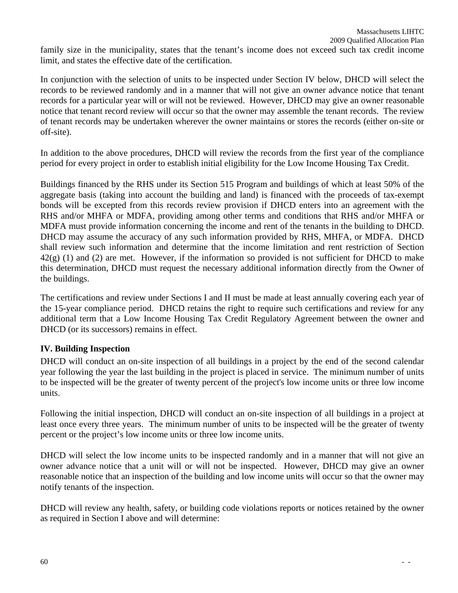family size in the municipality, states that the tenant's income does not exceed such tax credit income limit, and states the effective date of the certification.

In conjunction with the selection of units to be inspected under Section IV below, DHCD will select the records to be reviewed randomly and in a manner that will not give an owner advance notice that tenant records for a particular year will or will not be reviewed. However, DHCD may give an owner reasonable notice that tenant record review will occur so that the owner may assemble the tenant records. The review of tenant records may be undertaken wherever the owner maintains or stores the records (either on-site or off-site).

In addition to the above procedures, DHCD will review the records from the first year of the compliance period for every project in order to establish initial eligibility for the Low Income Housing Tax Credit.

Buildings financed by the RHS under its Section 515 Program and buildings of which at least 50% of the aggregate basis (taking into account the building and land) is financed with the proceeds of tax-exempt bonds will be excepted from this records review provision if DHCD enters into an agreement with the RHS and/or MHFA or MDFA, providing among other terms and conditions that RHS and/or MHFA or MDFA must provide information concerning the income and rent of the tenants in the building to DHCD. DHCD may assume the accuracy of any such information provided by RHS, MHFA, or MDFA. DHCD shall review such information and determine that the income limitation and rent restriction of Section  $42(g)$  (1) and (2) are met. However, if the information so provided is not sufficient for DHCD to make this determination, DHCD must request the necessary additional information directly from the Owner of the buildings.

The certifications and review under Sections I and II must be made at least annually covering each year of the 15-year compliance period. DHCD retains the right to require such certifications and review for any additional term that a Low Income Housing Tax Credit Regulatory Agreement between the owner and DHCD (or its successors) remains in effect.

## **IV. Building Inspection**

DHCD will conduct an on-site inspection of all buildings in a project by the end of the second calendar year following the year the last building in the project is placed in service. The minimum number of units to be inspected will be the greater of twenty percent of the project's low income units or three low income units.

Following the initial inspection, DHCD will conduct an on-site inspection of all buildings in a project at least once every three years. The minimum number of units to be inspected will be the greater of twenty percent or the project's low income units or three low income units.

DHCD will select the low income units to be inspected randomly and in a manner that will not give an owner advance notice that a unit will or will not be inspected. However, DHCD may give an owner reasonable notice that an inspection of the building and low income units will occur so that the owner may notify tenants of the inspection.

DHCD will review any health, safety, or building code violations reports or notices retained by the owner as required in Section I above and will determine: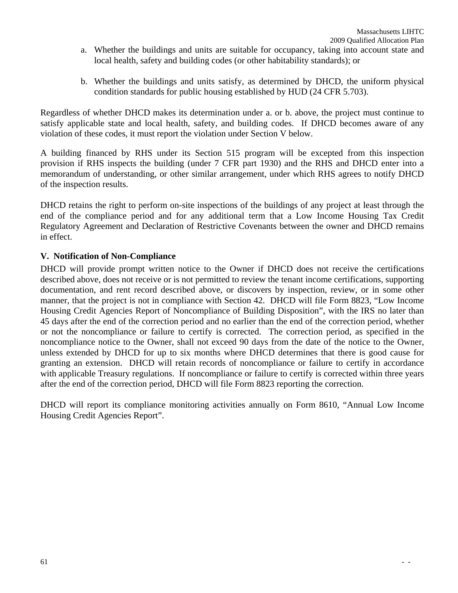- a. Whether the buildings and units are suitable for occupancy, taking into account state and local health, safety and building codes (or other habitability standards); or
- b. Whether the buildings and units satisfy, as determined by DHCD, the uniform physical condition standards for public housing established by HUD (24 CFR 5.703).

Regardless of whether DHCD makes its determination under a. or b. above, the project must continue to satisfy applicable state and local health, safety, and building codes. If DHCD becomes aware of any violation of these codes, it must report the violation under Section V below.

A building financed by RHS under its Section 515 program will be excepted from this inspection provision if RHS inspects the building (under 7 CFR part 1930) and the RHS and DHCD enter into a memorandum of understanding, or other similar arrangement, under which RHS agrees to notify DHCD of the inspection results.

DHCD retains the right to perform on-site inspections of the buildings of any project at least through the end of the compliance period and for any additional term that a Low Income Housing Tax Credit Regulatory Agreement and Declaration of Restrictive Covenants between the owner and DHCD remains in effect.

## **V. Notification of Non-Compliance**

DHCD will provide prompt written notice to the Owner if DHCD does not receive the certifications described above, does not receive or is not permitted to review the tenant income certifications, supporting documentation, and rent record described above, or discovers by inspection, review, or in some other manner, that the project is not in compliance with Section 42. DHCD will file Form 8823, "Low Income Housing Credit Agencies Report of Noncompliance of Building Disposition", with the IRS no later than 45 days after the end of the correction period and no earlier than the end of the correction period, whether or not the noncompliance or failure to certify is corrected. The correction period, as specified in the noncompliance notice to the Owner, shall not exceed 90 days from the date of the notice to the Owner, unless extended by DHCD for up to six months where DHCD determines that there is good cause for granting an extension. DHCD will retain records of noncompliance or failure to certify in accordance with applicable Treasury regulations. If noncompliance or failure to certify is corrected within three years after the end of the correction period, DHCD will file Form 8823 reporting the correction.

DHCD will report its compliance monitoring activities annually on Form 8610, "Annual Low Income Housing Credit Agencies Report".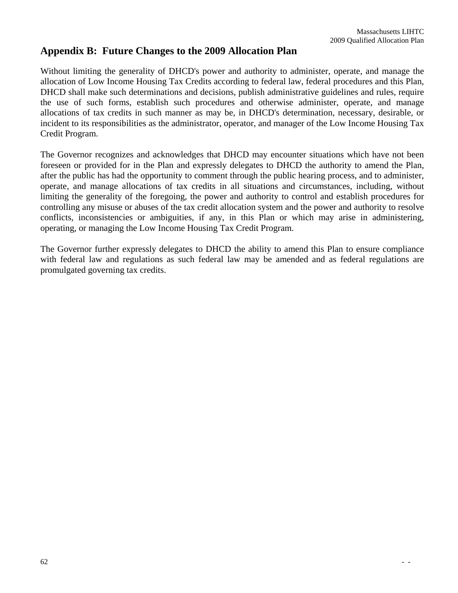# **Appendix B: Future Changes to the 2009 Allocation Plan**

Without limiting the generality of DHCD's power and authority to administer, operate, and manage the allocation of Low Income Housing Tax Credits according to federal law, federal procedures and this Plan, DHCD shall make such determinations and decisions, publish administrative guidelines and rules, require the use of such forms, establish such procedures and otherwise administer, operate, and manage allocations of tax credits in such manner as may be, in DHCD's determination, necessary, desirable, or incident to its responsibilities as the administrator, operator, and manager of the Low Income Housing Tax Credit Program.

The Governor recognizes and acknowledges that DHCD may encounter situations which have not been foreseen or provided for in the Plan and expressly delegates to DHCD the authority to amend the Plan, after the public has had the opportunity to comment through the public hearing process, and to administer, operate, and manage allocations of tax credits in all situations and circumstances, including, without limiting the generality of the foregoing, the power and authority to control and establish procedures for controlling any misuse or abuses of the tax credit allocation system and the power and authority to resolve conflicts, inconsistencies or ambiguities, if any, in this Plan or which may arise in administering, operating, or managing the Low Income Housing Tax Credit Program.

The Governor further expressly delegates to DHCD the ability to amend this Plan to ensure compliance with federal law and regulations as such federal law may be amended and as federal regulations are promulgated governing tax credits.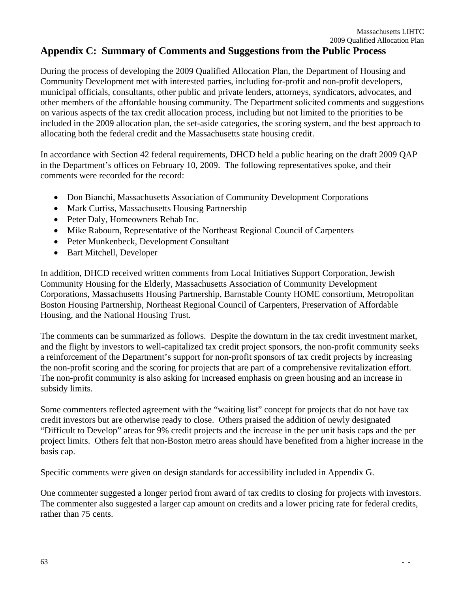# **Appendix C: Summary of Comments and Suggestions from the Public Process**

During the process of developing the 2009 Qualified Allocation Plan, the Department of Housing and Community Development met with interested parties, including for-profit and non-profit developers, municipal officials, consultants, other public and private lenders, attorneys, syndicators, advocates, and other members of the affordable housing community. The Department solicited comments and suggestions on various aspects of the tax credit allocation process, including but not limited to the priorities to be included in the 2009 allocation plan, the set-aside categories, the scoring system, and the best approach to allocating both the federal credit and the Massachusetts state housing credit.

In accordance with Section 42 federal requirements, DHCD held a public hearing on the draft 2009 QAP in the Department's offices on February 10, 2009. The following representatives spoke, and their comments were recorded for the record:

- Don Bianchi, Massachusetts Association of Community Development Corporations
- Mark Curtiss, Massachusetts Housing Partnership
- Peter Daly, Homeowners Rehab Inc.
- Mike Rabourn, Representative of the Northeast Regional Council of Carpenters
- Peter Munkenbeck, Development Consultant
- Bart Mitchell, Developer

In addition, DHCD received written comments from Local Initiatives Support Corporation, Jewish Community Housing for the Elderly, Massachusetts Association of Community Development Corporations, Massachusetts Housing Partnership, Barnstable County HOME consortium, Metropolitan Boston Housing Partnership, Northeast Regional Council of Carpenters, Preservation of Affordable Housing, and the National Housing Trust.

The comments can be summarized as follows. Despite the downturn in the tax credit investment market, and the flight by investors to well-capitalized tax credit project sponsors, the non-profit community seeks a reinforcement of the Department's support for non-profit sponsors of tax credit projects by increasing the non-profit scoring and the scoring for projects that are part of a comprehensive revitalization effort. The non-profit community is also asking for increased emphasis on green housing and an increase in subsidy limits.

Some commenters reflected agreement with the "waiting list" concept for projects that do not have tax credit investors but are otherwise ready to close. Others praised the addition of newly designated "Difficult to Develop" areas for 9% credit projects and the increase in the per unit basis caps and the per project limits. Others felt that non-Boston metro areas should have benefited from a higher increase in the basis cap.

Specific comments were given on design standards for accessibility included in Appendix G.

One commenter suggested a longer period from award of tax credits to closing for projects with investors. The commenter also suggested a larger cap amount on credits and a lower pricing rate for federal credits, rather than 75 cents.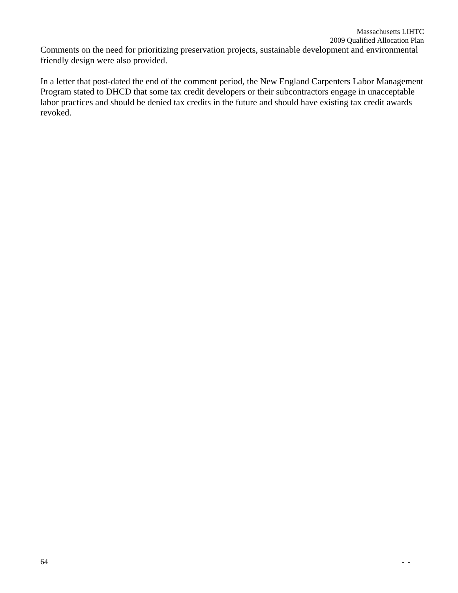Comments on the need for prioritizing preservation projects, sustainable development and environmental friendly design were also provided.

In a letter that post-dated the end of the comment period, the New England Carpenters Labor Management Program stated to DHCD that some tax credit developers or their subcontractors engage in unacceptable labor practices and should be denied tax credits in the future and should have existing tax credit awards revoked.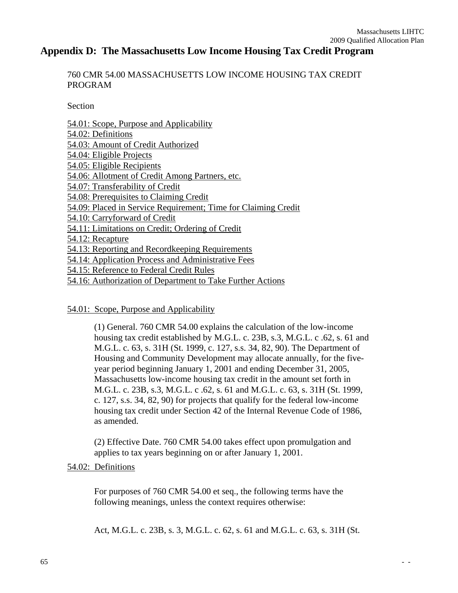# **Appendix D: The Massachusetts Low Income Housing Tax Credit Program**

760 CMR 54.00 MASSACHUSETTS LOW INCOME HOUSING TAX CREDIT PROGRAM

Section

54.01: Scope, Purpose and Applicability 54.02: Definitions 54.03: Amount of Credit Authorized 54.04: Eligible Projects 54.05: Eligible Recipients 54.06: Allotment of Credit Among Partners, etc. 54.07: Transferability of Credit 54.08: Prerequisites to Claiming Credit 54.09: Placed in Service Requirement; Time for Claiming Credit 54.10: Carryforward of Credit 54.11: Limitations on Credit; Ordering of Credit 54.12: Recapture 54.13: Reporting and Recordkeeping Requirements 54.14: Application Process and Administrative Fees 54.15: Reference to Federal Credit Rules 54.16: Authorization of Department to Take Further Actions

54.01: Scope, Purpose and Applicability

(1) General. 760 CMR 54.00 explains the calculation of the low-income housing tax credit established by M.G.L. c. 23B, s.3, M.G.L. c .62, s. 61 and M.G.L. c. 63, s. 31H (St. 1999, c. 127, s.s. 34, 82, 90). The Department of Housing and Community Development may allocate annually, for the fiveyear period beginning January 1, 2001 and ending December 31, 2005, Massachusetts low-income housing tax credit in the amount set forth in M.G.L. c. 23B, s.3, M.G.L. c .62, s. 61 and M.G.L. c. 63, s. 31H (St. 1999, c. 127, s.s. 34, 82, 90) for projects that qualify for the federal low-income housing tax credit under Section 42 of the Internal Revenue Code of 1986, as amended.

(2) Effective Date. 760 CMR 54.00 takes effect upon promulgation and applies to tax years beginning on or after January 1, 2001.

## 54.02: Definitions

For purposes of 760 CMR 54.00 et seq., the following terms have the following meanings, unless the context requires otherwise:

Act, M.G.L. c. 23B, s. 3, M.G.L. c. 62, s. 61 and M.G.L. c. 63, s. 31H (St.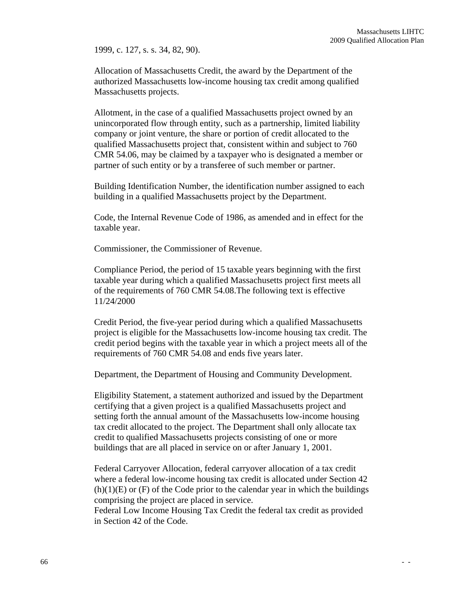1999, c. 127, s. s. 34, 82, 90).

Allocation of Massachusetts Credit, the award by the Department of the authorized Massachusetts low-income housing tax credit among qualified Massachusetts projects.

Allotment, in the case of a qualified Massachusetts project owned by an unincorporated flow through entity, such as a partnership, limited liability company or joint venture, the share or portion of credit allocated to the qualified Massachusetts project that, consistent within and subject to 760 CMR 54.06, may be claimed by a taxpayer who is designated a member or partner of such entity or by a transferee of such member or partner.

Building Identification Number, the identification number assigned to each building in a qualified Massachusetts project by the Department.

Code, the Internal Revenue Code of 1986, as amended and in effect for the taxable year.

Commissioner, the Commissioner of Revenue.

Compliance Period, the period of 15 taxable years beginning with the first taxable year during which a qualified Massachusetts project first meets all of the requirements of 760 CMR 54.08.The following text is effective 11/24/2000

Credit Period, the five-year period during which a qualified Massachusetts project is eligible for the Massachusetts low-income housing tax credit. The credit period begins with the taxable year in which a project meets all of the requirements of 760 CMR 54.08 and ends five years later.

Department, the Department of Housing and Community Development.

Eligibility Statement, a statement authorized and issued by the Department certifying that a given project is a qualified Massachusetts project and setting forth the annual amount of the Massachusetts low-income housing tax credit allocated to the project. The Department shall only allocate tax credit to qualified Massachusetts projects consisting of one or more buildings that are all placed in service on or after January 1, 2001.

Federal Carryover Allocation, federal carryover allocation of a tax credit where a federal low-income housing tax credit is allocated under Section 42  $(h)(1)(E)$  or  $(F)$  of the Code prior to the calendar year in which the buildings comprising the project are placed in service.

Federal Low Income Housing Tax Credit the federal tax credit as provided in Section 42 of the Code.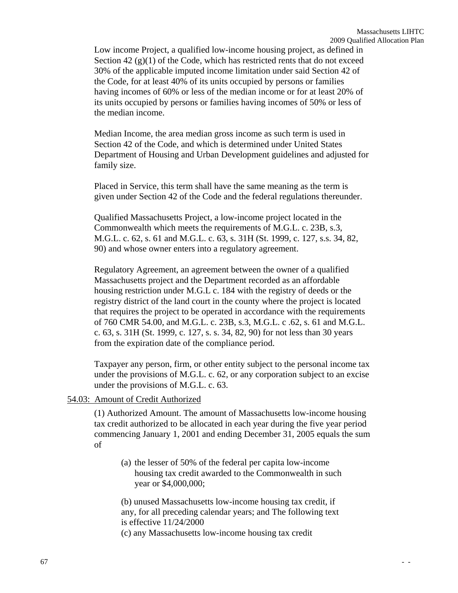Low income Project, a qualified low-income housing project, as defined in Section 42  $(g)(1)$  of the Code, which has restricted rents that do not exceed 30% of the applicable imputed income limitation under said Section 42 of the Code, for at least 40% of its units occupied by persons or families having incomes of 60% or less of the median income or for at least 20% of its units occupied by persons or families having incomes of 50% or less of the median income.

Median Income, the area median gross income as such term is used in Section 42 of the Code, and which is determined under United States Department of Housing and Urban Development guidelines and adjusted for family size.

Placed in Service, this term shall have the same meaning as the term is given under Section 42 of the Code and the federal regulations thereunder.

Qualified Massachusetts Project, a low-income project located in the Commonwealth which meets the requirements of M.G.L. c. 23B, s.3, M.G.L. c. 62, s. 61 and M.G.L. c. 63, s. 31H (St. 1999, c. 127, s.s. 34, 82, 90) and whose owner enters into a regulatory agreement.

Regulatory Agreement, an agreement between the owner of a qualified Massachusetts project and the Department recorded as an affordable housing restriction under M.G.L c. 184 with the registry of deeds or the registry district of the land court in the county where the project is located that requires the project to be operated in accordance with the requirements of 760 CMR 54.00, and M.G.L. c. 23B, s.3, M.G.L. c .62, s. 61 and M.G.L. c. 63, s. 31H (St. 1999, c. 127, s. s. 34, 82, 90) for not less than 30 years from the expiration date of the compliance period.

Taxpayer any person, firm, or other entity subject to the personal income tax under the provisions of M.G.L. c. 62, or any corporation subject to an excise under the provisions of M.G.L. c. 63.

## 54.03: Amount of Credit Authorized

(1) Authorized Amount. The amount of Massachusetts low-income housing tax credit authorized to be allocated in each year during the five year period commencing January 1, 2001 and ending December 31, 2005 equals the sum of

(a) the lesser of 50% of the federal per capita low-income housing tax credit awarded to the Commonwealth in such year or \$4,000,000;

(b) unused Massachusetts low-income housing tax credit, if any, for all preceding calendar years; and The following text is effective 11/24/2000

(c) any Massachusetts low-income housing tax credit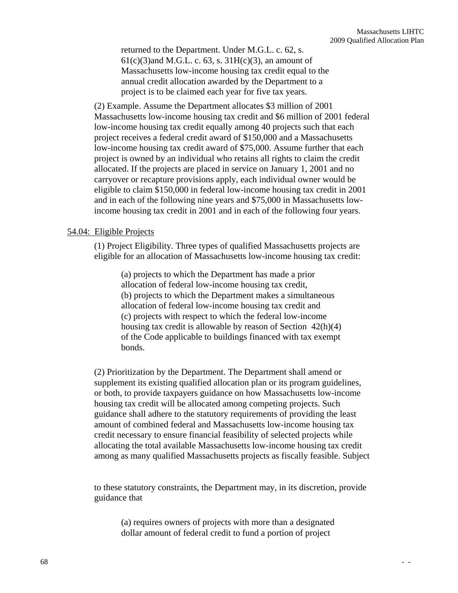returned to the Department. Under M.G.L. c. 62, s.  $61(c)(3)$  and M.G.L. c. 63, s.  $31H(c)(3)$ , an amount of Massachusetts low-income housing tax credit equal to the annual credit allocation awarded by the Department to a project is to be claimed each year for five tax years.

(2) Example. Assume the Department allocates \$3 million of 2001 Massachusetts low-income housing tax credit and \$6 million of 2001 federal low-income housing tax credit equally among 40 projects such that each project receives a federal credit award of \$150,000 and a Massachusetts low-income housing tax credit award of \$75,000. Assume further that each project is owned by an individual who retains all rights to claim the credit allocated. If the projects are placed in service on January 1, 2001 and no carryover or recapture provisions apply, each individual owner would be eligible to claim \$150,000 in federal low-income housing tax credit in 2001 and in each of the following nine years and \$75,000 in Massachusetts lowincome housing tax credit in 2001 and in each of the following four years.

#### 54.04: Eligible Projects

(1) Project Eligibility. Three types of qualified Massachusetts projects are eligible for an allocation of Massachusetts low-income housing tax credit:

(a) projects to which the Department has made a prior allocation of federal low-income housing tax credit, (b) projects to which the Department makes a simultaneous allocation of federal low-income housing tax credit and (c) projects with respect to which the federal low-income housing tax credit is allowable by reason of Section 42(h)(4) of the Code applicable to buildings financed with tax exempt bonds.

(2) Prioritization by the Department. The Department shall amend or supplement its existing qualified allocation plan or its program guidelines, or both, to provide taxpayers guidance on how Massachusetts low-income housing tax credit will be allocated among competing projects. Such guidance shall adhere to the statutory requirements of providing the least amount of combined federal and Massachusetts low-income housing tax credit necessary to ensure financial feasibility of selected projects while allocating the total available Massachusetts low-income housing tax credit among as many qualified Massachusetts projects as fiscally feasible. Subject

to these statutory constraints, the Department may, in its discretion, provide guidance that

(a) requires owners of projects with more than a designated dollar amount of federal credit to fund a portion of project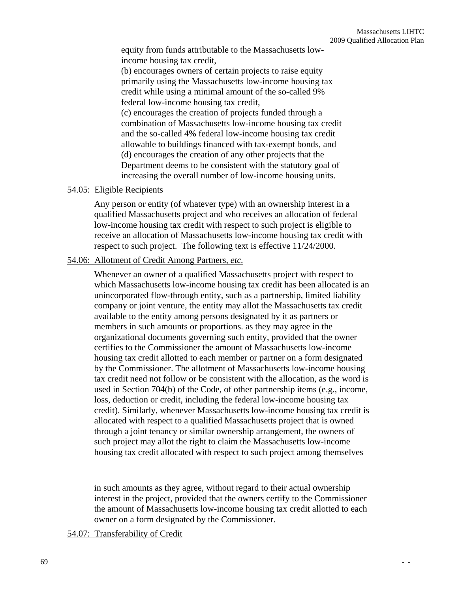equity from funds attributable to the Massachusetts lowincome housing tax credit,

(b) encourages owners of certain projects to raise equity primarily using the Massachusetts low-income housing tax credit while using a minimal amount of the so-called 9% federal low-income housing tax credit,

(c) encourages the creation of projects funded through a combination of Massachusetts low-income housing tax credit and the so-called 4% federal low-income housing tax credit allowable to buildings financed with tax-exempt bonds, and (d) encourages the creation of any other projects that the Department deems to be consistent with the statutory goal of increasing the overall number of low-income housing units.

#### 54.05: Eligible Recipients

Any person or entity (of whatever type) with an ownership interest in a qualified Massachusetts project and who receives an allocation of federal low-income housing tax credit with respect to such project is eligible to receive an allocation of Massachusetts low-income housing tax credit with respect to such project. The following text is effective 11/24/2000.

## 54.06: Allotment of Credit Among Partners, *etc.*

Whenever an owner of a qualified Massachusetts project with respect to which Massachusetts low-income housing tax credit has been allocated is an unincorporated flow-through entity, such as a partnership, limited liability company or joint venture, the entity may allot the Massachusetts tax credit available to the entity among persons designated by it as partners or members in such amounts or proportions. as they may agree in the organizational documents governing such entity, provided that the owner certifies to the Commissioner the amount of Massachusetts low-income housing tax credit allotted to each member or partner on a form designated by the Commissioner. The allotment of Massachusetts low-income housing tax credit need not follow or be consistent with the allocation, as the word is used in Section 704(b) of the Code, of other partnership items (e.g., income, loss, deduction or credit, including the federal low-income housing tax credit). Similarly, whenever Massachusetts low-income housing tax credit is allocated with respect to a qualified Massachusetts project that is owned through a joint tenancy or similar ownership arrangement, the owners of such project may allot the right to claim the Massachusetts low-income housing tax credit allocated with respect to such project among themselves

in such amounts as they agree, without regard to their actual ownership interest in the project, provided that the owners certify to the Commissioner the amount of Massachusetts low-income housing tax credit allotted to each owner on a form designated by the Commissioner.

#### 54.07: Transferability of Credit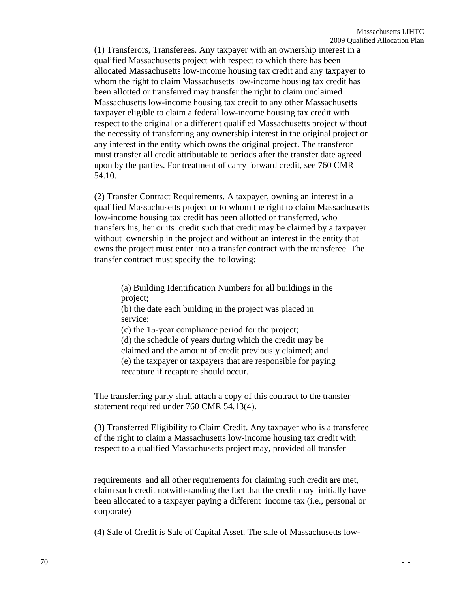(1) Transferors, Transferees. Any taxpayer with an ownership interest in a qualified Massachusetts project with respect to which there has been allocated Massachusetts low-income housing tax credit and any taxpayer to whom the right to claim Massachusetts low-income housing tax credit has been allotted or transferred may transfer the right to claim unclaimed Massachusetts low-income housing tax credit to any other Massachusetts taxpayer eligible to claim a federal low-income housing tax credit with respect to the original or a different qualified Massachusetts project without the necessity of transferring any ownership interest in the original project or any interest in the entity which owns the original project. The transferor must transfer all credit attributable to periods after the transfer date agreed upon by the parties. For treatment of carry forward credit, see 760 CMR 54.10.

(2) Transfer Contract Requirements. A taxpayer, owning an interest in a qualified Massachusetts project or to whom the right to claim Massachusetts low-income housing tax credit has been allotted or transferred, who transfers his, her or its credit such that credit may be claimed by a taxpayer without ownership in the project and without an interest in the entity that owns the project must enter into a transfer contract with the transferee. The transfer contract must specify the following:

(a) Building Identification Numbers for all buildings in the project;

(b) the date each building in the project was placed in service;

(c) the 15-year compliance period for the project;

(d) the schedule of years during which the credit may be

claimed and the amount of credit previously claimed; and

(e) the taxpayer or taxpayers that are responsible for paying recapture if recapture should occur.

The transferring party shall attach a copy of this contract to the transfer statement required under 760 CMR 54.13(4).

(3) Transferred Eligibility to Claim Credit. Any taxpayer who is a transferee of the right to claim a Massachusetts low-income housing tax credit with respect to a qualified Massachusetts project may, provided all transfer

requirements and all other requirements for claiming such credit are met, claim such credit notwithstanding the fact that the credit may initially have been allocated to a taxpayer paying a different income tax (i.e., personal or corporate)

(4) Sale of Credit is Sale of Capital Asset. The sale of Massachusetts low-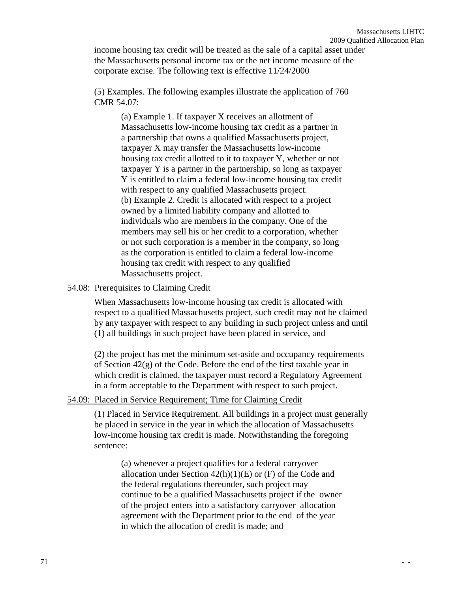income housing tax credit will be treated as the sale of a capital asset under the Massachusetts personal income tax or the net income measure of the corporate excise. The following text is effective 11/24/2000

(5) Examples. The following examples illustrate the application of 760 CMR 54.07:

> (a) Example 1. If taxpayer X receives an allotment of Massachusetts low-income housing tax credit as a partner in a partnership that owns a qualified Massachusetts project, taxpayer X may transfer the Massachusetts low-income housing tax credit allotted to it to taxpayer Y, whether or not taxpayer Y is a partner in the partnership, so long as taxpayer Y is entitled to claim a federal low-income housing tax credit with respect to any qualified Massachusetts project. (b) Example 2. Credit is allocated with respect to a project owned by a limited liability company and allotted to individuals who are members in the company. One of the members may sell his or her credit to a corporation, whether or not such corporation is a member in the company, so long as the corporation is entitled to claim a federal low-income housing tax credit with respect to any qualified Massachusetts project.

#### 54.08: Prerequisites to Claiming Credit

When Massachusetts low-income housing tax credit is allocated with respect to a qualified Massachusetts project, such credit may not be claimed by any taxpayer with respect to any building in such project unless and until (1) all buildings in such project have been placed in service, and

(2) the project has met the minimum set-aside and occupancy requirements of Section 42(g) of the Code. Before the end of the first taxable year in which credit is claimed, the taxpayer must record a Regulatory Agreement in a form acceptable to the Department with respect to such project.

#### 54.09: Placed in Service Requirement; Time for Claiming Credit

(1) Placed in Service Requirement. All buildings in a project must generally be placed in service in the year in which the allocation of Massachusetts low-income housing tax credit is made. Notwithstanding the foregoing sentence:

(a) whenever a project qualifies for a federal carryover allocation under Section  $42(h)(1)(E)$  or  $(F)$  of the Code and the federal regulations thereunder, such project may continue to be a qualified Massachusetts project if the owner of the project enters into a satisfactory carryover allocation agreement with the Department prior to the end of the year in which the allocation of credit is made; and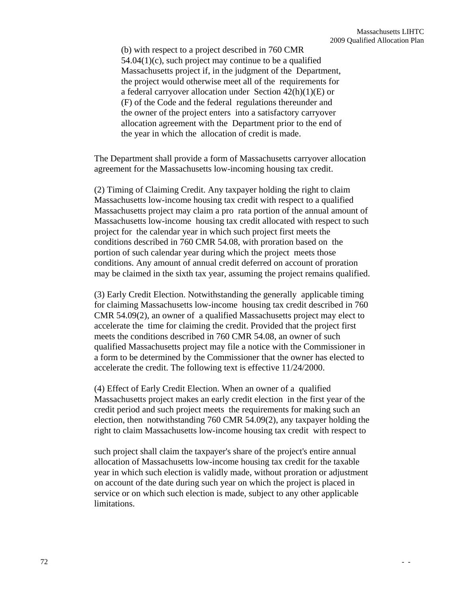(b) with respect to a project described in 760 CMR  $54.04(1)(c)$ , such project may continue to be a qualified Massachusetts project if, in the judgment of the Department, the project would otherwise meet all of the requirements for a federal carryover allocation under Section 42(h)(1)(E) or (F) of the Code and the federal regulations thereunder and the owner of the project enters into a satisfactory carryover allocation agreement with the Department prior to the end of the year in which the allocation of credit is made.

The Department shall provide a form of Massachusetts carryover allocation agreement for the Massachusetts low-incoming housing tax credit.

(2) Timing of Claiming Credit. Any taxpayer holding the right to claim Massachusetts low-income housing tax credit with respect to a qualified Massachusetts project may claim a pro rata portion of the annual amount of Massachusetts low-income housing tax credit allocated with respect to such project for the calendar year in which such project first meets the conditions described in 760 CMR 54.08, with proration based on the portion of such calendar year during which the project meets those conditions. Any amount of annual credit deferred on account of proration may be claimed in the sixth tax year, assuming the project remains qualified.

(3) Early Credit Election. Notwithstanding the generally applicable timing for claiming Massachusetts low-income housing tax credit described in 760 CMR 54.09(2), an owner of a qualified Massachusetts project may elect to accelerate the time for claiming the credit. Provided that the project first meets the conditions described in 760 CMR 54.08, an owner of such qualified Massachusetts project may file a notice with the Commissioner in a form to be determined by the Commissioner that the owner has elected to accelerate the credit. The following text is effective 11/24/2000.

(4) Effect of Early Credit Election. When an owner of a qualified Massachusetts project makes an early credit election in the first year of the credit period and such project meets the requirements for making such an election, then notwithstanding 760 CMR 54.09(2), any taxpayer holding the right to claim Massachusetts low-income housing tax credit with respect to

such project shall claim the taxpayer's share of the project's entire annual allocation of Massachusetts low-income housing tax credit for the taxable year in which such election is validly made, without proration or adjustment on account of the date during such year on which the project is placed in service or on which such election is made, subject to any other applicable limitations.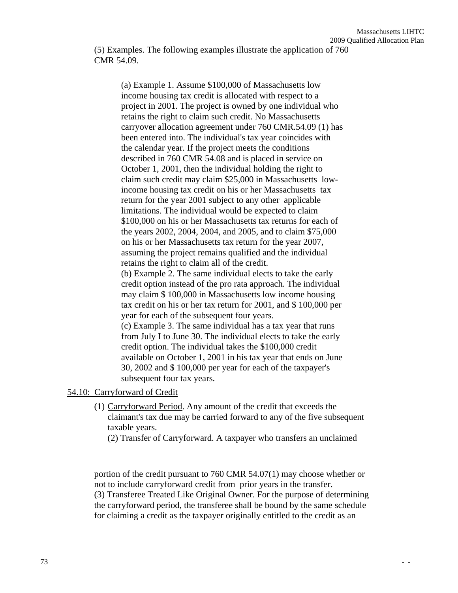(5) Examples. The following examples illustrate the application of 760 CMR 54.09.

> (a) Example 1. Assume \$100,000 of Massachusetts low income housing tax credit is allocated with respect to a project in 2001. The project is owned by one individual who retains the right to claim such credit. No Massachusetts carryover allocation agreement under 760 CMR.54.09 (1) has been entered into. The individual's tax year coincides with the calendar year. If the project meets the conditions described in 760 CMR 54.08 and is placed in service on October 1, 2001, then the individual holding the right to claim such credit may claim \$25,000 in Massachusetts lowincome housing tax credit on his or her Massachusetts tax return for the year 2001 subject to any other applicable limitations. The individual would be expected to claim \$100,000 on his or her Massachusetts tax returns for each of the years 2002, 2004, 2004, and 2005, and to claim \$75,000 on his or her Massachusetts tax return for the year 2007, assuming the project remains qualified and the individual retains the right to claim all of the credit. (b) Example 2. The same individual elects to take the early credit option instead of the pro rata approach. The individual may claim \$ 100,000 in Massachusetts low income housing tax credit on his or her tax return for 2001, and \$ 100,000 per year for each of the subsequent four years. (c) Example 3. The same individual has a tax year that runs from July I to June 30. The individual elects to take the early credit option. The individual takes the \$100,000 credit available on October 1, 2001 in his tax year that ends on June 30, 2002 and \$ 100,000 per year for each of the taxpayer's subsequent four tax years.

### 54.10: Carryforward of Credit

- (1) Carryforward Period. Any amount of the credit that exceeds the claimant's tax due may be carried forward to any of the five subsequent taxable years.
	- (2) Transfer of Carryforward. A taxpayer who transfers an unclaimed

portion of the credit pursuant to 760 CMR 54.07(1) may choose whether or not to include carryforward credit from prior years in the transfer. (3) Transferee Treated Like Original Owner. For the purpose of determining the carryforward period, the transferee shall be bound by the same schedule for claiming a credit as the taxpayer originally entitled to the credit as an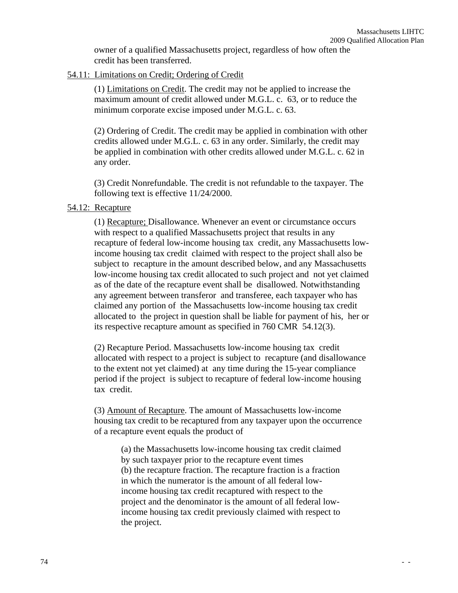owner of a qualified Massachusetts project, regardless of how often the credit has been transferred.

### 54.11: Limitations on Credit; Ordering of Credit

(1) Limitations on Credit. The credit may not be applied to increase the maximum amount of credit allowed under M.G.L. c. 63, or to reduce the minimum corporate excise imposed under M.G.L. c. 63.

(2) Ordering of Credit. The credit may be applied in combination with other credits allowed under M.G.L. c. 63 in any order. Similarly, the credit may be applied in combination with other credits allowed under M.G.L. c. 62 in any order.

(3) Credit Nonrefundable. The credit is not refundable to the taxpayer. The following text is effective 11/24/2000.

#### 54.12: Recapture

(1) Recapture; Disallowance. Whenever an event or circumstance occurs with respect to a qualified Massachusetts project that results in any recapture of federal low-income housing tax credit, any Massachusetts lowincome housing tax credit claimed with respect to the project shall also be subject to recapture in the amount described below, and any Massachusetts low-income housing tax credit allocated to such project and not yet claimed as of the date of the recapture event shall be disallowed. Notwithstanding any agreement between transferor and transferee, each taxpayer who has claimed any portion of the Massachusetts low-income housing tax credit allocated to the project in question shall be liable for payment of his, her or its respective recapture amount as specified in 760 CMR 54.12(3).

(2) Recapture Period. Massachusetts low-income housing tax credit allocated with respect to a project is subject to recapture (and disallowance to the extent not yet claimed) at any time during the 15-year compliance period if the project is subject to recapture of federal low-income housing tax credit.

(3) Amount of Recapture. The amount of Massachusetts low-income housing tax credit to be recaptured from any taxpayer upon the occurrence of a recapture event equals the product of

(a) the Massachusetts low-income housing tax credit claimed by such taxpayer prior to the recapture event times (b) the recapture fraction. The recapture fraction is a fraction in which the numerator is the amount of all federal lowincome housing tax credit recaptured with respect to the project and the denominator is the amount of all federal lowincome housing tax credit previously claimed with respect to the project.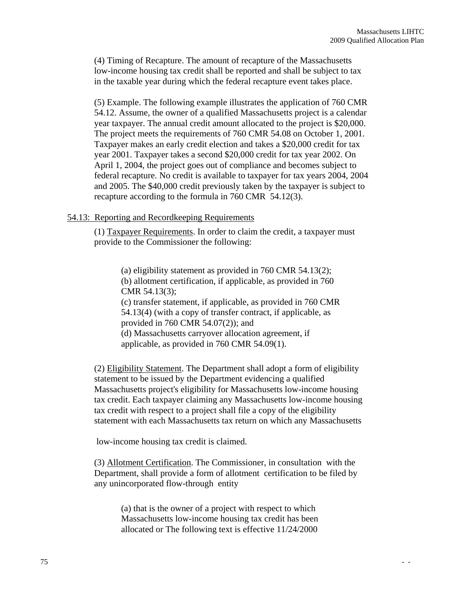(4) Timing of Recapture. The amount of recapture of the Massachusetts low-income housing tax credit shall be reported and shall be subject to tax in the taxable year during which the federal recapture event takes place.

(5) Example. The following example illustrates the application of 760 CMR 54.12. Assume, the owner of a qualified Massachusetts project is a calendar year taxpayer. The annual credit amount allocated to the project is \$20,000. The project meets the requirements of 760 CMR 54.08 on October 1, 2001. Taxpayer makes an early credit election and takes a \$20,000 credit for tax year 2001. Taxpayer takes a second \$20,000 credit for tax year 2002. On April 1, 2004, the project goes out of compliance and becomes subject to federal recapture. No credit is available to taxpayer for tax years 2004, 2004 and 2005. The \$40,000 credit previously taken by the taxpayer is subject to recapture according to the formula in 760 CMR 54.12(3).

#### 54.13: Reporting and Recordkeeping Requirements

(1) Taxpayer Requirements. In order to claim the credit, a taxpayer must provide to the Commissioner the following:

> (a) eligibility statement as provided in 760 CMR 54.13(2); (b) allotment certification, if applicable, as provided in 760 CMR 54.13(3); (c) transfer statement, if applicable, as provided in 760 CMR 54.13(4) (with a copy of transfer contract, if applicable, as provided in 760 CMR 54.07(2)); and (d) Massachusetts carryover allocation agreement, if applicable, as provided in 760 CMR 54.09(1).

(2) Eligibility Statement. The Department shall adopt a form of eligibility statement to be issued by the Department evidencing a qualified Massachusetts project's eligibility for Massachusetts low-income housing tax credit. Each taxpayer claiming any Massachusetts low-income housing tax credit with respect to a project shall file a copy of the eligibility statement with each Massachusetts tax return on which any Massachusetts

low-income housing tax credit is claimed.

(3) Allotment Certification. The Commissioner, in consultation with the Department, shall provide a form of allotment certification to be filed by any unincorporated flow-through entity

> (a) that is the owner of a project with respect to which Massachusetts low-income housing tax credit has been allocated or The following text is effective 11/24/2000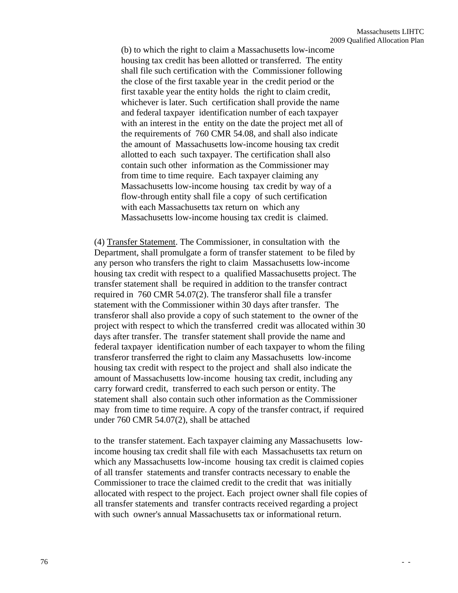(b) to which the right to claim a Massachusetts low-income housing tax credit has been allotted or transferred. The entity shall file such certification with the Commissioner following the close of the first taxable year in the credit period or the first taxable year the entity holds the right to claim credit, whichever is later. Such certification shall provide the name and federal taxpayer identification number of each taxpayer with an interest in the entity on the date the project met all of the requirements of 760 CMR 54.08, and shall also indicate the amount of Massachusetts low-income housing tax credit allotted to each such taxpayer. The certification shall also contain such other information as the Commissioner may from time to time require. Each taxpayer claiming any Massachusetts low-income housing tax credit by way of a flow-through entity shall file a copy of such certification with each Massachusetts tax return on which any Massachusetts low-income housing tax credit is claimed.

(4) Transfer Statement. The Commissioner, in consultation with the Department, shall promulgate a form of transfer statement to be filed by any person who transfers the right to claim Massachusetts low-income housing tax credit with respect to a qualified Massachusetts project. The transfer statement shall be required in addition to the transfer contract required in 760 CMR 54.07(2). The transferor shall file a transfer statement with the Commissioner within 30 days after transfer. The transferor shall also provide a copy of such statement to the owner of the project with respect to which the transferred credit was allocated within 30 days after transfer. The transfer statement shall provide the name and federal taxpayer identification number of each taxpayer to whom the filing transferor transferred the right to claim any Massachusetts low-income housing tax credit with respect to the project and shall also indicate the amount of Massachusetts low-income housing tax credit, including any carry forward credit, transferred to each such person or entity. The statement shall also contain such other information as the Commissioner may from time to time require. A copy of the transfer contract, if required under 760 CMR 54.07(2), shall be attached

to the transfer statement. Each taxpayer claiming any Massachusetts lowincome housing tax credit shall file with each Massachusetts tax return on which any Massachusetts low-income housing tax credit is claimed copies of all transfer statements and transfer contracts necessary to enable the Commissioner to trace the claimed credit to the credit that was initially allocated with respect to the project. Each project owner shall file copies of all transfer statements and transfer contracts received regarding a project with such owner's annual Massachusetts tax or informational return.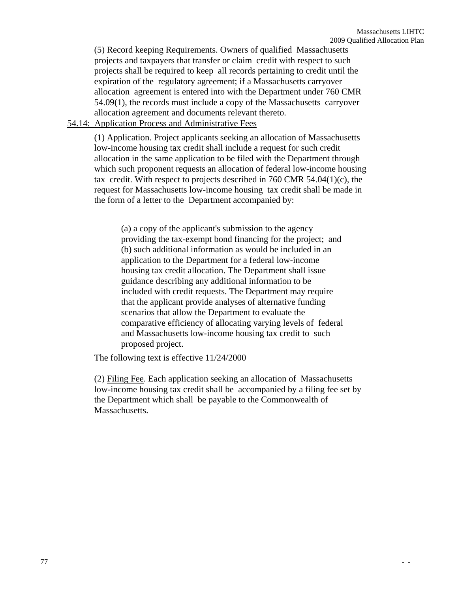(5) Record keeping Requirements. Owners of qualified Massachusetts projects and taxpayers that transfer or claim credit with respect to such projects shall be required to keep all records pertaining to credit until the expiration of the regulatory agreement; if a Massachusetts carryover allocation agreement is entered into with the Department under 760 CMR 54.09(1), the records must include a copy of the Massachusetts carryover allocation agreement and documents relevant thereto.

# 54.14: Application Process and Administrative Fees

(1) Application. Project applicants seeking an allocation of Massachusetts low-income housing tax credit shall include a request for such credit allocation in the same application to be filed with the Department through which such proponent requests an allocation of federal low-income housing tax credit. With respect to projects described in  $760$  CMR  $54.04(1)(c)$ , the request for Massachusetts low-income housing tax credit shall be made in the form of a letter to the Department accompanied by:

(a) a copy of the applicant's submission to the agency providing the tax-exempt bond financing for the project; and (b) such additional information as would be included in an application to the Department for a federal low-income housing tax credit allocation. The Department shall issue guidance describing any additional information to be included with credit requests. The Department may require that the applicant provide analyses of alternative funding scenarios that allow the Department to evaluate the comparative efficiency of allocating varying levels of federal and Massachusetts low-income housing tax credit to such proposed project.

The following text is effective 11/24/2000

(2) Filing Fee. Each application seeking an allocation of Massachusetts low-income housing tax credit shall be accompanied by a filing fee set by the Department which shall be payable to the Commonwealth of Massachusetts.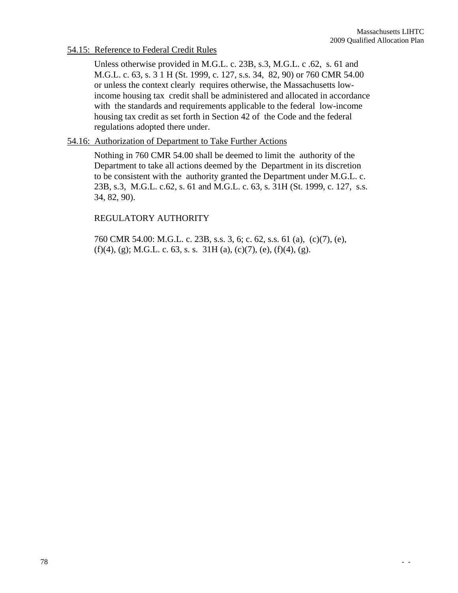## 54.15: Reference to Federal Credit Rules

Unless otherwise provided in M.G.L. c. 23B, s.3, M.G.L. c .62, s. 61 and M.G.L. c. 63, s. 3 1 H (St. 1999, c. 127, s.s. 34, 82, 90) or 760 CMR 54.00 or unless the context clearly requires otherwise, the Massachusetts lowincome housing tax credit shall be administered and allocated in accordance with the standards and requirements applicable to the federal low-income housing tax credit as set forth in Section 42 of the Code and the federal regulations adopted there under.

### 54.16: Authorization of Department to Take Further Actions

Nothing in 760 CMR 54.00 shall be deemed to limit the authority of the Department to take all actions deemed by the Department in its discretion to be consistent with the authority granted the Department under M.G.L. c. 23B, s.3, M.G.L. c.62, s. 61 and M.G.L. c. 63, s. 31H (St. 1999, c. 127, s.s. 34, 82, 90).

# REGULATORY AUTHORITY

760 CMR 54.00: M.G.L. c. 23B, s.s. 3, 6; c. 62, s.s. 61 (a), (c)(7), (e),  $(f)(4)$ , (g); M.G.L. c. 63, s. s. 31H (a), (c)(7), (e), (f)(4), (g).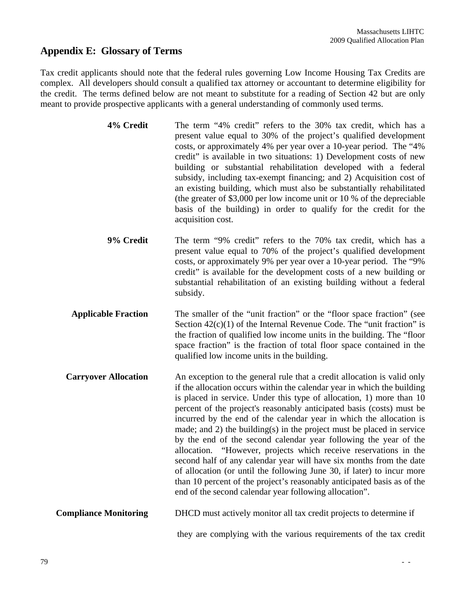# **Appendix E: Glossary of Terms**

Tax credit applicants should note that the federal rules governing Low Income Housing Tax Credits are complex. All developers should consult a qualified tax attorney or accountant to determine eligibility for the credit. The terms defined below are not meant to substitute for a reading of Section 42 but are only meant to provide prospective applicants with a general understanding of commonly used terms.

- **4% Credit** The term "4% credit" refers to the 30% tax credit, which has a present value equal to 30% of the project's qualified development costs, or approximately 4% per year over a 10-year period. The "4% credit" is available in two situations: 1) Development costs of new building or substantial rehabilitation developed with a federal subsidy, including tax-exempt financing; and 2) Acquisition cost of an existing building, which must also be substantially rehabilitated (the greater of \$3,000 per low income unit or 10 % of the depreciable basis of the building) in order to qualify for the credit for the acquisition cost.
- **9% Credit** The term "9% credit" refers to the 70% tax credit, which has a present value equal to 70% of the project's qualified development costs, or approximately 9% per year over a 10-year period. The "9% credit" is available for the development costs of a new building or substantial rehabilitation of an existing building without a federal subsidy.
- **Applicable Fraction** The smaller of the "unit fraction" or the "floor space fraction" (see Section  $42(c)(1)$  of the Internal Revenue Code. The "unit fraction" is the fraction of qualified low income units in the building. The "floor space fraction" is the fraction of total floor space contained in the qualified low income units in the building.
- **Carryover Allocation** An exception to the general rule that a credit allocation is valid only if the allocation occurs within the calendar year in which the building is placed in service. Under this type of allocation, 1) more than 10 percent of the project's reasonably anticipated basis (costs) must be incurred by the end of the calendar year in which the allocation is made; and 2) the building(s) in the project must be placed in service by the end of the second calendar year following the year of the allocation. "However, projects which receive reservations in the second half of any calendar year will have six months from the date of allocation (or until the following June 30, if later) to incur more than 10 percent of the project's reasonably anticipated basis as of the end of the second calendar year following allocation".
- **Compliance Monitoring** DHCD must actively monitor all tax credit projects to determine if

they are complying with the various requirements of the tax credit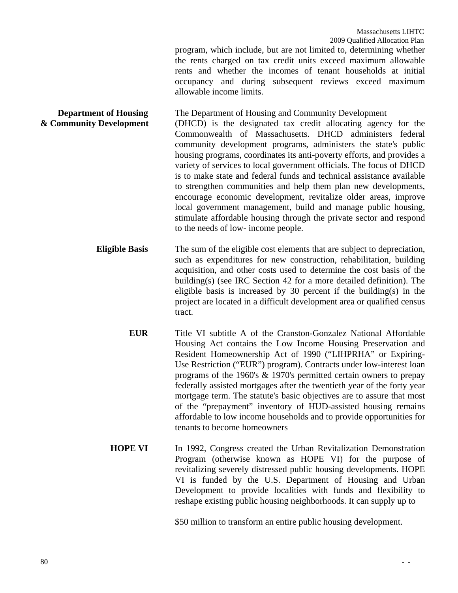program, which include, but are not limited to, determining whether the rents charged on tax credit units exceed maximum allowable rents and whether the incomes of tenant households at initial occupancy and during subsequent reviews exceed maximum allowable income limits.

**Department of Housing** The Department of Housing and Community Development **& Community Development** (DHCD) is the designated tax credit allocating agency for the Commonwealth of Massachusetts. DHCD administers federal community development programs, administers the state's public housing programs, coordinates its anti-poverty efforts, and provides a variety of services to local government officials. The focus of DHCD is to make state and federal funds and technical assistance available to strengthen communities and help them plan new developments, encourage economic development, revitalize older areas, improve local government management, build and manage public housing, stimulate affordable housing through the private sector and respond to the needs of low- income people.

> **Eligible Basis** The sum of the eligible cost elements that are subject to depreciation, such as expenditures for new construction, rehabilitation, building acquisition, and other costs used to determine the cost basis of the building(s) (see IRC Section 42 for a more detailed definition). The eligible basis is increased by 30 percent if the building(s) in the project are located in a difficult development area or qualified census tract.

- **EUR** Title VI subtitle A of the Cranston-Gonzalez National Affordable Housing Act contains the Low Income Housing Preservation and Resident Homeownership Act of 1990 ("LIHPRHA" or Expiring-Use Restriction ("EUR") program). Contracts under low-interest loan programs of the 1960's & 1970's permitted certain owners to prepay federally assisted mortgages after the twentieth year of the forty year mortgage term. The statute's basic objectives are to assure that most of the "prepayment" inventory of HUD-assisted housing remains affordable to low income households and to provide opportunities for tenants to become homeowners
- **HOPE VI** In 1992, Congress created the Urban Revitalization Demonstration Program (otherwise known as HOPE VI) for the purpose of revitalizing severely distressed public housing developments. HOPE VI is funded by the U.S. Department of Housing and Urban Development to provide localities with funds and flexibility to reshape existing public housing neighborhoods. It can supply up to

\$50 million to transform an entire public housing development.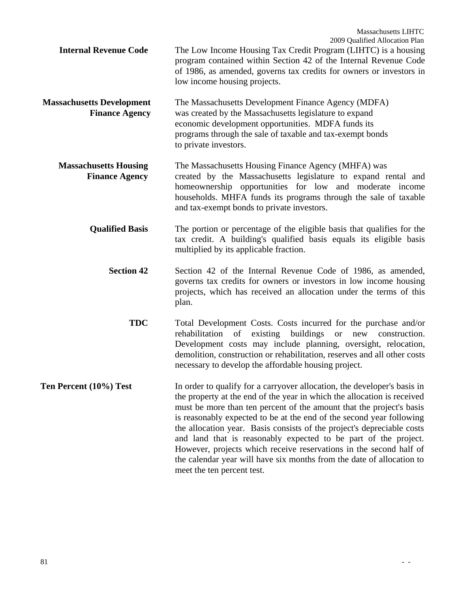| <b>Internal Revenue Code</b>                              | Massachusetts LIHTC<br>2009 Qualified Allocation Plan<br>The Low Income Housing Tax Credit Program (LIHTC) is a housing<br>program contained within Section 42 of the Internal Revenue Code<br>of 1986, as amended, governs tax credits for owners or investors in<br>low income housing projects.                                                                                                                                                                                                                                                                                                                            |
|-----------------------------------------------------------|-------------------------------------------------------------------------------------------------------------------------------------------------------------------------------------------------------------------------------------------------------------------------------------------------------------------------------------------------------------------------------------------------------------------------------------------------------------------------------------------------------------------------------------------------------------------------------------------------------------------------------|
| <b>Massachusetts Development</b><br><b>Finance Agency</b> | The Massachusetts Development Finance Agency (MDFA)<br>was created by the Massachusetts legislature to expand<br>economic development opportunities. MDFA funds its<br>programs through the sale of taxable and tax-exempt bonds<br>to private investors.                                                                                                                                                                                                                                                                                                                                                                     |
| <b>Massachusetts Housing</b><br><b>Finance Agency</b>     | The Massachusetts Housing Finance Agency (MHFA) was<br>created by the Massachusetts legislature to expand rental and<br>homeownership opportunities for low and moderate income<br>households. MHFA funds its programs through the sale of taxable<br>and tax-exempt bonds to private investors.                                                                                                                                                                                                                                                                                                                              |
| <b>Qualified Basis</b>                                    | The portion or percentage of the eligible basis that qualifies for the<br>tax credit. A building's qualified basis equals its eligible basis<br>multiplied by its applicable fraction.                                                                                                                                                                                                                                                                                                                                                                                                                                        |
| <b>Section 42</b>                                         | Section 42 of the Internal Revenue Code of 1986, as amended,<br>governs tax credits for owners or investors in low income housing<br>projects, which has received an allocation under the terms of this<br>plan.                                                                                                                                                                                                                                                                                                                                                                                                              |
| <b>TDC</b>                                                | Total Development Costs. Costs incurred for the purchase and/or<br>rehabilitation<br>of<br>existing<br>buildings<br>new construction.<br><b>or</b><br>Development costs may include planning, oversight, relocation,<br>demolition, construction or rehabilitation, reserves and all other costs<br>necessary to develop the affordable housing project.                                                                                                                                                                                                                                                                      |
| Ten Percent (10%) Test                                    | In order to qualify for a carryover allocation, the developer's basis in<br>the property at the end of the year in which the allocation is received<br>must be more than ten percent of the amount that the project's basis<br>is reasonably expected to be at the end of the second year following<br>the allocation year. Basis consists of the project's depreciable costs<br>and land that is reasonably expected to be part of the project.<br>However, projects which receive reservations in the second half of<br>the calendar year will have six months from the date of allocation to<br>meet the ten percent test. |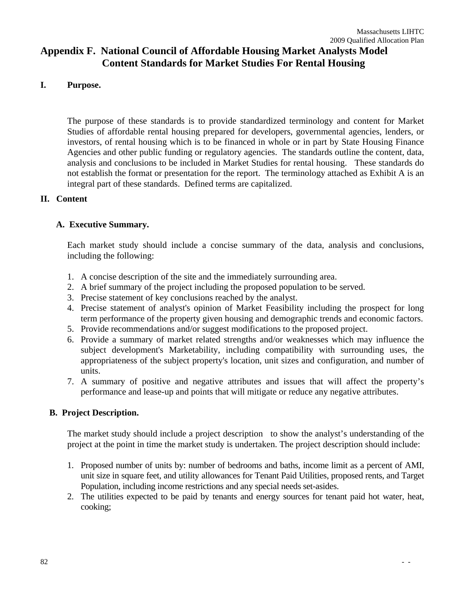# **Appendix F. National Council of Affordable Housing Market Analysts Model Content Standards for Market Studies For Rental Housing**

## **I. Purpose.**

The purpose of these standards is to provide standardized terminology and content for Market Studies of affordable rental housing prepared for developers, governmental agencies, lenders, or investors, of rental housing which is to be financed in whole or in part by State Housing Finance Agencies and other public funding or regulatory agencies. The standards outline the content, data, analysis and conclusions to be included in Market Studies for rental housing. These standards do not establish the format or presentation for the report. The terminology attached as Exhibit A is an integral part of these standards. Defined terms are capitalized.

## **II. Content**

## **A. Executive Summary.**

Each market study should include a concise summary of the data, analysis and conclusions, including the following:

- 1. A concise description of the site and the immediately surrounding area.
- 2. A brief summary of the project including the proposed population to be served.
- 3. Precise statement of key conclusions reached by the analyst.
- 4. Precise statement of analyst's opinion of Market Feasibility including the prospect for long term performance of the property given housing and demographic trends and economic factors.
- 5. Provide recommendations and/or suggest modifications to the proposed project.
- 6. Provide a summary of market related strengths and/or weaknesses which may influence the subject development's Marketability, including compatibility with surrounding uses, the appropriateness of the subject property's location, unit sizes and configuration, and number of units.
- 7. A summary of positive and negative attributes and issues that will affect the property's performance and lease-up and points that will mitigate or reduce any negative attributes.

### **B. Project Description.**

The market study should include a project description to show the analyst's understanding of the project at the point in time the market study is undertaken. The project description should include:

- 1. Proposed number of units by: number of bedrooms and baths, income limit as a percent of AMI, unit size in square feet, and utility allowances for Tenant Paid Utilities, proposed rents, and Target Population, including income restrictions and any special needs set-asides.
- 2. The utilities expected to be paid by tenants and energy sources for tenant paid hot water, heat, cooking;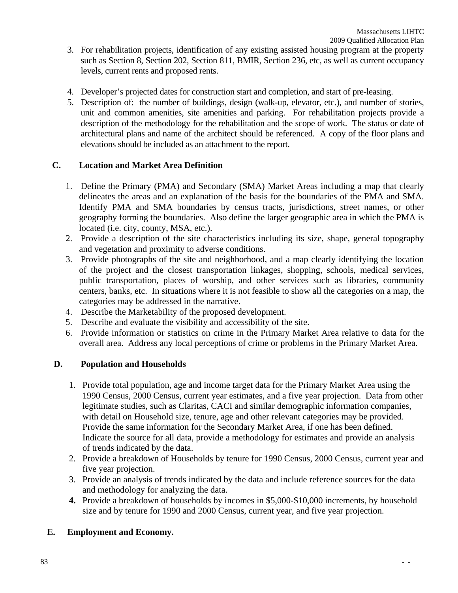- 3. For rehabilitation projects, identification of any existing assisted housing program at the property such as Section 8, Section 202, Section 811, BMIR, Section 236, etc, as well as current occupancy levels, current rents and proposed rents.
- 4. Developer's projected dates for construction start and completion, and start of pre-leasing.
- 5. Description of: the number of buildings, design (walk-up, elevator, etc.), and number of stories, unit and common amenities, site amenities and parking. For rehabilitation projects provide a description of the methodology for the rehabilitation and the scope of work. The status or date of architectural plans and name of the architect should be referenced. A copy of the floor plans and elevations should be included as an attachment to the report.

# **C. Location and Market Area Definition**

- 1. Define the Primary (PMA) and Secondary (SMA) Market Areas including a map that clearly delineates the areas and an explanation of the basis for the boundaries of the PMA and SMA. Identify PMA and SMA boundaries by census tracts, jurisdictions, street names, or other geography forming the boundaries. Also define the larger geographic area in which the PMA is located (i.e. city, county, MSA, etc.).
- 2. Provide a description of the site characteristics including its size, shape, general topography and vegetation and proximity to adverse conditions.
- 3. Provide photographs of the site and neighborhood, and a map clearly identifying the location of the project and the closest transportation linkages, shopping, schools, medical services, public transportation, places of worship, and other services such as libraries, community centers, banks, etc. In situations where it is not feasible to show all the categories on a map, the categories may be addressed in the narrative.
- 4. Describe the Marketability of the proposed development.
- 5. Describe and evaluate the visibility and accessibility of the site.
- 6. Provide information or statistics on crime in the Primary Market Area relative to data for the overall area. Address any local perceptions of crime or problems in the Primary Market Area.

# **D. Population and Households**

- 1. Provide total population, age and income target data for the Primary Market Area using the 1990 Census, 2000 Census, current year estimates, and a five year projection. Data from other legitimate studies, such as Claritas, CACI and similar demographic information companies, with detail on Household size, tenure, age and other relevant categories may be provided. Provide the same information for the Secondary Market Area, if one has been defined. Indicate the source for all data, provide a methodology for estimates and provide an analysis of trends indicated by the data.
- 2. Provide a breakdown of Households by tenure for 1990 Census, 2000 Census, current year and five year projection.
- 3. Provide an analysis of trends indicated by the data and include reference sources for the data and methodology for analyzing the data.
- **4.** Provide a breakdown of households by incomes in \$5,000-\$10,000 increments, by household size and by tenure for 1990 and 2000 Census, current year, and five year projection.

# **E. Employment and Economy.**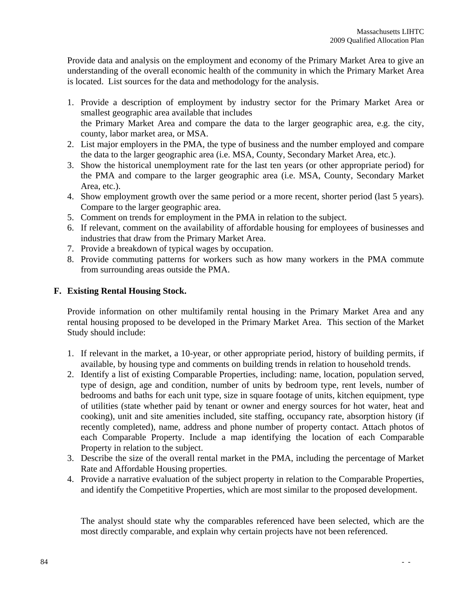Provide data and analysis on the employment and economy of the Primary Market Area to give an understanding of the overall economic health of the community in which the Primary Market Area is located. List sources for the data and methodology for the analysis.

- 1. Provide a description of employment by industry sector for the Primary Market Area or smallest geographic area available that includes the Primary Market Area and compare the data to the larger geographic area, e.g. the city, county, labor market area, or MSA.
- 2. List major employers in the PMA, the type of business and the number employed and compare the data to the larger geographic area (i.e. MSA, County, Secondary Market Area, etc.).
- 3. Show the historical unemployment rate for the last ten years (or other appropriate period) for the PMA and compare to the larger geographic area (i.e. MSA, County, Secondary Market Area, etc.).
- 4. Show employment growth over the same period or a more recent, shorter period (last 5 years). Compare to the larger geographic area.
- 5. Comment on trends for employment in the PMA in relation to the subject.
- 6. If relevant, comment on the availability of affordable housing for employees of businesses and industries that draw from the Primary Market Area.
- 7. Provide a breakdown of typical wages by occupation.
- 8. Provide commuting patterns for workers such as how many workers in the PMA commute from surrounding areas outside the PMA.

## **F. Existing Rental Housing Stock.**

Provide information on other multifamily rental housing in the Primary Market Area and any rental housing proposed to be developed in the Primary Market Area. This section of the Market Study should include:

- 1. If relevant in the market, a 10-year, or other appropriate period, history of building permits, if available, by housing type and comments on building trends in relation to household trends.
- 2. Identify a list of existing Comparable Properties, including: name, location, population served, type of design, age and condition, number of units by bedroom type, rent levels, number of bedrooms and baths for each unit type, size in square footage of units, kitchen equipment, type of utilities (state whether paid by tenant or owner and energy sources for hot water, heat and cooking), unit and site amenities included, site staffing, occupancy rate, absorption history (if recently completed), name, address and phone number of property contact. Attach photos of each Comparable Property. Include a map identifying the location of each Comparable Property in relation to the subject.
- 3. Describe the size of the overall rental market in the PMA, including the percentage of Market Rate and Affordable Housing properties.
- 4. Provide a narrative evaluation of the subject property in relation to the Comparable Properties, and identify the Competitive Properties, which are most similar to the proposed development.

The analyst should state why the comparables referenced have been selected, which are the most directly comparable, and explain why certain projects have not been referenced.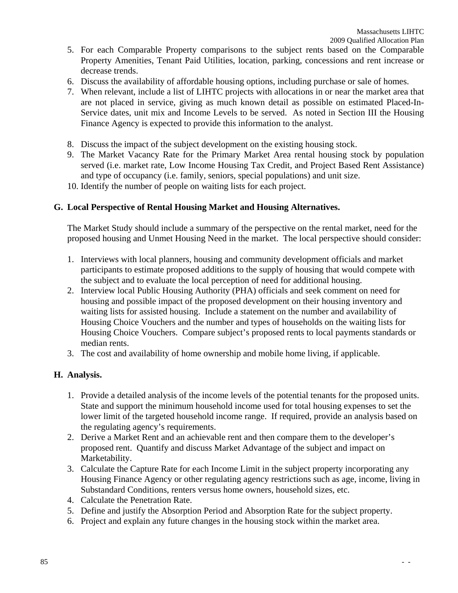- 5. For each Comparable Property comparisons to the subject rents based on the Comparable Property Amenities, Tenant Paid Utilities, location, parking, concessions and rent increase or decrease trends.
- 6. Discuss the availability of affordable housing options, including purchase or sale of homes.
- 7. When relevant, include a list of LIHTC projects with allocations in or near the market area that are not placed in service, giving as much known detail as possible on estimated Placed-In-Service dates, unit mix and Income Levels to be served. As noted in Section III the Housing Finance Agency is expected to provide this information to the analyst.
- 8. Discuss the impact of the subject development on the existing housing stock.
- 9. The Market Vacancy Rate for the Primary Market Area rental housing stock by population served (i.e. market rate, Low Income Housing Tax Credit, and Project Based Rent Assistance) and type of occupancy (i.e. family, seniors, special populations) and unit size.
- 10. Identify the number of people on waiting lists for each project.

## **G. Local Perspective of Rental Housing Market and Housing Alternatives.**

The Market Study should include a summary of the perspective on the rental market, need for the proposed housing and Unmet Housing Need in the market. The local perspective should consider:

- 1. Interviews with local planners, housing and community development officials and market participants to estimate proposed additions to the supply of housing that would compete with the subject and to evaluate the local perception of need for additional housing.
- 2. Interview local Public Housing Authority (PHA) officials and seek comment on need for housing and possible impact of the proposed development on their housing inventory and waiting lists for assisted housing. Include a statement on the number and availability of Housing Choice Vouchers and the number and types of households on the waiting lists for Housing Choice Vouchers. Compare subject's proposed rents to local payments standards or median rents.
- 3. The cost and availability of home ownership and mobile home living, if applicable.

# **H. Analysis.**

- 1. Provide a detailed analysis of the income levels of the potential tenants for the proposed units. State and support the minimum household income used for total housing expenses to set the lower limit of the targeted household income range. If required, provide an analysis based on the regulating agency's requirements.
- 2. Derive a Market Rent and an achievable rent and then compare them to the developer's proposed rent. Quantify and discuss Market Advantage of the subject and impact on Marketability.
- 3. Calculate the Capture Rate for each Income Limit in the subject property incorporating any Housing Finance Agency or other regulating agency restrictions such as age, income, living in Substandard Conditions, renters versus home owners, household sizes, etc.
- 4. Calculate the Penetration Rate.
- 5. Define and justify the Absorption Period and Absorption Rate for the subject property.
- 6. Project and explain any future changes in the housing stock within the market area.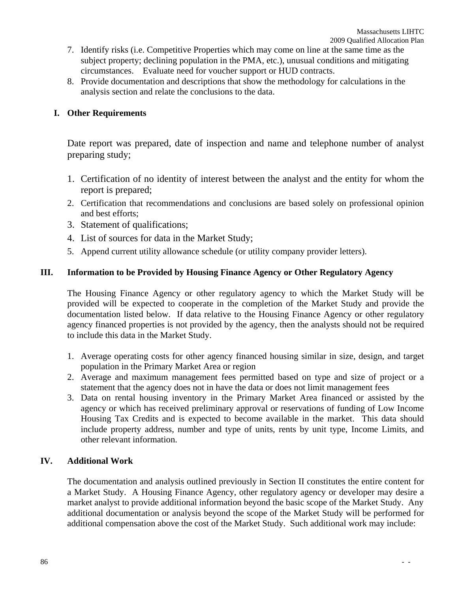- 7. Identify risks (i.e. Competitive Properties which may come on line at the same time as the subject property; declining population in the PMA, etc.), unusual conditions and mitigating circumstances. Evaluate need for voucher support or HUD contracts.
- 8. Provide documentation and descriptions that show the methodology for calculations in the analysis section and relate the conclusions to the data.

## **I. Other Requirements**

Date report was prepared, date of inspection and name and telephone number of analyst preparing study;

- 1. Certification of no identity of interest between the analyst and the entity for whom the report is prepared;
- 2. Certification that recommendations and conclusions are based solely on professional opinion and best efforts;
- 3. Statement of qualifications;
- 4. List of sources for data in the Market Study;
- 5. Append current utility allowance schedule (or utility company provider letters).

# **III. Information to be Provided by Housing Finance Agency or Other Regulatory Agency**

The Housing Finance Agency or other regulatory agency to which the Market Study will be provided will be expected to cooperate in the completion of the Market Study and provide the documentation listed below. If data relative to the Housing Finance Agency or other regulatory agency financed properties is not provided by the agency, then the analysts should not be required to include this data in the Market Study.

- 1. Average operating costs for other agency financed housing similar in size, design, and target population in the Primary Market Area or region
- 2. Average and maximum management fees permitted based on type and size of project or a statement that the agency does not in have the data or does not limit management fees
- 3. Data on rental housing inventory in the Primary Market Area financed or assisted by the agency or which has received preliminary approval or reservations of funding of Low Income Housing Tax Credits and is expected to become available in the market. This data should include property address, number and type of units, rents by unit type, Income Limits, and other relevant information.

# **IV. Additional Work**

The documentation and analysis outlined previously in Section II constitutes the entire content for a Market Study. A Housing Finance Agency, other regulatory agency or developer may desire a market analyst to provide additional information beyond the basic scope of the Market Study. Any additional documentation or analysis beyond the scope of the Market Study will be performed for additional compensation above the cost of the Market Study. Such additional work may include: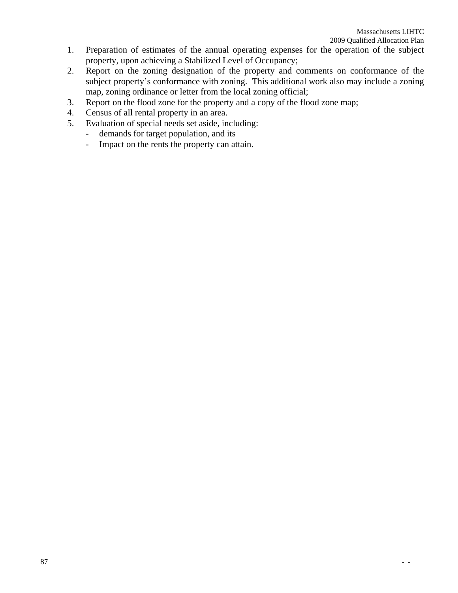- 1. Preparation of estimates of the annual operating expenses for the operation of the subject property, upon achieving a Stabilized Level of Occupancy;
- 2. Report on the zoning designation of the property and comments on conformance of the subject property's conformance with zoning. This additional work also may include a zoning map, zoning ordinance or letter from the local zoning official;
- 3. Report on the flood zone for the property and a copy of the flood zone map;
- 4. Census of all rental property in an area.
- 5. Evaluation of special needs set aside, including:
	- demands for target population, and its
	- Impact on the rents the property can attain.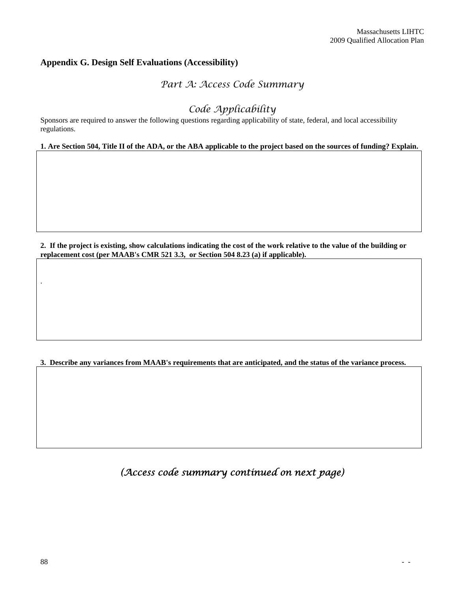### **Appendix G. Design Self Evaluations (Accessibility)**

# *Part A: Access Code Summary*

# *Code Applicability*

Sponsors are required to answer the following questions regarding applicability of state, federal, and local accessibility regulations.

#### **1. Are Section 504, Title II of the ADA, or the ABA applicable to the project based on the sources of funding? Explain.**

**2. If the project is existing, show calculations indicating the cost of the work relative to the value of the building or replacement cost (per MAAB's CMR 521 3.3, or Section 504 8.23 (a) if applicable).** 

**3. Describe any variances from MAAB's requirements that are anticipated, and the status of the variance process.** 

*(Access code summary continued on next page)*

.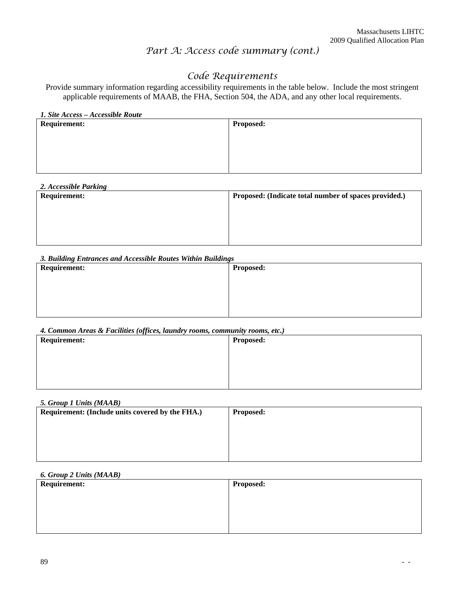# *Part A: Access code summary (cont.)*

# *Code Requirements*

Provide summary information regarding accessibility requirements in the table below. Include the most stringent applicable requirements of MAAB, the FHA, Section 504, the ADA, and any other local requirements.

| 1. Site Access - Accessible Route |                  |
|-----------------------------------|------------------|
| <b>Requirement:</b>               | <b>Proposed:</b> |
|                                   |                  |
|                                   |                  |
|                                   |                  |
|                                   |                  |
|                                   |                  |

| 2. Accessible Parking |                                                       |
|-----------------------|-------------------------------------------------------|
| <b>Requirement:</b>   | Proposed: (Indicate total number of spaces provided.) |
|                       |                                                       |
|                       |                                                       |
|                       |                                                       |
|                       |                                                       |
|                       |                                                       |
|                       |                                                       |

#### *3. Building Entrances and Accessible Routes Within Buildings*

| <b>Requirement:</b> | <b>Proposed:</b> |
|---------------------|------------------|
|                     |                  |
|                     |                  |
|                     |                  |
|                     |                  |

#### *4. Common Areas & Facilities (offices, laundry rooms, community rooms, etc.)*

| ". Common In cas & I acumos (offices, taunary rooms, community rooms, cic.) |                  |  |  |
|-----------------------------------------------------------------------------|------------------|--|--|
| <b>Requirement:</b>                                                         | <b>Proposed:</b> |  |  |
|                                                                             |                  |  |  |
|                                                                             |                  |  |  |
|                                                                             |                  |  |  |
|                                                                             |                  |  |  |
|                                                                             |                  |  |  |

#### *5. Group 1 Units (MAAB)*

| Requirement: (Include units covered by the FHA.)<br><b>Proposed:</b> |  |
|----------------------------------------------------------------------|--|
|                                                                      |  |
|                                                                      |  |
|                                                                      |  |
|                                                                      |  |
|                                                                      |  |
|                                                                      |  |

#### *6. Group 2 Units (MAAB)*

| <b>Requirement:</b> | <b>Proposed:</b> |
|---------------------|------------------|
|                     |                  |
|                     |                  |
|                     |                  |
|                     |                  |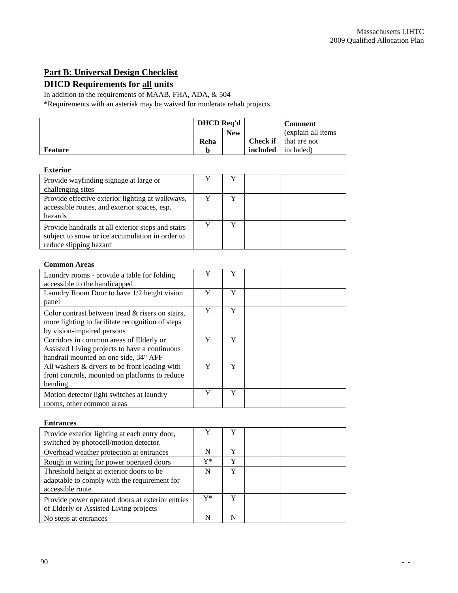# **Part B: Universal Design Checklist**

# **DHCD Requirements for all units**

In addition to the requirements of MAAB, FHA, ADA, & 504

\*Requirements with an asterisk may be waived for moderate rehab projects.

|         | <b>DHCD</b> Req'd |            |                  | <b>Comment</b>      |
|---------|-------------------|------------|------------------|---------------------|
|         |                   | <b>New</b> |                  | (explain all items) |
|         | Reha              |            | Check if $\vert$ | that are not        |
| Feature | h                 |            | included         | included)           |

#### **Exterior**

| Provide wayfinding signage at large or<br>challenging sites                                                                     |  |  |
|---------------------------------------------------------------------------------------------------------------------------------|--|--|
| Provide effective exterior lighting at walkways,<br>accessible routes, and exterior spaces, esp.<br>hazards                     |  |  |
| Provide handrails at all exterior steps and stairs<br>subject to snow or ice accumulation in order to<br>reduce slipping hazard |  |  |

#### **Common Areas**

| Laundry rooms - provide a table for folding<br>accessible to the handicapped                                                          | Y | Y |  |
|---------------------------------------------------------------------------------------------------------------------------------------|---|---|--|
| Laundry Room Door to have 1/2 height vision                                                                                           | Y | Y |  |
| panel                                                                                                                                 |   |   |  |
| Color contrast between tread $\&$ risers on stairs,<br>more lighting to facilitate recognition of steps<br>by vision-impaired persons | Y | Y |  |
| Corridors in common areas of Elderly or<br>Assisted Living projects to have a continuous<br>handrail mounted on one side, 34" AFF     | Y | Y |  |
| All washers $\&$ dryers to be front loading with<br>front controls, mounted on platforms to reduce<br>bending                         | Y | Y |  |
| Motion detector light switches at laundry<br>rooms, other common areas                                                                | Y | Y |  |

#### **Entrances**

| Provide exterior lighting at each entry door,<br>switched by photocell/motion detector.                      | Y  | Y |  |
|--------------------------------------------------------------------------------------------------------------|----|---|--|
| Overhead weather protection at entrances                                                                     | N  | v |  |
| Rough in wiring for power operated doors                                                                     | Y* | v |  |
| Threshold height at exterior doors to be<br>adaptable to comply with the requirement for<br>accessible route | N  | Y |  |
| Provide power operated doors at exterior entries<br>of Elderly or Assisted Living projects                   | Y* | v |  |
| No steps at entrances                                                                                        | N  | N |  |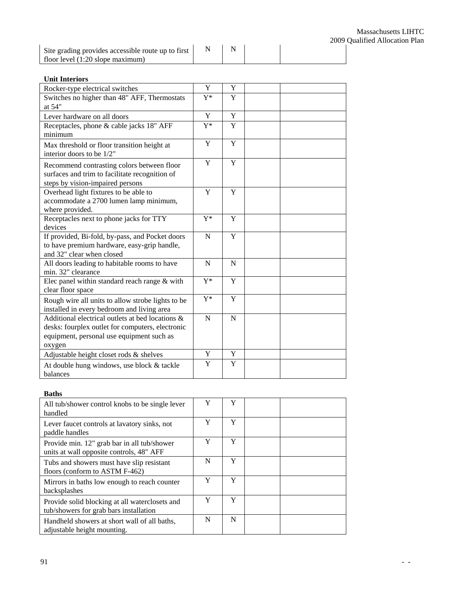| Site grading provides accessible route up to first |  |
|----------------------------------------------------|--|
| floor level $(1:20$ slope maximum)                 |  |

#### **Unit Interiors**

| Rocker-type electrical switches                                                                                                                             | Y     | Y           |  |
|-------------------------------------------------------------------------------------------------------------------------------------------------------------|-------|-------------|--|
| Switches no higher than 48" AFF, Thermostats<br>at 54"                                                                                                      | $Y^*$ | Y           |  |
| Lever hardware on all doors                                                                                                                                 | Y     | Y           |  |
| Receptacles, phone & cable jacks 18" AFF<br>minimum                                                                                                         | $Y^*$ | Y           |  |
| Max threshold or floor transition height at<br>interior doors to be 1/2"                                                                                    | Y     | Y           |  |
| Recommend contrasting colors between floor<br>surfaces and trim to facilitate recognition of<br>steps by vision-impaired persons                            | Y     | Y           |  |
| Overhead light fixtures to be able to<br>accommodate a 2700 lumen lamp minimum,<br>where provided.                                                          | Y     | Y           |  |
| Receptacles next to phone jacks for TTY<br>devices                                                                                                          | $Y^*$ | Y           |  |
| If provided, Bi-fold, by-pass, and Pocket doors<br>to have premium hardware, easy-grip handle,<br>and 32" clear when closed                                 | N     | Y           |  |
| All doors leading to habitable rooms to have<br>min. 32" clearance                                                                                          | N     | $\mathbf N$ |  |
| Elec panel within standard reach range $&$ with<br>clear floor space                                                                                        | $Y^*$ | Y           |  |
| Rough wire all units to allow strobe lights to be<br>installed in every bedroom and living area                                                             | $Y^*$ | Y           |  |
| Additional electrical outlets at bed locations &<br>desks: fourplex outlet for computers, electronic<br>equipment, personal use equipment such as<br>oxygen | N     | N           |  |
| Adjustable height closet rods & shelves                                                                                                                     | Y     | Y           |  |
| At double hung windows, use block & tackle<br>balances                                                                                                      | Y     | Y           |  |

#### **Baths**

| All tub/shower control knobs to be single lever<br>handled                               | Y | Y |  |
|------------------------------------------------------------------------------------------|---|---|--|
| Lever faucet controls at lavatory sinks, not<br>paddle handles                           | Y | Y |  |
| Provide min. 12" grab bar in all tub/shower<br>units at wall opposite controls, 48" AFF  | Y | Y |  |
| Tubs and showers must have slip resistant<br>floors (conform to ASTM F-462)              | N | Y |  |
| Mirrors in baths low enough to reach counter<br>backsplashes                             | Y | Y |  |
| Provide solid blocking at all waterclosets and<br>tub/showers for grab bars installation | Y | Y |  |
| Handheld showers at short wall of all baths,<br>adjustable height mounting.              | N | N |  |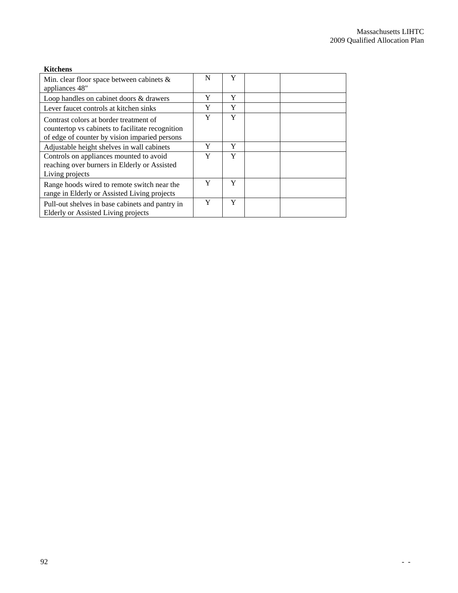| <b>Kitchens</b>                                                                                                                             |   |   |  |
|---------------------------------------------------------------------------------------------------------------------------------------------|---|---|--|
| Min. clear floor space between cabinets $\&$<br>appliances 48"                                                                              | N | Y |  |
| Loop handles on cabinet doors & drawers                                                                                                     | Y | Y |  |
| Lever faucet controls at kitchen sinks                                                                                                      | Y | Y |  |
| Contrast colors at border treatment of<br>countertop vs cabinets to facilitate recognition<br>of edge of counter by vision imparied persons | Y | Y |  |
| Adjustable height shelves in wall cabinets                                                                                                  | Y | Y |  |
| Controls on appliances mounted to avoid<br>reaching over burners in Elderly or Assisted<br>Living projects                                  | Y | Y |  |
| Range hoods wired to remote switch near the<br>range in Elderly or Assisted Living projects                                                 | Y | Y |  |
| Pull-out shelves in base cabinets and pantry in<br>Elderly or Assisted Living projects                                                      | Y | Y |  |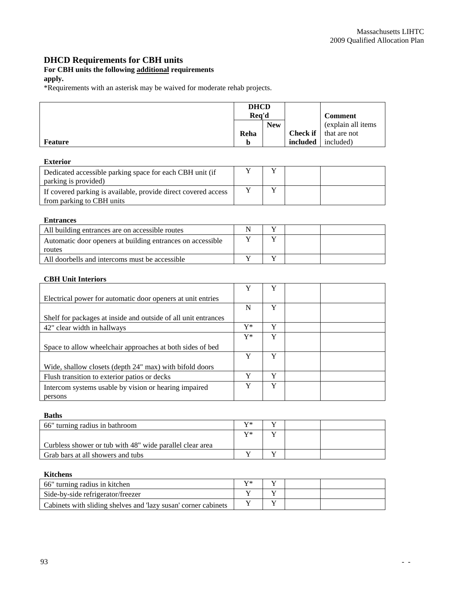# **DHCD Requirements for CBH units**

# **For CBH units the following additional requirements**

**apply.** 

\*Requirements with an asterisk may be waived for moderate rehab projects.

|         | <b>DHCD</b><br>Req'd |            |                 | <b>Comment</b>     |
|---------|----------------------|------------|-----------------|--------------------|
|         |                      | <b>New</b> |                 | (explain all items |
|         | Reha                 |            | <b>Check if</b> | that are not       |
| Feature | b                    |            | included        | included)          |

| <b>Exterior</b>                                                |  |  |
|----------------------------------------------------------------|--|--|
| Dedicated accessible parking space for each CBH unit (if       |  |  |
| parking is provided)                                           |  |  |
| If covered parking is available, provide direct covered access |  |  |
| from parking to CBH units                                      |  |  |

#### **Entrances**

| All building entrances are on accessible routes            |  |  |
|------------------------------------------------------------|--|--|
| Automatic door openers at building entrances on accessible |  |  |
| routes                                                     |  |  |
| All doorbells and intercoms must be accessible             |  |  |

#### **CBH Unit Interiors**

|                                                                | Y  | Y |  |
|----------------------------------------------------------------|----|---|--|
| Electrical power for automatic door openers at unit entries    |    |   |  |
|                                                                | N  | Y |  |
| Shelf for packages at inside and outside of all unit entrances |    |   |  |
| 42" clear width in hallways                                    | Y* | Y |  |
|                                                                | Y* | Y |  |
| Space to allow wheelchair approaches at both sides of bed      |    |   |  |
|                                                                | Y  | Y |  |
| Wide, shallow closets (depth 24" max) with bifold doors        |    |   |  |
| Flush transition to exterior patios or decks                   | v  | Y |  |
| Intercom systems usable by vision or hearing impaired          | v  | Y |  |
| persons                                                        |    |   |  |

#### **Baths**

| $\mathbf{V}^*$ |  |  |
|----------------|--|--|
| $\mathbf{V}^*$ |  |  |
|                |  |  |
|                |  |  |
|                |  |  |

#### **Kitchens**

| 66" turning radius in kitchen                                  | v* |  |  |
|----------------------------------------------------------------|----|--|--|
| Side-by-side refrigerator/freezer                              |    |  |  |
| Cabinets with sliding shelves and 'lazy susan' corner cabinets |    |  |  |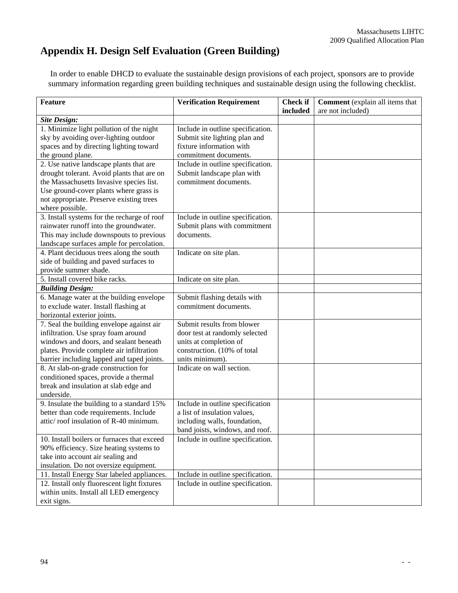# **Appendix H. Design Self Evaluation (Green Building)**

In order to enable DHCD to evaluate the sustainable design provisions of each project, sponsors are to provide summary information regarding green building techniques and sustainable design using the following checklist.

| <b>Feature</b>                              | <b>Verification Requirement</b>   | <b>Check if</b> | Comment (explain all items that |
|---------------------------------------------|-----------------------------------|-----------------|---------------------------------|
|                                             |                                   | included        | are not included)               |
| <b>Site Design:</b>                         |                                   |                 |                                 |
| 1. Minimize light pollution of the night    | Include in outline specification. |                 |                                 |
| sky by avoiding over-lighting outdoor       | Submit site lighting plan and     |                 |                                 |
| spaces and by directing lighting toward     | fixture information with          |                 |                                 |
| the ground plane.                           | commitment documents.             |                 |                                 |
| 2. Use native landscape plants that are     | Include in outline specification. |                 |                                 |
| drought tolerant. Avoid plants that are on  | Submit landscape plan with        |                 |                                 |
| the Massachusetts Invasive species list.    | commitment documents.             |                 |                                 |
| Use ground-cover plants where grass is      |                                   |                 |                                 |
| not appropriate. Preserve existing trees    |                                   |                 |                                 |
| where possible.                             |                                   |                 |                                 |
| 3. Install systems for the recharge of roof | Include in outline specification. |                 |                                 |
| rainwater runoff into the groundwater.      | Submit plans with commitment      |                 |                                 |
| This may include downspouts to previous     | documents.                        |                 |                                 |
| landscape surfaces ample for percolation.   |                                   |                 |                                 |
| 4. Plant deciduous trees along the south    | Indicate on site plan.            |                 |                                 |
| side of building and paved surfaces to      |                                   |                 |                                 |
| provide summer shade.                       |                                   |                 |                                 |
| 5. Install covered bike racks.              | Indicate on site plan.            |                 |                                 |
| <b>Building Design:</b>                     |                                   |                 |                                 |
| 6. Manage water at the building envelope    | Submit flashing details with      |                 |                                 |
| to exclude water. Install flashing at       | commitment documents.             |                 |                                 |
| horizontal exterior joints.                 |                                   |                 |                                 |
| 7. Seal the building envelope against air   | Submit results from blower        |                 |                                 |
| infiltration. Use spray foam around         | door test at randomly selected    |                 |                                 |
| windows and doors, and sealant beneath      | units at completion of            |                 |                                 |
| plates. Provide complete air infiltration   | construction. (10% of total       |                 |                                 |
| barrier including lapped and taped joints.  | units minimum).                   |                 |                                 |
| 8. At slab-on-grade construction for        | Indicate on wall section.         |                 |                                 |
| conditioned spaces, provide a thermal       |                                   |                 |                                 |
| break and insulation at slab edge and       |                                   |                 |                                 |
| underside.                                  |                                   |                 |                                 |
| 9. Insulate the building to a standard 15%  | Include in outline specification  |                 |                                 |
| better than code requirements. Include      | a list of insulation values,      |                 |                                 |
| attic/roof insulation of R-40 minimum.      | including walls, foundation,      |                 |                                 |
|                                             | band joists, windows, and roof.   |                 |                                 |
| 10. Install boilers or furnaces that exceed | Include in outline specification. |                 |                                 |
| 90% efficiency. Size heating systems to     |                                   |                 |                                 |
| take into account air sealing and           |                                   |                 |                                 |
| insulation. Do not oversize equipment.      |                                   |                 |                                 |
| 11. Install Energy Star labeled appliances. | Include in outline specification. |                 |                                 |
| 12. Install only fluorescent light fixtures | Include in outline specification. |                 |                                 |
| within units. Install all LED emergency     |                                   |                 |                                 |
| exit signs.                                 |                                   |                 |                                 |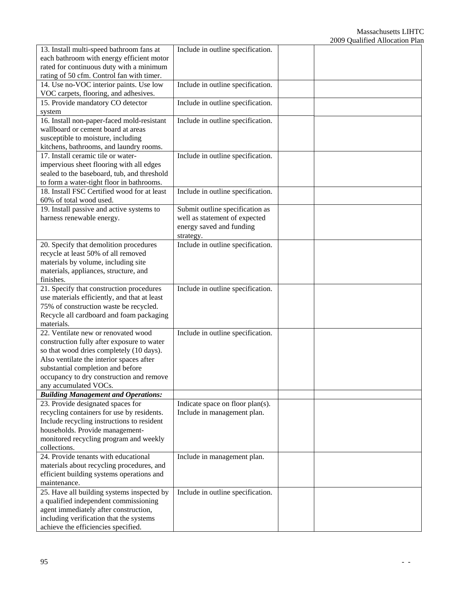| 13. Install multi-speed bathroom fans at           | Include in outline specification. |  |
|----------------------------------------------------|-----------------------------------|--|
| each bathroom with energy efficient motor          |                                   |  |
| rated for continuous duty with a minimum           |                                   |  |
| rating of 50 cfm. Control fan with timer.          |                                   |  |
| 14. Use no-VOC interior paints. Use low            | Include in outline specification. |  |
| VOC carpets, flooring, and adhesives.              |                                   |  |
| 15. Provide mandatory CO detector                  | Include in outline specification. |  |
| system                                             |                                   |  |
| 16. Install non-paper-faced mold-resistant         | Include in outline specification. |  |
| wallboard or cement board at areas                 |                                   |  |
| susceptible to moisture, including                 |                                   |  |
| kitchens, bathrooms, and laundry rooms.            |                                   |  |
| 17. Install ceramic tile or water-                 | Include in outline specification. |  |
| impervious sheet flooring with all edges           |                                   |  |
| sealed to the baseboard, tub, and threshold        |                                   |  |
| to form a water-tight floor in bathrooms.          |                                   |  |
| 18. Install FSC Certified wood for at least        | Include in outline specification. |  |
| 60% of total wood used.                            |                                   |  |
| 19. Install passive and active systems to          | Submit outline specification as   |  |
| harness renewable energy.                          | well as statement of expected     |  |
|                                                    | energy saved and funding          |  |
|                                                    | strategy.                         |  |
| 20. Specify that demolition procedures             | Include in outline specification. |  |
| recycle at least 50% of all removed                |                                   |  |
| materials by volume, including site                |                                   |  |
| materials, appliances, structure, and<br>finishes. |                                   |  |
| 21. Specify that construction procedures           | Include in outline specification. |  |
| use materials efficiently, and that at least       |                                   |  |
| 75% of construction waste be recycled.             |                                   |  |
| Recycle all cardboard and foam packaging           |                                   |  |
| materials.                                         |                                   |  |
| 22. Ventilate new or renovated wood                | Include in outline specification. |  |
| construction fully after exposure to water         |                                   |  |
| so that wood dries completely (10 days).           |                                   |  |
| Also ventilate the interior spaces after           |                                   |  |
| substantial completion and before                  |                                   |  |
| occupancy to dry construction and remove           |                                   |  |
| any accumulated VOCs.                              |                                   |  |
| <b>Building Management and Operations:</b>         |                                   |  |
| 23. Provide designated spaces for                  | Indicate space on floor plan(s).  |  |
| recycling containers for use by residents.         | Include in management plan.       |  |
| Include recycling instructions to resident         |                                   |  |
| households. Provide management-                    |                                   |  |
| monitored recycling program and weekly             |                                   |  |
| collections.                                       |                                   |  |
| 24. Provide tenants with educational               | Include in management plan.       |  |
| materials about recycling procedures, and          |                                   |  |
| efficient building systems operations and          |                                   |  |
| maintenance.                                       |                                   |  |
| 25. Have all building systems inspected by         | Include in outline specification. |  |
| a qualified independent commissioning              |                                   |  |
| agent immediately after construction,              |                                   |  |
| including verification that the systems            |                                   |  |
| achieve the efficiencies specified.                |                                   |  |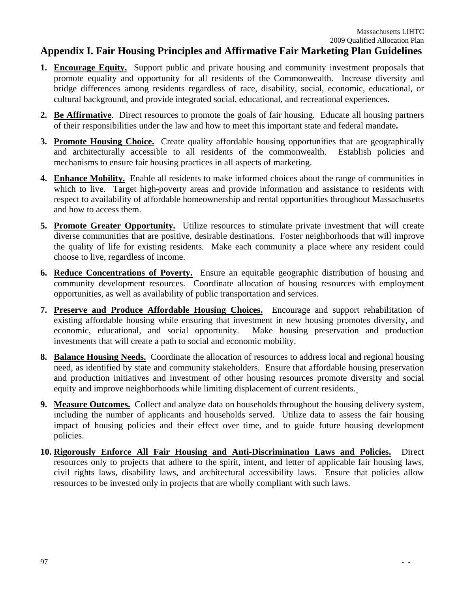# **Appendix I. Fair Housing Principles and Affirmative Fair Marketing Plan Guidelines**

- **1. Encourage Equity.** Support public and private housing and community investment proposals that promote equality and opportunity for all residents of the Commonwealth. Increase diversity and bridge differences among residents regardless of race, disability, social, economic, educational, or cultural background, and provide integrated social, educational, and recreational experiences.
- **2. Be Affirmative**. Direct resources to promote the goals of fair housing. Educate all housing partners of their responsibilities under the law and how to meet this important state and federal mandate**.**
- **3. Promote Housing Choice.** Create quality affordable housing opportunities that are geographically and architecturally accessible to all residents of the commonwealth. Establish policies and mechanisms to ensure fair housing practices in all aspects of marketing.
- **4. Enhance Mobility.** Enable all residents to make informed choices about the range of communities in which to live. Target high-poverty areas and provide information and assistance to residents with respect to availability of affordable homeownership and rental opportunities throughout Massachusetts and how to access them.
- **5. Promote Greater Opportunity.** Utilize resources to stimulate private investment that will create diverse communities that are positive, desirable destinations. Foster neighborhoods that will improve the quality of life for existing residents. Make each community a place where any resident could choose to live, regardless of income.
- **6. Reduce Concentrations of Poverty.** Ensure an equitable geographic distribution of housing and community development resources. Coordinate allocation of housing resources with employment opportunities, as well as availability of public transportation and services.
- **7. Preserve and Produce Affordable Housing Choices.** Encourage and support rehabilitation of existing affordable housing while ensuring that investment in new housing promotes diversity, and economic, educational, and social opportunity. Make housing preservation and production investments that will create a path to social and economic mobility.
- **8. Balance Housing Needs.** Coordinate the allocation of resources to address local and regional housing need, as identified by state and community stakeholders. Ensure that affordable housing preservation and production initiatives and investment of other housing resources promote diversity and social equity and improve neighborhoods while limiting displacement of current residents.
- **9. Measure Outcomes.** Collect and analyze data on households throughout the housing delivery system, including the number of applicants and households served. Utilize data to assess the fair housing impact of housing policies and their effect over time, and to guide future housing development policies.
- **10. Rigorously Enforce All Fair Housing and Anti-Discrimination Laws and Policies.** Direct resources only to projects that adhere to the spirit, intent, and letter of applicable fair housing laws, civil rights laws, disability laws, and architectural accessibility laws. Ensure that policies allow resources to be invested only in projects that are wholly compliant with such laws.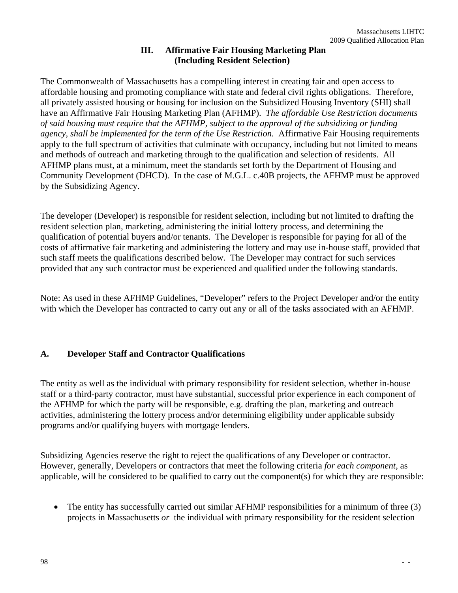# **III. Affirmative Fair Housing Marketing Plan (Including Resident Selection)**

The Commonwealth of Massachusetts has a compelling interest in creating fair and open access to affordable housing and promoting compliance with state and federal civil rights obligations. Therefore, all privately assisted housing or housing for inclusion on the Subsidized Housing Inventory (SHI) shall have an Affirmative Fair Housing Marketing Plan (AFHMP). *The affordable Use Restriction documents of said housing must require that the AFHMP, subject to the approval of the subsidizing or funding agency, shall be implemented for the term of the Use Restriction.* Affirmative Fair Housing requirements apply to the full spectrum of activities that culminate with occupancy, including but not limited to means and methods of outreach and marketing through to the qualification and selection of residents. All AFHMP plans must, at a minimum, meet the standards set forth by the Department of Housing and Community Development (DHCD). In the case of M.G.L. c.40B projects, the AFHMP must be approved by the Subsidizing Agency.

The developer (Developer) is responsible for resident selection, including but not limited to drafting the resident selection plan, marketing, administering the initial lottery process, and determining the qualification of potential buyers and/or tenants. The Developer is responsible for paying for all of the costs of affirmative fair marketing and administering the lottery and may use in-house staff, provided that such staff meets the qualifications described below. The Developer may contract for such services provided that any such contractor must be experienced and qualified under the following standards.

Note: As used in these AFHMP Guidelines, "Developer" refers to the Project Developer and/or the entity with which the Developer has contracted to carry out any or all of the tasks associated with an AFHMP.

# **A. Developer Staff and Contractor Qualifications**

The entity as well as the individual with primary responsibility for resident selection, whether in-house staff or a third-party contractor, must have substantial, successful prior experience in each component of the AFHMP for which the party will be responsible, e.g. drafting the plan, marketing and outreach activities, administering the lottery process and/or determining eligibility under applicable subsidy programs and/or qualifying buyers with mortgage lenders.

Subsidizing Agencies reserve the right to reject the qualifications of any Developer or contractor. However, generally, Developers or contractors that meet the following criteria *for each component*, as applicable, will be considered to be qualified to carry out the component(s) for which they are responsible:

The entity has successfully carried out similar AFHMP responsibilities for a minimum of three (3) projects in Massachusetts *or* the individual with primary responsibility for the resident selection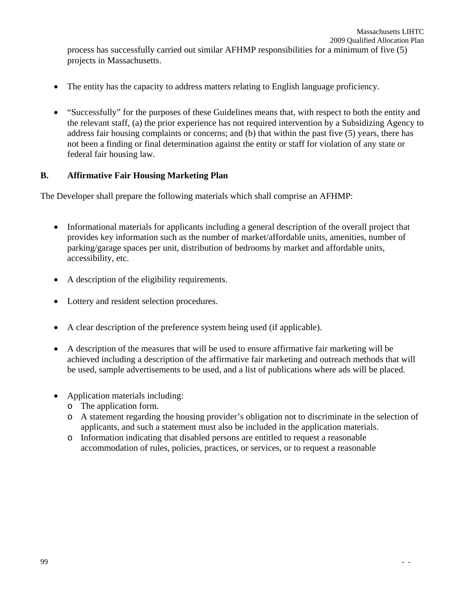process has successfully carried out similar AFHMP responsibilities for a minimum of five (5) projects in Massachusetts.

- The entity has the capacity to address matters relating to English language proficiency.
- "Successfully" for the purposes of these Guidelines means that, with respect to both the entity and the relevant staff, (a) the prior experience has not required intervention by a Subsidizing Agency to address fair housing complaints or concerns; and (b) that within the past five (5) years, there has not been a finding or final determination against the entity or staff for violation of any state or federal fair housing law.

# **B. Affirmative Fair Housing Marketing Plan**

The Developer shall prepare the following materials which shall comprise an AFHMP:

- Informational materials for applicants including a general description of the overall project that provides key information such as the number of market/affordable units, amenities, number of parking/garage spaces per unit, distribution of bedrooms by market and affordable units, accessibility, etc.
- A description of the eligibility requirements.
- Lottery and resident selection procedures.
- A clear description of the preference system being used (if applicable).
- A description of the measures that will be used to ensure affirmative fair marketing will be achieved including a description of the affirmative fair marketing and outreach methods that will be used, sample advertisements to be used, and a list of publications where ads will be placed.
- Application materials including:
	- o The application form.
	- o A statement regarding the housing provider's obligation not to discriminate in the selection of applicants, and such a statement must also be included in the application materials.
	- o Information indicating that disabled persons are entitled to request a reasonable accommodation of rules, policies, practices, or services, or to request a reasonable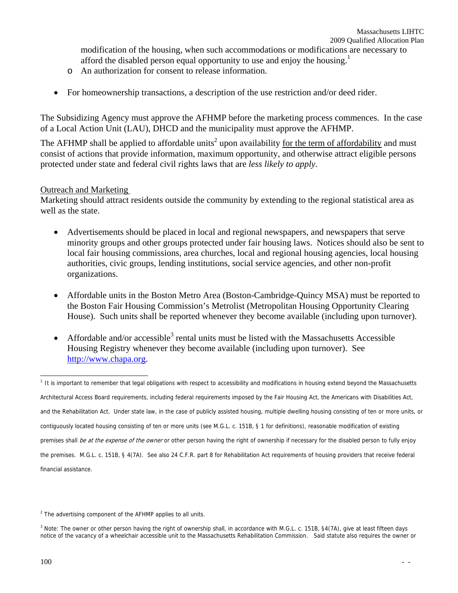modification of the housing, when such accommodations or modifications are necessary to afford the disabled person equal opportunity to use and enjoy the housing.<sup>1</sup>

- o An authorization for consent to release information.
- For homeownership transactions, a description of the use restriction and/or deed rider.

The Subsidizing Agency must approve the AFHMP before the marketing process commences. In the case of a Local Action Unit (LAU), DHCD and the municipality must approve the AFHMP.

The AFHMP shall be applied to affordable units<sup>2</sup> upon availability <u>for the term of affordability</u> and must consist of actions that provide information, maximum opportunity, and otherwise attract eligible persons protected under state and federal civil rights laws that are *less likely to apply*.

## Outreach and Marketing

Marketing should attract residents outside the community by extending to the regional statistical area as well as the state.

- Advertisements should be placed in local and regional newspapers, and newspapers that serve minority groups and other groups protected under fair housing laws. Notices should also be sent to local fair housing commissions, area churches, local and regional housing agencies, local housing authorities, civic groups, lending institutions, social service agencies, and other non-profit organizations.
- Affordable units in the Boston Metro Area (Boston-Cambridge-Quincy MSA) must be reported to the Boston Fair Housing Commission's Metrolist (Metropolitan Housing Opportunity Clearing House). Such units shall be reported whenever they become available (including upon turnover).
- Affordable and/or accessible<sup>3</sup> rental units must be listed with the Massachusetts Accessible Housing Registry whenever they become available (including upon turnover). See http://www.chapa.org.

 $\overline{\phantom{a}}$ 

<sup>&</sup>lt;sup>1</sup> It is important to remember that legal obligations with respect to accessibility and modifications in housing extend beyond the Massachusetts Architectural Access Board requirements, including federal requirements imposed by the Fair Housing Act, the Americans with Disabilities Act, and the Rehabilitation Act. Under state law, in the case of publicly assisted housing, multiple dwelling housing consisting of ten or more units, or contiguously located housing consisting of ten or more units (see M.G.L. c. 151B, § 1 for definitions), reasonable modification of existing premises shall be at the expense of the owner or other person having the right of ownership if necessary for the disabled person to fully enjoy the premises. M.G.L. c. 151B, § 4(7A). See also 24 C.F.R. part 8 for Rehabilitation Act requirements of housing providers that receive federal financial assistance.

 $2$  The advertising component of the AFHMP applies to all units.

<sup>&</sup>lt;sup>3</sup> Note: The owner or other person having the right of ownership shall, in accordance with M.G.L. c. 151B, §4(7A), give at least fifteen days notice of the vacancy of a wheelchair accessible unit to the Massachusetts Rehabilitation Commission. Said statute also requires the owner or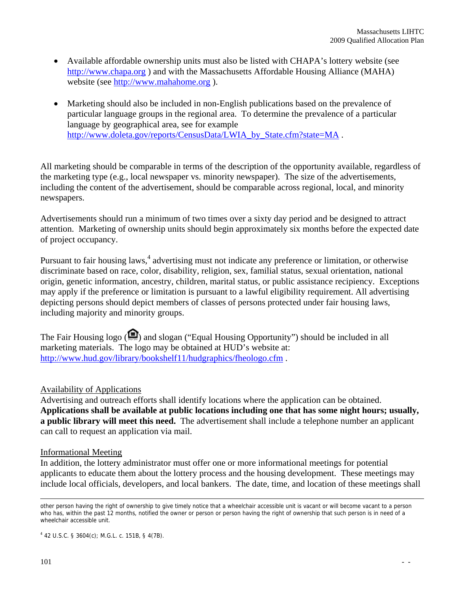- Available affordable ownership units must also be listed with CHAPA's lottery website (see http://www.chapa.org ) and with the Massachusetts Affordable Housing Alliance (MAHA) website (see http://www.mahahome.org ).
- Marketing should also be included in non-English publications based on the prevalence of particular language groups in the regional area. To determine the prevalence of a particular language by geographical area, see for example http://www.doleta.gov/reports/CensusData/LWIA\_by\_State.cfm?state=MA.

All marketing should be comparable in terms of the description of the opportunity available, regardless of the marketing type (e.g., local newspaper vs. minority newspaper). The size of the advertisements, including the content of the advertisement, should be comparable across regional, local, and minority newspapers.

Advertisements should run a minimum of two times over a sixty day period and be designed to attract attention. Marketing of ownership units should begin approximately six months before the expected date of project occupancy.

Pursuant to fair housing laws,<sup>4</sup> advertising must not indicate any preference or limitation, or otherwise discriminate based on race, color, disability, religion, sex, familial status, sexual orientation, national origin, genetic information, ancestry, children, marital status, or public assistance recipiency. Exceptions may apply if the preference or limitation is pursuant to a lawful eligibility requirement. All advertising depicting persons should depict members of classes of persons protected under fair housing laws, including majority and minority groups.

The Fair Housing logo  $\left( \bigcirc$  and slogan ("Equal Housing Opportunity") should be included in all marketing materials. The logo may be obtained at HUD's website at: http://www.hud.gov/library/bookshelf11/hudgraphics/fheologo.cfm .

### Availability of Applications

Advertising and outreach efforts shall identify locations where the application can be obtained. **Applications shall be available at public locations including one that has some night hours; usually, a public library will meet this need.** The advertisement shall include a telephone number an applicant can call to request an application via mail.

### Informational Meeting

In addition, the lottery administrator must offer one or more informational meetings for potential applicants to educate them about the lottery process and the housing development. These meetings may include local officials, developers, and local bankers. The date, time, and location of these meetings shall

4 42 U.S.C. § 3604(c); M.G.L. c. 151B, § 4(7B).

 $\overline{a}$ other person having the right of ownership to give timely notice that a wheelchair accessible unit is vacant or will become vacant to a person who has, within the past 12 months, notified the owner or person or person having the right of ownership that such person is in need of a wheelchair accessible unit.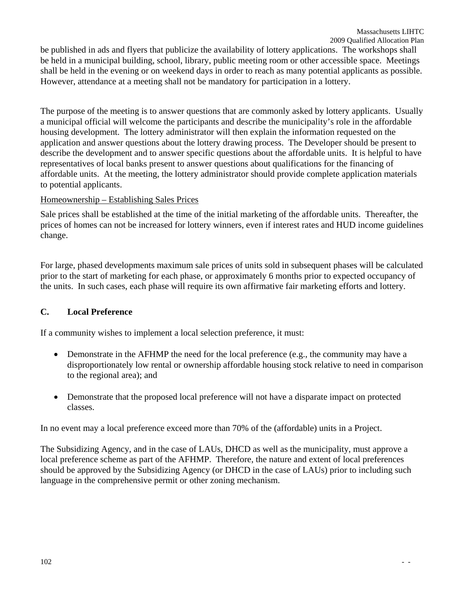Massachusetts LIHTC 2009 Qualified Allocation Plan be published in ads and flyers that publicize the availability of lottery applications. The workshops shall

be held in a municipal building, school, library, public meeting room or other accessible space. Meetings shall be held in the evening or on weekend days in order to reach as many potential applicants as possible. However, attendance at a meeting shall not be mandatory for participation in a lottery.

The purpose of the meeting is to answer questions that are commonly asked by lottery applicants. Usually a municipal official will welcome the participants and describe the municipality's role in the affordable housing development. The lottery administrator will then explain the information requested on the application and answer questions about the lottery drawing process. The Developer should be present to describe the development and to answer specific questions about the affordable units. It is helpful to have representatives of local banks present to answer questions about qualifications for the financing of affordable units. At the meeting, the lottery administrator should provide complete application materials to potential applicants.

# Homeownership – Establishing Sales Prices

Sale prices shall be established at the time of the initial marketing of the affordable units. Thereafter, the prices of homes can not be increased for lottery winners, even if interest rates and HUD income guidelines change.

For large, phased developments maximum sale prices of units sold in subsequent phases will be calculated prior to the start of marketing for each phase, or approximately 6 months prior to expected occupancy of the units. In such cases, each phase will require its own affirmative fair marketing efforts and lottery.

# **C. Local Preference**

If a community wishes to implement a local selection preference, it must:

- Demonstrate in the AFHMP the need for the local preference (e.g., the community may have a disproportionately low rental or ownership affordable housing stock relative to need in comparison to the regional area); and
- Demonstrate that the proposed local preference will not have a disparate impact on protected classes.

In no event may a local preference exceed more than 70% of the (affordable) units in a Project.

The Subsidizing Agency, and in the case of LAUs, DHCD as well as the municipality, must approve a local preference scheme as part of the AFHMP. Therefore, the nature and extent of local preferences should be approved by the Subsidizing Agency (or DHCD in the case of LAUs) prior to including such language in the comprehensive permit or other zoning mechanism.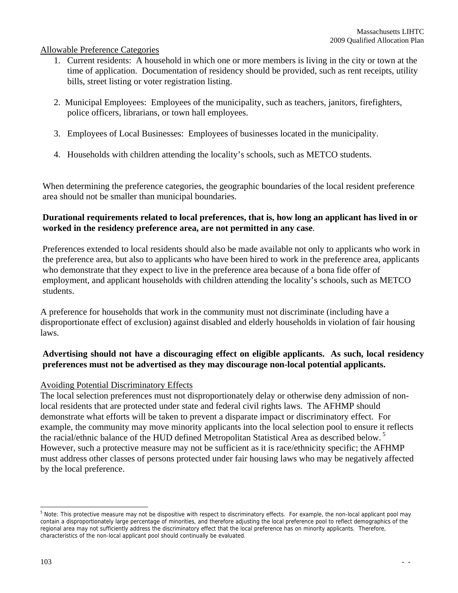### Allowable Preference Categories

- 1. Current residents: A household in which one or more members is living in the city or town at the time of application. Documentation of residency should be provided, such as rent receipts, utility bills, street listing or voter registration listing.
- 2. Municipal Employees: Employees of the municipality, such as teachers, janitors, firefighters, police officers, librarians, or town hall employees.
- 3. Employees of Local Businesses: Employees of businesses located in the municipality.
- 4. Households with children attending the locality's schools, such as METCO students.

When determining the preference categories, the geographic boundaries of the local resident preference area should not be smaller than municipal boundaries.

# **Durational requirements related to local preferences, that is, how long an applicant has lived in or worked in the residency preference area, are not permitted in any case**.

Preferences extended to local residents should also be made available not only to applicants who work in the preference area, but also to applicants who have been hired to work in the preference area, applicants who demonstrate that they expect to live in the preference area because of a bona fide offer of employment, and applicant households with children attending the locality's schools, such as METCO students.

A preference for households that work in the community must not discriminate (including have a disproportionate effect of exclusion) against disabled and elderly households in violation of fair housing laws.

# **Advertising should not have a discouraging effect on eligible applicants. As such, local residency preferences must not be advertised as they may discourage non-local potential applicants.**

# Avoiding Potential Discriminatory Effects

The local selection preferences must not disproportionately delay or otherwise deny admission of nonlocal residents that are protected under state and federal civil rights laws. The AFHMP should demonstrate what efforts will be taken to prevent a disparate impact or discriminatory effect. For example, the community may move minority applicants into the local selection pool to ensure it reflects the racial/ethnic balance of the HUD defined Metropolitan Statistical Area as described below.<sup>5</sup> However, such a protective measure may not be sufficient as it is race/ethnicity specific; the AFHMP must address other classes of persons protected under fair housing laws who may be negatively affected by the local preference.

 $\overline{a}$ 

<sup>&</sup>lt;sup>5</sup> Note: This protective measure may not be dispositive with respect to discriminatory effects. For example, the non-local applicant pool may contain a disproportionately large percentage of minorities, and therefore adjusting the local preference pool to reflect demographics of the regional area may not sufficiently address the discriminatory effect that the local preference has on minority applicants. Therefore, characteristics of the non-local applicant pool should continually be evaluated.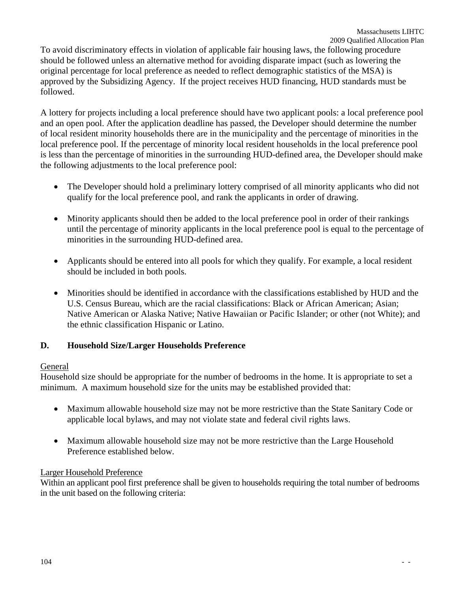To avoid discriminatory effects in violation of applicable fair housing laws, the following procedure should be followed unless an alternative method for avoiding disparate impact (such as lowering the original percentage for local preference as needed to reflect demographic statistics of the MSA) is approved by the Subsidizing Agency. If the project receives HUD financing, HUD standards must be followed.

A lottery for projects including a local preference should have two applicant pools: a local preference pool and an open pool. After the application deadline has passed, the Developer should determine the number of local resident minority households there are in the municipality and the percentage of minorities in the local preference pool. If the percentage of minority local resident households in the local preference pool is less than the percentage of minorities in the surrounding HUD-defined area, the Developer should make the following adjustments to the local preference pool:

- The Developer should hold a preliminary lottery comprised of all minority applicants who did not qualify for the local preference pool, and rank the applicants in order of drawing.
- Minority applicants should then be added to the local preference pool in order of their rankings until the percentage of minority applicants in the local preference pool is equal to the percentage of minorities in the surrounding HUD-defined area.
- Applicants should be entered into all pools for which they qualify. For example, a local resident should be included in both pools.
- Minorities should be identified in accordance with the classifications established by HUD and the U.S. Census Bureau, which are the racial classifications: Black or African American; Asian; Native American or Alaska Native; Native Hawaiian or Pacific Islander; or other (not White); and the ethnic classification Hispanic or Latino.

# **D. Household Size/Larger Households Preference**

# General

Household size should be appropriate for the number of bedrooms in the home. It is appropriate to set a minimum. A maximum household size for the units may be established provided that:

- Maximum allowable household size may not be more restrictive than the State Sanitary Code or applicable local bylaws, and may not violate state and federal civil rights laws.
- Maximum allowable household size may not be more restrictive than the Large Household Preference established below.

# Larger Household Preference

Within an applicant pool first preference shall be given to households requiring the total number of bedrooms in the unit based on the following criteria: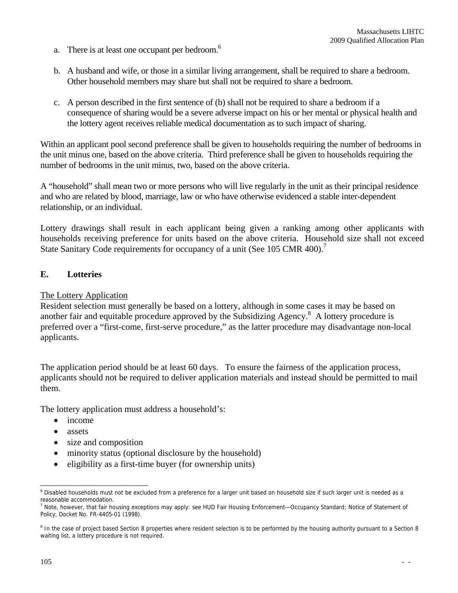- a. There is at least one occupant per bedroom.<sup>6</sup>
- b. A husband and wife, or those in a similar living arrangement, shall be required to share a bedroom. Other household members may share but shall not be required to share a bedroom.
- c. A person described in the first sentence of (b) shall not be required to share a bedroom if a consequence of sharing would be a severe adverse impact on his or her mental or physical health and the lottery agent receives reliable medical documentation as to such impact of sharing.

Within an applicant pool second preference shall be given to households requiring the number of bedrooms in the unit minus one, based on the above criteria. Third preference shall be given to households requiring the number of bedrooms in the unit minus, two, based on the above criteria.

A "household" shall mean two or more persons who will live regularly in the unit as their principal residence and who are related by blood, marriage, law or who have otherwise evidenced a stable inter-dependent relationship, or an individual.

Lottery drawings shall result in each applicant being given a ranking among other applicants with households receiving preference for units based on the above criteria.Household size shall not exceed State Sanitary Code requirements for occupancy of a unit (See 105 CMR 400).<sup>7</sup>

### **E. Lotteries**

### The Lottery Application

Resident selection must generally be based on a lottery, although in some cases it may be based on another fair and equitable procedure approved by the Subsidizing Agency.<sup>8</sup> A lottery procedure is preferred over a "first-come, first-serve procedure," as the latter procedure may disadvantage non-local applicants.

The application period should be at least 60 days. To ensure the fairness of the application process, applicants should not be required to deliver application materials and instead should be permitted to mail them.

The lottery application must address a household's:

- income
- assets
- size and composition
- minority status (optional disclosure by the household)
- eligibility as a first-time buyer (for ownership units)

 $\overline{\phantom{a}}$ 

<sup>&</sup>lt;sup>6</sup> Disabled households must not be excluded from a preference for a larger unit based on household size if such larger unit is needed as a reasonable accommodation.

<sup>&</sup>lt;sup>7</sup> Note, however, that fair housing exceptions may apply: see HUD Fair Housing Enforcement—Occupancy Standard; Notice of Statement of Policy, Docket No. FR-4405-01 (1998).

<sup>&</sup>lt;sup>8</sup> In the case of project based Section 8 properties where resident selection is to be performed by the housing authority pursuant to a Section 8 waiting list, a lottery procedure is not required.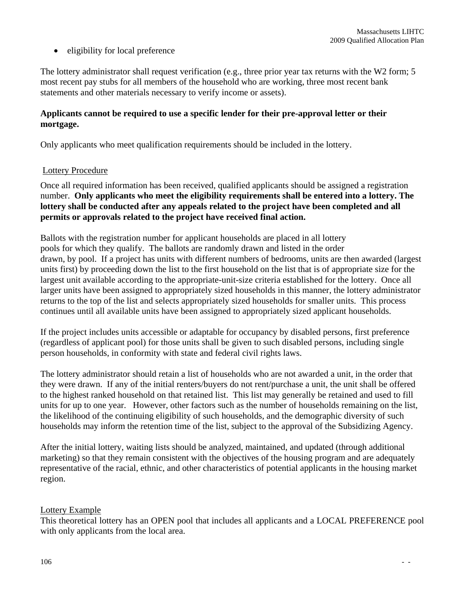• eligibility for local preference

The lottery administrator shall request verification (e.g., three prior year tax returns with the W2 form; 5 most recent pay stubs for all members of the household who are working, three most recent bank statements and other materials necessary to verify income or assets).

# **Applicants cannot be required to use a specific lender for their pre-approval letter or their mortgage.**

Only applicants who meet qualification requirements should be included in the lottery.

## Lottery Procedure

Once all required information has been received, qualified applicants should be assigned a registration number. **Only applicants who meet the eligibility requirements shall be entered into a lottery. The lottery shall be conducted after any appeals related to the project have been completed and all permits or approvals related to the project have received final action.** 

Ballots with the registration number for applicant households are placed in all lottery pools for which they qualify. The ballots are randomly drawn and listed in the order drawn, by pool. If a project has units with different numbers of bedrooms, units are then awarded (largest units first) by proceeding down the list to the first household on the list that is of appropriate size for the largest unit available according to the appropriate-unit-size criteria established for the lottery. Once all larger units have been assigned to appropriately sized households in this manner, the lottery administrator returns to the top of the list and selects appropriately sized households for smaller units. This process continues until all available units have been assigned to appropriately sized applicant households.

If the project includes units accessible or adaptable for occupancy by disabled persons, first preference (regardless of applicant pool) for those units shall be given to such disabled persons, including single person households, in conformity with state and federal civil rights laws.

The lottery administrator should retain a list of households who are not awarded a unit, in the order that they were drawn. If any of the initial renters/buyers do not rent/purchase a unit, the unit shall be offered to the highest ranked household on that retained list. This list may generally be retained and used to fill units for up to one year. However, other factors such as the number of households remaining on the list, the likelihood of the continuing eligibility of such households, and the demographic diversity of such households may inform the retention time of the list, subject to the approval of the Subsidizing Agency.

After the initial lottery, waiting lists should be analyzed, maintained, and updated (through additional marketing) so that they remain consistent with the objectives of the housing program and are adequately representative of the racial, ethnic, and other characteristics of potential applicants in the housing market region.

# Lottery Example

This theoretical lottery has an OPEN pool that includes all applicants and a LOCAL PREFERENCE pool with only applicants from the local area.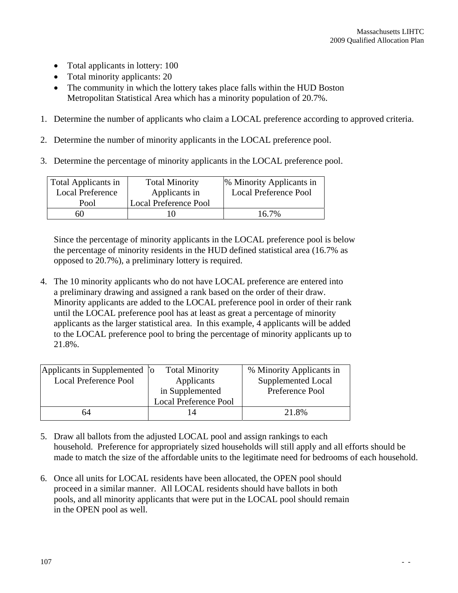- Total applicants in lottery: 100
- Total minority applicants: 20
- The community in which the lottery takes place falls within the HUD Boston Metropolitan Statistical Area which has a minority population of 20.7%.
- 1. Determine the number of applicants who claim a LOCAL preference according to approved criteria.
- 2. Determine the number of minority applicants in the LOCAL preference pool.
- 3. Determine the percentage of minority applicants in the LOCAL preference pool.

| Total Applicants in     | <b>Total Minority</b>        | % Minority Applicants in     |
|-------------------------|------------------------------|------------------------------|
| <b>Local Preference</b> | Applicants in                | <b>Local Preference Pool</b> |
| Pool                    | <b>Local Preference Pool</b> |                              |
| 60                      |                              | 16.7%                        |

Since the percentage of minority applicants in the LOCAL preference pool is below the percentage of minority residents in the HUD defined statistical area (16.7% as opposed to 20.7%), a preliminary lottery is required.

4. The 10 minority applicants who do not have LOCAL preference are entered into a preliminary drawing and assigned a rank based on the order of their draw. Minority applicants are added to the LOCAL preference pool in order of their rank until the LOCAL preference pool has at least as great a percentage of minority applicants as the larger statistical area. In this example, 4 applicants will be added to the LOCAL preference pool to bring the percentage of minority applicants up to 21.8%.

| Applicants in Supplemented [o | <b>Total Minority</b>        | % Minority Applicants in |
|-------------------------------|------------------------------|--------------------------|
| <b>Local Preference Pool</b>  | Applicants                   | Supplemented Local       |
|                               | in Supplemented              | Preference Pool          |
|                               | <b>Local Preference Pool</b> |                          |
| 64                            |                              | 21.8%                    |

- 5. Draw all ballots from the adjusted LOCAL pool and assign rankings to each household. Preference for appropriately sized households will still apply and all efforts should be made to match the size of the affordable units to the legitimate need for bedrooms of each household.
- 6. Once all units for LOCAL residents have been allocated, the OPEN pool should proceed in a similar manner. All LOCAL residents should have ballots in both pools, and all minority applicants that were put in the LOCAL pool should remain in the OPEN pool as well.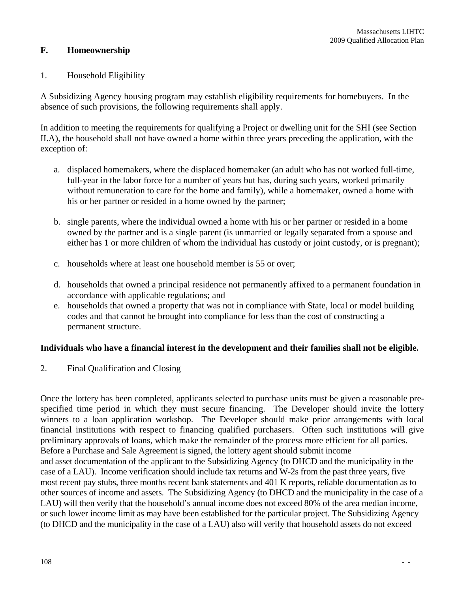# **F. Homeownership**

## 1. Household Eligibility

A Subsidizing Agency housing program may establish eligibility requirements for homebuyers. In the absence of such provisions, the following requirements shall apply.

In addition to meeting the requirements for qualifying a Project or dwelling unit for the SHI (see Section II.A), the household shall not have owned a home within three years preceding the application, with the exception of:

- a. displaced homemakers, where the displaced homemaker (an adult who has not worked full-time, full-year in the labor force for a number of years but has, during such years, worked primarily without remuneration to care for the home and family), while a homemaker, owned a home with his or her partner or resided in a home owned by the partner;
- b. single parents, where the individual owned a home with his or her partner or resided in a home owned by the partner and is a single parent (is unmarried or legally separated from a spouse and either has 1 or more children of whom the individual has custody or joint custody, or is pregnant);
- c. households where at least one household member is 55 or over;
- d. households that owned a principal residence not permanently affixed to a permanent foundation in accordance with applicable regulations; and
- e. households that owned a property that was not in compliance with State, local or model building codes and that cannot be brought into compliance for less than the cost of constructing a permanent structure.

### **Individuals who have a financial interest in the development and their families shall not be eligible.**

2. Final Qualification and Closing

Once the lottery has been completed, applicants selected to purchase units must be given a reasonable prespecified time period in which they must secure financing. The Developer should invite the lottery winners to a loan application workshop. The Developer should make prior arrangements with local financial institutions with respect to financing qualified purchasers. Often such institutions will give preliminary approvals of loans, which make the remainder of the process more efficient for all parties. Before a Purchase and Sale Agreement is signed, the lottery agent should submit income and asset documentation of the applicant to the Subsidizing Agency (to DHCD and the municipality in the case of a LAU). Income verification should include tax returns and W-2s from the past three years, five most recent pay stubs, three months recent bank statements and 401 K reports, reliable documentation as to other sources of income and assets. The Subsidizing Agency (to DHCD and the municipality in the case of a LAU) will then verify that the household's annual income does not exceed 80% of the area median income, or such lower income limit as may have been established for the particular project. The Subsidizing Agency (to DHCD and the municipality in the case of a LAU) also will verify that household assets do not exceed